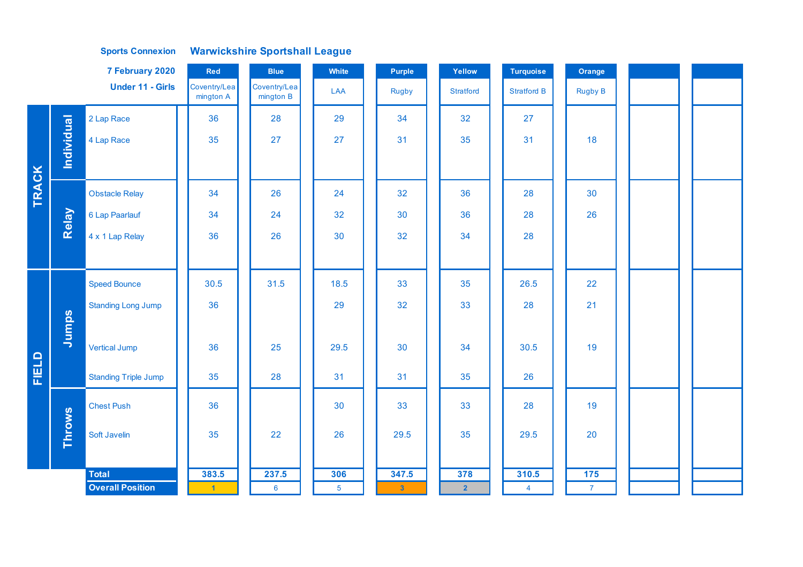## **Sports Connexion Warwickshire Sportshall League**

|       |                   | 7 February 2020             | Red                       | <b>Blue</b>               | White          | Purple       | Yellow           | <b>Turquoise</b>   | Orange         |  |
|-------|-------------------|-----------------------------|---------------------------|---------------------------|----------------|--------------|------------------|--------------------|----------------|--|
|       |                   | <b>Under 11 - Girls</b>     | Coventry/Lea<br>mington A | Coventry/Lea<br>mington B | LAA            | <b>Rugby</b> | <b>Stratford</b> | <b>Stratford B</b> | <b>Rugby B</b> |  |
|       |                   | 2 Lap Race                  | 36                        | 28                        | 29             | 34           | 32               | 27                 |                |  |
|       | <b>Individual</b> | 4 Lap Race                  | 35                        | 27                        | 27             | 31           | 35               | 31                 | 18             |  |
|       |                   |                             |                           |                           |                |              |                  |                    |                |  |
| TRACK |                   | <b>Obstacle Relay</b>       | 34                        | 26                        | 24             | 32           | 36               | 28                 | 30             |  |
|       | Relay             | 6 Lap Paarlauf              | 34                        | 24                        | 32             | 30           | 36               | 28                 | 26             |  |
|       |                   | 4 x 1 Lap Relay             | 36                        | 26                        | 30             | 32           | 34               | 28                 |                |  |
|       |                   |                             |                           |                           |                |              |                  |                    |                |  |
|       |                   | <b>Speed Bounce</b>         | 30.5                      | 31.5                      | 18.5           | 33           | 35               | 26.5               | 22             |  |
|       |                   | <b>Standing Long Jump</b>   | 36                        |                           | 29             | 32           | 33               | 28                 | 21             |  |
|       | Jumps             |                             |                           |                           |                |              |                  |                    |                |  |
|       |                   | <b>Vertical Jump</b>        | 36                        | 25                        | 29.5           | 30           | 34               | 30.5               | 19             |  |
| FIELD |                   | <b>Standing Triple Jump</b> | 35                        | 28                        | 31             | 31           | 35               | 26                 |                |  |
|       |                   | <b>Chest Push</b>           | 36                        |                           | 30             | 33           | 33               | 28                 | 19             |  |
|       | <b>Throws</b>     | Soft Javelin                | 35                        | 22                        | 26             | 29.5         | 35               | 29.5               | 20             |  |
|       |                   |                             |                           |                           |                |              |                  |                    |                |  |
|       |                   | Total                       | 383.5                     | 237.5                     | 306            | 347.5        | 378              | 310.5              | 175            |  |
|       |                   | <b>Overall Position</b>     | $\vert$ 1                 | $6\phantom{1}6$           | $\overline{5}$ | $\mathbf{3}$ | 2 <sup>1</sup>   | $\overline{4}$     | 7 <sup>7</sup> |  |
|       |                   |                             |                           |                           |                |              |                  |                    |                |  |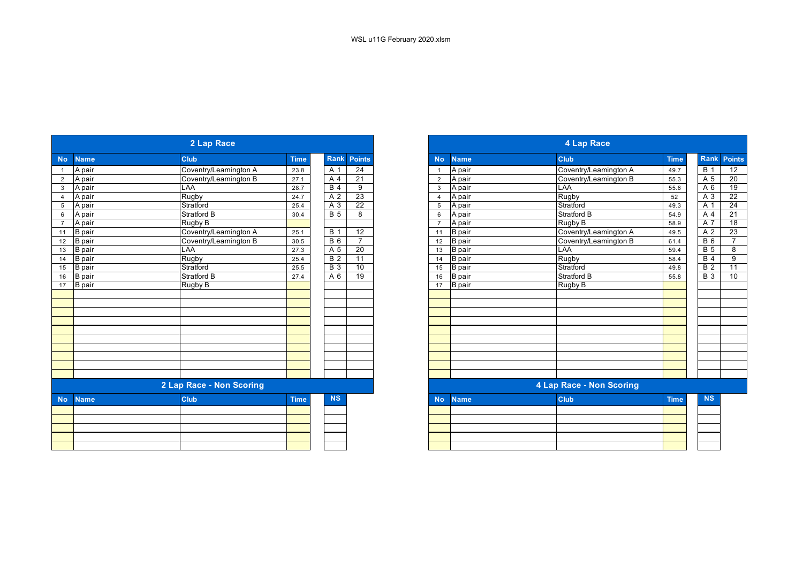|                |               | 2 Lap Race               | 4 Lap Race  |                  |                          |                |               |                       |             |
|----------------|---------------|--------------------------|-------------|------------------|--------------------------|----------------|---------------|-----------------------|-------------|
| <b>No</b>      | <b>Name</b>   | <b>Club</b>              | <b>Time</b> | <b>Rank</b>      | <b>Points</b>            | <b>No</b>      | <b>Name</b>   | Club                  | <b>Time</b> |
|                | A pair        | Coventry/Leamington A    | 23.8        | A 1              | $\overline{24}$          | $\overline{1}$ | A pair        | Coventry/Leamington A | 49.7        |
| $\overline{2}$ | A pair        | Coventry/Leamington B    | 27.1        | A 4              | $\overline{21}$          | $\overline{2}$ | A pair        | Coventry/Leamington B | 55.3        |
| $\mathbf{3}$   | A pair        | LAA                      | 28.7        | $\overline{B4}$  | 9                        | 3              | A pair        | LAA                   | 55.6        |
|                | A pair        | Rugby                    | 24.7        | A 2              | 23                       | $\overline{4}$ | A pair        | Rugby                 | 52          |
| 5              | A pair        | Stratford                | 25.4        | A 3              | $\overline{22}$          | 5              | A pair        | Stratford             | 49.3        |
| 6              | A pair        | Stratford B              | 30.4        | <b>B</b> 5       | 8                        | 6              | A pair        | Stratford B           | 54.9        |
|                | A pair        | Rugby B                  |             |                  |                          | $\overline{7}$ | A pair        | Rugby B               | 58.9        |
| 11             | <b>B</b> pair | Coventry/Leamington A    | 25.1        | <b>B</b> 1       | 12                       | 11             | <b>B</b> pair | Coventry/Leamington A | 49.5        |
| 12             | <b>B</b> pair | Coventry/Leamington B    | 30.5        | <b>B</b> 6       | $\overline{7}$           | 12             | <b>B</b> pair | Coventry/Leamington B | 61.4        |
| 13             | B pair        | <b>LAA</b>               | 27.3        | A 5              | 20                       | 13             | <b>B</b> pair | LAA                   | 59.4        |
| 14             | <b>B</b> pair | <b>Rugby</b>             | 25.4        | <b>B</b> 2       | $\overline{11}$          | 14             | <b>B</b> pair | Rugby                 | 58.4        |
| 15             | <b>B</b> pair | Stratford                | 25.5        | $\overline{B}$ 3 | 10                       | 15             | <b>B</b> pair | Stratford             | 49.8        |
| 16             | <b>B</b> pair | <b>Stratford B</b>       | 27.4        | A 6              | 19                       | 16             | <b>B</b> pair | Stratford B           | 55.8        |
| 17             | B pair        | Rugby B                  |             |                  |                          | 17             | <b>B</b> pair | Rugby B               |             |
|                |               |                          |             |                  |                          |                |               |                       |             |
|                |               |                          |             |                  |                          |                |               |                       |             |
|                |               |                          |             |                  |                          |                |               |                       |             |
|                |               |                          |             |                  |                          |                |               |                       |             |
|                |               |                          |             |                  |                          |                |               |                       |             |
|                |               |                          |             |                  |                          |                |               |                       |             |
|                |               |                          |             |                  |                          |                |               |                       |             |
|                |               |                          |             |                  |                          |                |               |                       |             |
|                |               |                          |             |                  |                          |                |               |                       |             |
|                |               |                          |             |                  |                          |                |               |                       |             |
|                |               | 2 Lap Race - Non Scoring |             |                  | 4 Lap Race - Non Scoring |                |               |                       |             |
| <b>No</b>      | <b>Name</b>   | <b>Club</b>              | <b>Time</b> | <b>NS</b>        |                          | <b>No</b>      | <b>Name</b>   | <b>Club</b>           | <b>Time</b> |
|                |               |                          |             |                  |                          |                |               |                       |             |
|                |               |                          |             |                  |                          |                |               |                       |             |
|                |               |                          |             |                  |                          |                |               |                       |             |
|                |               |                          |             |                  |                          |                |               |                       |             |
|                |               |                          |             |                  |                          |                |               |                       |             |

|                          |  | 2 Lap Race            |             |  |                  |                 |
|--------------------------|--|-----------------------|-------------|--|------------------|-----------------|
| <b>Name</b>              |  | <b>Club</b>           | <b>Time</b> |  | <b>Rank</b>      | <b>Points</b>   |
| A pair                   |  | Coventry/Leamington A | 23.8        |  | A 1              | $\overline{24}$ |
| A pair                   |  | Coventry/Leamington B | 27.1        |  | A 4              | 21              |
| A pair                   |  | LAA                   | 28.7        |  | $\overline{B4}$  | 9               |
| A pair                   |  | Rugby                 | 24.7        |  | A 2              | 23              |
| A pair                   |  | Stratford             | 25.4        |  | A 3              | $\overline{22}$ |
| A pair                   |  | Stratford B           | 30.4        |  | <b>B</b> 5       | 8               |
| A pair                   |  | Rugby B               |             |  |                  |                 |
| <b>B</b> pair            |  | Coventry/Leamington A | 25.1        |  | <b>B</b> 1       | 12              |
| <b>B</b> pair            |  | Coventry/Leamington B | 30.5        |  | $B_6$            | $\overline{7}$  |
| <b>B</b> pair            |  | LAA                   | 27.3        |  | A 5              | 20              |
| <b>B</b> pair            |  | Rugby                 | 25.4        |  | $\overline{B}$ 2 | 11              |
| <b>B</b> pair            |  | Stratford             | 25.5        |  | $\overline{B}$ 3 | 10              |
| <b>B</b> pair            |  | Stratford B           | 27.4        |  | A 6              | 19              |
| <b>B</b> pair            |  | Rugby B               |             |  |                  |                 |
|                          |  |                       |             |  |                  |                 |
|                          |  |                       |             |  |                  |                 |
|                          |  |                       |             |  |                  |                 |
|                          |  |                       |             |  |                  |                 |
|                          |  |                       |             |  |                  |                 |
|                          |  |                       |             |  |                  |                 |
|                          |  |                       |             |  |                  |                 |
|                          |  |                       |             |  |                  |                 |
|                          |  |                       |             |  |                  |                 |
|                          |  |                       |             |  |                  |                 |
| 2 Lap Race - Non Scoring |  |                       |             |  |                  |                 |
| <b>No</b><br><b>Name</b> |  | <b>Club</b>           | <b>Time</b> |  | <b>NS</b>        |                 |
|                          |  |                       |             |  |                  |                 |
|                          |  |                       |             |  |                  |                 |
|                          |  |                       |             |  |                  |                 |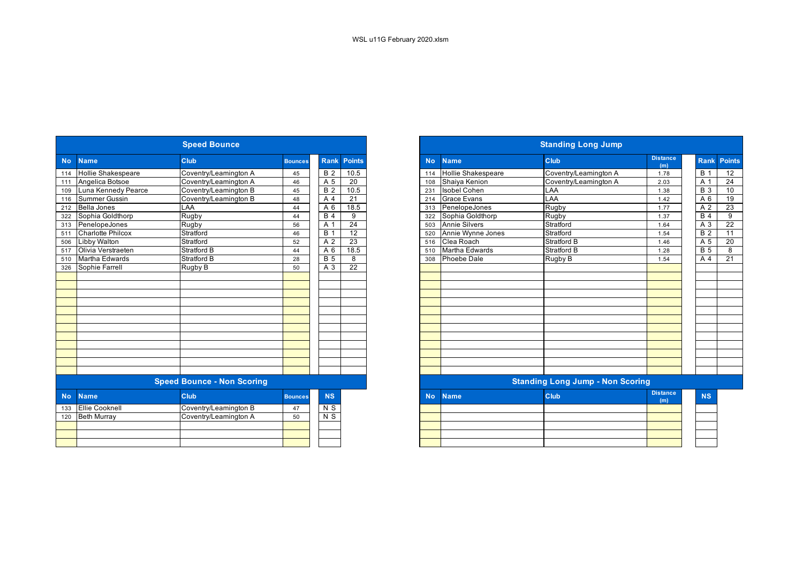|           |                           | <b>Speed Bounce</b>               |                |                  |                 | <b>Standing Long Jump</b> |                           |                                         |                        |  |  |
|-----------|---------------------------|-----------------------------------|----------------|------------------|-----------------|---------------------------|---------------------------|-----------------------------------------|------------------------|--|--|
| <b>No</b> | <b>Name</b>               | Club                              | <b>Bounces</b> | <b>Rank</b>      | <b>Points</b>   | <b>No</b>                 | <b>Name</b>               | <b>Club</b>                             | <b>Distance</b><br>(m) |  |  |
| 114       | <b>Hollie Shakespeare</b> | Coventry/Leamington A             | 45             | <b>B</b> 2       | 10.5            | 114                       | <b>Hollie Shakespeare</b> | Coventry/Leamington A                   | 1.78                   |  |  |
| 111       | Angelica Botsoe           | Coventry/Leamington A             | 46             | A 5              | $\overline{20}$ | 108                       | Shaiya Kenion             | Coventry/Leamington A                   | 2.03                   |  |  |
| 109       | Luna Kennedy Pearce       | Coventry/Leamington B             | 45             | B <sub>2</sub>   | 10.5            | 231                       | <b>Isobel Cohen</b>       | LAA                                     | 1.38                   |  |  |
| 116       | <b>Summer Gussin</b>      | Coventry/Leamington B             | 48             | A 4              | 21              | 214                       | <b>Grace Evans</b>        | LAA                                     | 1.42                   |  |  |
| 212       | <b>Bella Jones</b>        | LAA                               | 44             | A 6              | 18.5            | 313                       | PenelopeJones             | Rugby                                   | 1.77                   |  |  |
| 322       | Sophia Goldthorp          | Rugby                             | 44             | B <sub>4</sub>   | 9               | 322                       | Sophia Goldthorp          | Rugby                                   | 1.37                   |  |  |
| 313       | PenelopeJones             | Rugby                             | 56             | A 1              | 24              | 503                       | Annie Silvers             | Stratford                               | 1.64                   |  |  |
| 511       | <b>Charlotte Philcox</b>  | Stratford                         | 46             | B <sub>1</sub>   | 12              | 520                       | Annie Wynne Jones         | Stratford                               | 1.54                   |  |  |
| 506       | <b>Libby Walton</b>       | Stratford                         | 52             | A 2              | 23              | 516                       | Clea Roach                | Stratford B                             | 1.46                   |  |  |
| 517       | Olivia Verstraeten        | <b>Stratford B</b>                | 44             | A 6              | 18.5            | 510                       | Martha Edwards            | Stratford B                             | 1.28                   |  |  |
| 510       | Martha Edwards            | Stratford B                       | 28             | $\overline{B}$ 5 | 8               | 308                       | <b>Phoebe Dale</b>        | Rugby B                                 | 1.54                   |  |  |
| 326       | Sophie Farrell            | Rugby B                           | 50             | A 3              | $\overline{22}$ |                           |                           |                                         |                        |  |  |
|           |                           |                                   |                |                  |                 |                           |                           |                                         |                        |  |  |
|           |                           |                                   |                |                  |                 |                           |                           |                                         |                        |  |  |
|           |                           |                                   |                |                  |                 |                           |                           |                                         |                        |  |  |
|           |                           |                                   |                |                  |                 |                           |                           |                                         |                        |  |  |
|           |                           |                                   |                |                  |                 |                           |                           |                                         |                        |  |  |
|           |                           |                                   |                |                  |                 |                           |                           |                                         |                        |  |  |
|           |                           |                                   |                |                  |                 |                           |                           |                                         |                        |  |  |
|           |                           |                                   |                |                  |                 |                           |                           |                                         |                        |  |  |
|           |                           |                                   |                |                  |                 |                           |                           |                                         |                        |  |  |
|           |                           |                                   |                |                  |                 |                           |                           |                                         |                        |  |  |
|           |                           |                                   |                |                  |                 |                           |                           |                                         |                        |  |  |
|           |                           |                                   |                |                  |                 |                           |                           |                                         |                        |  |  |
|           |                           | <b>Speed Bounce - Non Scoring</b> |                |                  |                 |                           |                           | <b>Standing Long Jump - Non Scoring</b> |                        |  |  |
| <b>No</b> | <b>Name</b>               | <b>Club</b>                       | <b>Bounces</b> | <b>NS</b>        |                 | <b>No</b>                 | <b>Name</b>               | <b>Club</b>                             | <b>Distance</b><br>(m) |  |  |
| 133       | <b>Ellie Cooknell</b>     | Coventry/Leamington B             | 47             | $N$ S            |                 |                           |                           |                                         |                        |  |  |
| 120       | <b>Beth Murray</b>        | Coventry/Leamington A             | 50             | $\overline{N}$ S |                 |                           |                           |                                         |                        |  |  |
|           |                           |                                   |                |                  |                 |                           |                           |                                         |                        |  |  |
|           |                           |                                   |                |                  |                 |                           |                           |                                         |                        |  |  |
|           |                           |                                   |                |                  |                 |                           |                           |                                         |                        |  |  |

| <b>Speed Bounce</b> |                          |                                   |                |                  |                 |           | <b>Standing Long Jump</b> |                                         |                        |                    |  |  |  |
|---------------------|--------------------------|-----------------------------------|----------------|------------------|-----------------|-----------|---------------------------|-----------------------------------------|------------------------|--------------------|--|--|--|
| <b>No</b>           | <b>Name</b>              | <b>Club</b>                       | <b>Bounces</b> | <b>Rank</b>      | <b>Points</b>   | <b>No</b> | <b>Name</b>               | Club                                    | <b>Distance</b><br>(m) | <b>Rank Points</b> |  |  |  |
|                     | 114 Hollie Shakespeare   | Coventry/Leamington A             | 45             | $\overline{B}$ 2 | 10.5            | 114       | <b>Hollie Shakespeare</b> | Coventry/Leamington A                   | 1.78                   | <b>B</b> 1         |  |  |  |
|                     | 111 Angelica Botsoe      | Coventry/Leamington A             | 46             | A 5              | $\overline{20}$ | 108       | Shaiya Kenion             | Coventry/Leamington A                   | 2.03                   | A 1                |  |  |  |
| 109                 | Luna Kennedy Pearce      | Coventry/Leamington B             | 45             | <b>B</b> 2       | 10.5            | 231       | <b>Isobel Cohen</b>       | LAA                                     | 1.38                   | <b>B</b> 3         |  |  |  |
| 116                 | <b>Summer Gussin</b>     | Coventry/Leamington B             | 48             | A 4              | 21              | 214       | <b>Grace Evans</b>        | LAA                                     | 1.42                   | A 6                |  |  |  |
|                     | 212 Bella Jones          | LAA                               | 44             | A 6              | 18.5            | 313       | PenelopeJones             | <b>Rugby</b>                            | 1.77                   | A 2                |  |  |  |
| 322                 | Sophia Goldthorp         | Rugby                             | 44             | <b>B</b> 4       | 9               | 322       | Sophia Goldthorp          | Rugby                                   | 1.37                   | <b>B</b> 4         |  |  |  |
| 313                 | PenelopeJones            | Rugby                             | 56             | A 1              | $\overline{24}$ | 503       | <b>Annie Silvers</b>      | Stratford                               | 1.64                   | A 3                |  |  |  |
| 511                 | <b>Charlotte Philcox</b> | Stratford                         | 46             | <b>B</b> 1       | 12              | 520       | Annie Wynne Jones         | Stratford                               | 1.54                   | <b>B</b> 2         |  |  |  |
| 506                 | <b>Libby Walton</b>      | Stratford                         | 52             | A 2              | $\overline{23}$ | 516       | Clea Roach                | <b>Stratford B</b>                      | 1.46                   | A 5                |  |  |  |
| 517                 | Olivia Verstraeten       | Stratford B                       | 44             | A 6              | 18.5            | 510       | Martha Edwards            | <b>Stratford B</b>                      | 1.28                   | <b>B</b> 5         |  |  |  |
| $\overline{510}$    | Martha Edwards           | Stratford B                       | 28             | <b>B</b> 5       | 8               | 308       | <b>Phoebe Dale</b>        | Rugby B                                 | 1.54                   | A 4                |  |  |  |
| 326                 | Sophie Farrell           | Rugby B                           | 50             | A 3              | $\overline{22}$ |           |                           |                                         |                        |                    |  |  |  |
|                     |                          |                                   |                |                  |                 |           |                           |                                         |                        |                    |  |  |  |
|                     |                          |                                   |                |                  |                 |           |                           |                                         |                        |                    |  |  |  |
|                     |                          |                                   |                |                  |                 |           |                           |                                         |                        |                    |  |  |  |
|                     |                          |                                   |                |                  |                 |           |                           |                                         |                        |                    |  |  |  |
|                     |                          |                                   |                |                  |                 |           |                           |                                         |                        |                    |  |  |  |
|                     |                          |                                   |                |                  |                 |           |                           |                                         |                        |                    |  |  |  |
|                     |                          |                                   |                |                  |                 |           |                           |                                         |                        |                    |  |  |  |
|                     |                          |                                   |                |                  |                 |           |                           |                                         |                        |                    |  |  |  |
|                     |                          |                                   |                |                  |                 |           |                           |                                         |                        |                    |  |  |  |
|                     |                          |                                   |                |                  |                 |           |                           |                                         |                        |                    |  |  |  |
|                     |                          |                                   |                |                  |                 |           |                           |                                         |                        |                    |  |  |  |
|                     |                          |                                   |                |                  |                 |           |                           |                                         |                        |                    |  |  |  |
|                     |                          | <b>Speed Bounce - Non Scoring</b> |                |                  |                 |           |                           | <b>Standing Long Jump - Non Scoring</b> |                        |                    |  |  |  |
| <b>No</b>           | <b>Name</b>              | Club                              | <b>Bounces</b> | <b>NS</b>        |                 | <b>No</b> | <b>Name</b>               | Club                                    | <b>Distance</b><br>(m) | <b>NS</b>          |  |  |  |
| 133                 | <b>Ellie Cooknell</b>    | Coventry/Leamington B             | 47             | N S              |                 |           |                           |                                         |                        |                    |  |  |  |
| 120                 | <b>Beth Murray</b>       | Coventry/Leamington A             | 50             | N S              |                 |           |                           |                                         |                        |                    |  |  |  |
|                     |                          |                                   |                |                  |                 |           |                           |                                         |                        |                    |  |  |  |
|                     |                          |                                   |                |                  |                 |           |                           |                                         |                        |                    |  |  |  |
|                     |                          |                                   |                |                  |                 |           |                           |                                         |                        |                    |  |  |  |
|                     |                          |                                   |                |                  |                 |           |                           |                                         |                        |                    |  |  |  |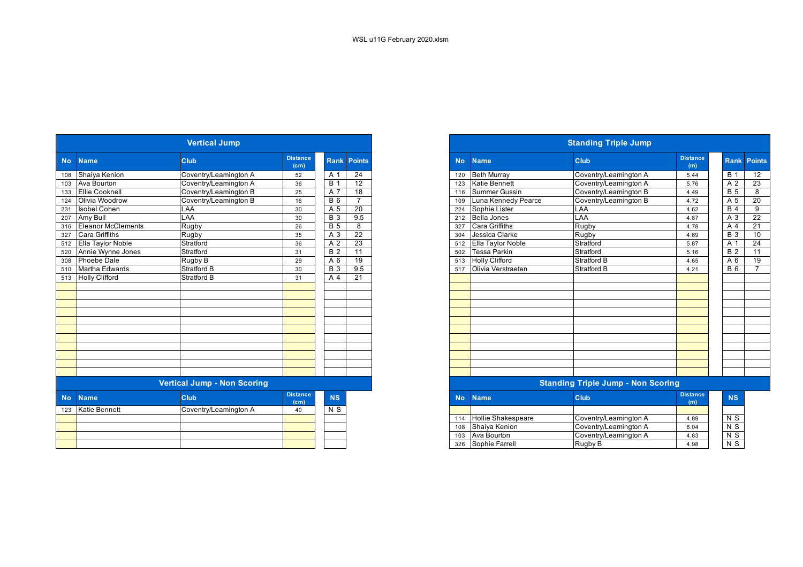| <b>Vertical Jump</b> |                       |                                    |                                      |                  |                    |  |  |  |  |  |  |  |
|----------------------|-----------------------|------------------------------------|--------------------------------------|------------------|--------------------|--|--|--|--|--|--|--|
| <b>No</b>            | <b>Name</b>           | Club                               | <b>Distance</b><br>(c <sub>m</sub> ) |                  | <b>Rank Points</b> |  |  |  |  |  |  |  |
| 108                  | Shaiya Kenion         | Coventry/Leamington A              | 52                                   | A 1              | 24                 |  |  |  |  |  |  |  |
| 103                  | Ava Bourton           | Coventry/Leamington A              | 36                                   | <b>B</b> 1       | 12                 |  |  |  |  |  |  |  |
| 133                  | <b>Ellie Cooknell</b> | Coventry/Leamington B              | 25                                   | A 7              | 18                 |  |  |  |  |  |  |  |
| 124                  | Olivia Woodrow        | Coventry/Leamington B              | 16                                   | <b>B</b> 6       | $\overline{7}$     |  |  |  |  |  |  |  |
| 231                  | <b>Isobel Cohen</b>   | LAA                                | 30                                   | A 5              | $\overline{20}$    |  |  |  |  |  |  |  |
| 207                  | Amy Bull              | LAA                                | 30                                   | <b>B</b> 3       | 9.5                |  |  |  |  |  |  |  |
| 316                  | Eleanor McClements    | Rugby                              | 26                                   | <b>B</b> 5       | 8                  |  |  |  |  |  |  |  |
| 327                  | Cara Griffiths        | Rugby                              | 35                                   | A <sub>3</sub>   | 22                 |  |  |  |  |  |  |  |
| 512                  | Ella Taylor Noble     | Stratford                          | 36                                   | A <sub>2</sub>   | 23                 |  |  |  |  |  |  |  |
| 520                  | Annie Wynne Jones     | Stratford                          | 31                                   | $B\overline{2}$  | 11                 |  |  |  |  |  |  |  |
| 308                  | <b>Phoebe Dale</b>    | Rugby B                            | 29                                   | A 6              | 19                 |  |  |  |  |  |  |  |
| 510                  | Martha Edwards        | <b>Stratford B</b>                 | 30                                   | $\overline{B}$ 3 | 9.5                |  |  |  |  |  |  |  |
| 513                  | <b>Holly Clifford</b> | Stratford B                        | 31                                   | A $\overline{4}$ | 21                 |  |  |  |  |  |  |  |
|                      |                       |                                    |                                      |                  |                    |  |  |  |  |  |  |  |
|                      |                       |                                    |                                      |                  |                    |  |  |  |  |  |  |  |
|                      |                       |                                    |                                      |                  |                    |  |  |  |  |  |  |  |
|                      |                       |                                    |                                      |                  |                    |  |  |  |  |  |  |  |
|                      |                       |                                    |                                      |                  |                    |  |  |  |  |  |  |  |
|                      |                       |                                    |                                      |                  |                    |  |  |  |  |  |  |  |
|                      |                       |                                    |                                      |                  |                    |  |  |  |  |  |  |  |
|                      |                       |                                    |                                      |                  |                    |  |  |  |  |  |  |  |
|                      |                       |                                    |                                      |                  |                    |  |  |  |  |  |  |  |
|                      |                       |                                    |                                      |                  |                    |  |  |  |  |  |  |  |
|                      |                       |                                    |                                      |                  |                    |  |  |  |  |  |  |  |
|                      |                       | <b>Vertical Jump - Non Scoring</b> |                                      |                  |                    |  |  |  |  |  |  |  |
| <b>No</b>            | <b>Name</b>           | Club                               | <b>Distance</b><br>(cm)              | <b>NS</b>        |                    |  |  |  |  |  |  |  |
| 123                  | Katie Bennett         | Coventry/Leamington A              | 40                                   | N S              |                    |  |  |  |  |  |  |  |
|                      |                       |                                    |                                      |                  |                    |  |  |  |  |  |  |  |
|                      |                       |                                    |                                      |                  |                    |  |  |  |  |  |  |  |
|                      |                       |                                    |                                      |                  |                    |  |  |  |  |  |  |  |
|                      |                       |                                    |                                      |                  |                    |  |  |  |  |  |  |  |
|                      |                       |                                    |                                      |                  |                    |  |  |  |  |  |  |  |

|                             |                        | <b>Vertical Jump</b>  |                         |                 |                 |  |  |  |  |  |
|-----------------------------|------------------------|-----------------------|-------------------------|-----------------|-----------------|--|--|--|--|--|
| <b>No</b>                   | <b>Name</b>            | <b>Club</b>           | <b>Distance</b><br>(cm) | <b>Rank</b>     | <b>Points</b>   |  |  |  |  |  |
| 108                         | Shaiya Kenion          | Coventry/Leamington A | 52                      | A 1             | 24              |  |  |  |  |  |
|                             | 103 Ava Bourton        | Coventry/Leamington A | 36                      | B               | $\overline{12}$ |  |  |  |  |  |
|                             | 133 Ellie Cooknell     | Coventry/Leamington B | 25                      | A 7             | 18              |  |  |  |  |  |
|                             | Olivia Woodrow         | Coventry/Leamington B | 16                      | <b>B</b> 6      |                 |  |  |  |  |  |
|                             | 231 Isobel Cohen       | LAA                   | 30                      | A 5             | $\overline{20}$ |  |  |  |  |  |
|                             | Amy Bull               | _AA                   | 30                      | <b>B</b> 3      | 9.5             |  |  |  |  |  |
|                             | 316 Eleanor McClements | Rugby                 | 26                      | $\overline{B}5$ | 8               |  |  |  |  |  |
|                             | Cara Griffiths         | Rugby                 | 35                      | A 3             | $\overline{22}$ |  |  |  |  |  |
| 520                         | 512 Ella Taylor Noble  | Stratford             | 36                      | A 2             | $\overline{23}$ |  |  |  |  |  |
|                             | Annie Wynne Jones      | Stratford             | 31                      | <b>B</b> 2      | 11              |  |  |  |  |  |
|                             | Phoebe Dale            | Rugby B               | 29                      | A 6             | 19              |  |  |  |  |  |
|                             | 510 Martha Edwards     | Stratford B           | 30                      | <b>B</b> 3      | 9.5             |  |  |  |  |  |
|                             | 513 Holly Clifford     | <b>Stratford B</b>    | 31                      | A 4             | 21              |  |  |  |  |  |
|                             |                        |                       |                         |                 |                 |  |  |  |  |  |
|                             |                        |                       |                         |                 |                 |  |  |  |  |  |
|                             |                        |                       |                         |                 |                 |  |  |  |  |  |
|                             |                        |                       |                         |                 |                 |  |  |  |  |  |
|                             |                        |                       |                         |                 |                 |  |  |  |  |  |
|                             |                        |                       |                         |                 |                 |  |  |  |  |  |
|                             |                        |                       |                         |                 |                 |  |  |  |  |  |
|                             |                        |                       |                         |                 |                 |  |  |  |  |  |
|                             |                        |                       |                         |                 |                 |  |  |  |  |  |
|                             |                        |                       |                         |                 |                 |  |  |  |  |  |
|                             |                        |                       |                         |                 |                 |  |  |  |  |  |
| Vartical Jumn - Non Scoring |                        |                       |                         |                 |                 |  |  |  |  |  |

## **Standing Triple Jump - Non Scoring**

| stance<br>(cm) | <b>NS</b> | No. | <b>Name</b>               | Club                  | <b>Distance</b><br>(m) |
|----------------|-----------|-----|---------------------------|-----------------------|------------------------|
|                | N S       |     |                           |                       |                        |
|                |           | 114 | <b>Hollie Shakespeare</b> | Coventry/Leamington A | 4.89                   |
|                |           | 108 | Shaiva Kenion             | Coventry/Leamington A | 6.04                   |
|                |           | 103 | Ava Bourton               | Coventry/Leamington A | 4.83                   |
|                |           | 326 | Sophie Farrell            | Rugby B               | 4.98                   |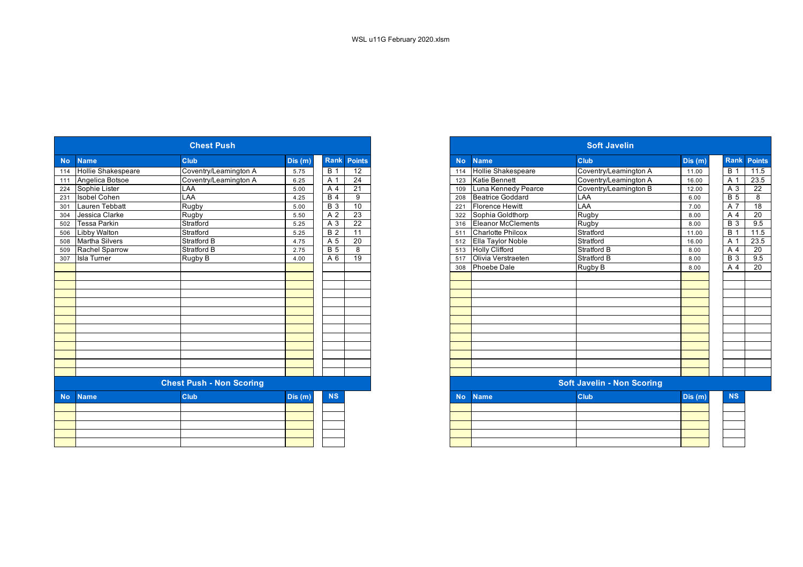|           |                           | <b>Chest Push</b>               |         |                |                    | <b>Soft Javelin</b> |                           |                                   |        |  |  |
|-----------|---------------------------|---------------------------------|---------|----------------|--------------------|---------------------|---------------------------|-----------------------------------|--------|--|--|
|           | <b>Name</b>               | <b>Club</b>                     | Dis (m) |                | <b>Rank Points</b> | <b>No</b>           | <b>Name</b>               | <b>Club</b>                       | Dis(m) |  |  |
| 114       | <b>Hollie Shakespeare</b> | Coventry/Leamington A           | 5.75    | B <sub>1</sub> | $\overline{12}$    | 114                 | <b>Hollie Shakespeare</b> | Coventry/Leamington A             | 11.00  |  |  |
|           | Angelica Botsoe           | Coventry/Leamington A           | 6.25    | A 1            | $\overline{24}$    | 123                 | <b>Katie Bennett</b>      | Coventry/Leamington A             | 16.00  |  |  |
|           | 224 Sophie Lister         | LAA                             | 5.00    | A 4            | $\overline{21}$    | 109                 | Luna Kennedy Pearce       | Coventry/Leamington B             | 12.00  |  |  |
|           | <b>Isobel Cohen</b>       | LAA                             | 4.25    | <b>B4</b>      | 9                  | 208                 | Beatrice Goddard          | LAA                               | 6.00   |  |  |
|           | Lauren Tebbatt            | <b>Rugby</b>                    | 5.00    | <b>B</b> 3     | 10                 | 221                 | <b>Florence Hewitt</b>    | LAA                               | 7.00   |  |  |
|           | Jessica Clarke            | Rugby                           | 5.50    | A 2            | 23                 | 322                 | Sophia Goldthorp          | Rugby                             | 8.00   |  |  |
| 502       | <b>Tessa Parkin</b>       | Stratford                       | 5.25    | A 3            | 22                 | 316                 | Eleanor McClements        | Rugby                             | 8.00   |  |  |
| 506       | Libby Walton              | Stratford                       | 5.25    | B <sub>2</sub> | $\overline{11}$    | 511                 | <b>Charlotte Philcox</b>  | Stratford                         | 11.00  |  |  |
| 508       | <b>Martha Silvers</b>     | <b>Stratford B</b>              | 4.75    | A 5            | 20                 | 512                 | Ella Taylor Noble         | Stratford                         | 16.00  |  |  |
| 509       | Rachel Sparrow            | <b>Stratford B</b>              | 2.75    | <b>B</b> 5     | 8                  | 513                 | <b>Holly Clifford</b>     | Stratford B                       | 8.00   |  |  |
| 307       | <b>Isla Turner</b>        | Rugby B                         | 4.00    | A 6            | 19                 | 517                 | Olivia Verstraeten        | Stratford B                       | 8.00   |  |  |
|           |                           |                                 |         |                |                    | 308                 | Phoebe Dale               | Rugby B                           | 8.00   |  |  |
|           |                           |                                 |         |                |                    |                     |                           |                                   |        |  |  |
|           |                           |                                 |         |                |                    |                     |                           |                                   |        |  |  |
|           |                           |                                 |         |                |                    |                     |                           |                                   |        |  |  |
|           |                           |                                 |         |                |                    |                     |                           |                                   |        |  |  |
|           |                           |                                 |         |                |                    |                     |                           |                                   |        |  |  |
|           |                           |                                 |         |                |                    |                     |                           |                                   |        |  |  |
|           |                           |                                 |         |                |                    |                     |                           |                                   |        |  |  |
|           |                           |                                 |         |                |                    |                     |                           |                                   |        |  |  |
|           |                           |                                 |         |                |                    |                     |                           |                                   |        |  |  |
|           |                           |                                 |         |                |                    |                     |                           |                                   |        |  |  |
|           |                           |                                 |         |                |                    |                     |                           |                                   |        |  |  |
|           |                           |                                 |         |                |                    |                     |                           |                                   |        |  |  |
|           |                           | <b>Chest Push - Non Scoring</b> |         |                |                    |                     |                           | <b>Soft Javelin - Non Scoring</b> |        |  |  |
| <b>No</b> | <b>Name</b>               | <b>Club</b>                     | Dis(m)  | <b>NS</b>      |                    | <b>No</b>           | <b>Name</b>               | <b>Club</b>                       | Dis(m) |  |  |
|           |                           |                                 |         |                |                    |                     |                           |                                   |        |  |  |
|           |                           |                                 |         |                |                    |                     |                           |                                   |        |  |  |
|           |                           |                                 |         |                |                    |                     |                           |                                   |        |  |  |
|           |                           |                                 |         |                |                    |                     |                           |                                   |        |  |  |
|           |                           |                                 |         |                |                    |                     |                           |                                   |        |  |  |

|           |                           | <b>Chest Push</b>               |        |                  |                    |
|-----------|---------------------------|---------------------------------|--------|------------------|--------------------|
| No        | <b>Name</b>               | <b>Club</b>                     | Dis(m) |                  | <b>Rank Points</b> |
| 114       | <b>Hollie Shakespeare</b> | Coventry/Leamington A           | 5.75   | $\overline{B}$ 1 | $\overline{12}$    |
| 111       | Angelica Botsoe           | Coventry/Leamington A           | 6.25   | A 1              | 24                 |
|           | 224 Sophie Lister         | <b>LAA</b>                      | 5.00   | A 4              | $\overline{21}$    |
| 231       | <b>Isobel Cohen</b>       | LAA                             | 4.25   | $\overline{B4}$  | 9                  |
| 301       | <b>Lauren Tebbatt</b>     | Rugby                           | 5.00   | <b>B</b> 3       | 10                 |
| 304       | Jessica Clarke            | Rugby                           | 5.50   | A 2              | 23                 |
| 502       | <b>Tessa Parkin</b>       | Stratford                       | 5.25   | A 3              | $\overline{22}$    |
| 506       | <b>Libby Walton</b>       | Stratford                       | 5.25   | B <sub>2</sub>   | 11                 |
| 508       | <b>Martha Silvers</b>     | <b>Stratford B</b>              | 4.75   | A 5              | 20                 |
| 509       | Rachel Sparrow            | <b>Stratford B</b>              | 2.75   | <b>B</b> 5       | 8                  |
| 307       | <b>Isla Turner</b>        | Rugby B                         | 4.00   | A 6              | 19                 |
|           |                           |                                 |        |                  |                    |
|           |                           |                                 |        |                  |                    |
|           |                           |                                 |        |                  |                    |
|           |                           |                                 |        |                  |                    |
|           |                           |                                 |        |                  |                    |
|           |                           |                                 |        |                  |                    |
|           |                           |                                 |        |                  |                    |
|           |                           |                                 |        |                  |                    |
|           |                           |                                 |        |                  |                    |
|           |                           |                                 |        |                  |                    |
|           |                           |                                 |        |                  |                    |
|           |                           |                                 |        |                  |                    |
|           |                           |                                 |        |                  |                    |
|           |                           | <b>Chest Push - Non Scoring</b> |        |                  |                    |
| <b>No</b> | <b>Name</b>               | <b>Club</b>                     | Dis(m) | <b>NS</b>        |                    |
|           |                           |                                 |        |                  |                    |
|           |                           |                                 |        |                  |                    |
|           |                           |                                 |        |                  |                    |
|           |                           |                                 |        |                  |                    |
|           |                           |                                 |        |                  |                    |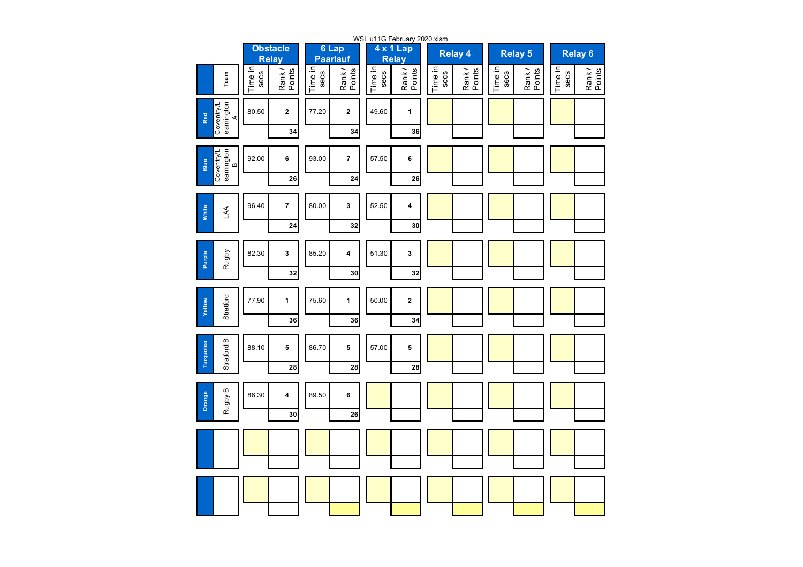| WSL u11G February 2020.xlsm         |                                 |                 |                 |                          |                 |                           |                 |                  |                 |                  |                    |                  |  |
|-------------------------------------|---------------------------------|-----------------|-----------------|--------------------------|-----------------|---------------------------|-----------------|------------------|-----------------|------------------|--------------------|------------------|--|
|                                     | <b>Obstacle</b><br><b>Relay</b> |                 |                 | 6 Lap<br><b>Paarlauf</b> |                 | 4 x 1 Lap<br><b>Relay</b> |                 | <b>Relay 4</b>   |                 | <b>Relay 5</b>   | Relay <sub>6</sub> |                  |  |
| Team                                | Time in<br>secs                 | Rank/<br>Points | Time in<br>secs | Points<br>Rank/          | Time in<br>secs | Rank/<br>Points           | Time in<br>secs | Rank /<br>Points | Time in<br>secs | Rank /<br>Points | Time in<br>secs    | Rank /<br>Points |  |
| Coventry/L<br>eamington<br>A<br>Red | 80.50                           | $\mathbf{2}$    | 77.20           | $\mathbf{2}$             | 49.60           | 1                         |                 |                  |                 |                  |                    |                  |  |
|                                     |                                 | 34              |                 | 34                       |                 | 36                        |                 |                  |                 |                  |                    |                  |  |
| Coventry/L<br>eamington<br>Blue     | 92.00                           | 6               | 93.00           | $\pmb{7}$                | 57.50           | 6                         |                 |                  |                 |                  |                    |                  |  |
|                                     |                                 | 26              |                 | 24                       |                 | 26                        |                 |                  |                 |                  |                    |                  |  |
| White<br>ΑA                         | 96.40                           | 7               | 80.00           | 3                        | 52.50           | 4                         |                 |                  |                 |                  |                    |                  |  |
|                                     |                                 | 24              |                 | 32                       |                 | 30                        |                 |                  |                 |                  |                    |                  |  |
| Rugby<br><b>Purple</b>              | 82.30                           | 3               | 85.20           | 4                        | 51.30           | 3                         |                 |                  |                 |                  |                    |                  |  |
|                                     |                                 | 32              |                 | 30                       |                 | 32                        |                 |                  |                 |                  |                    |                  |  |
| Stratford<br>Yellow                 | 77.90                           | 1               | 75.60           | $\mathbf{1}$             | 50.00           | 2                         |                 |                  |                 |                  |                    |                  |  |
|                                     |                                 | 36              |                 | 36                       |                 | 34                        |                 |                  |                 |                  |                    |                  |  |
| m<br>Turquoise<br>Stratford         | 88.10                           | 5               | 86.70           | 5                        | 57.00           | 5                         |                 |                  |                 |                  |                    |                  |  |
|                                     |                                 | 28              |                 | 28                       |                 | 28                        |                 |                  |                 |                  |                    |                  |  |
| Rugby B<br>Orange                   | 86.30                           | 4               | 89.50           | 6                        |                 |                           |                 |                  |                 |                  |                    |                  |  |
|                                     |                                 | 30              |                 | 26                       |                 |                           |                 |                  |                 |                  |                    |                  |  |
|                                     |                                 |                 |                 |                          |                 |                           |                 |                  |                 |                  |                    |                  |  |
|                                     |                                 |                 |                 |                          |                 |                           |                 |                  |                 |                  |                    |                  |  |
|                                     |                                 |                 |                 |                          |                 |                           |                 |                  |                 |                  |                    |                  |  |
|                                     |                                 |                 |                 |                          |                 |                           |                 |                  |                 |                  |                    |                  |  |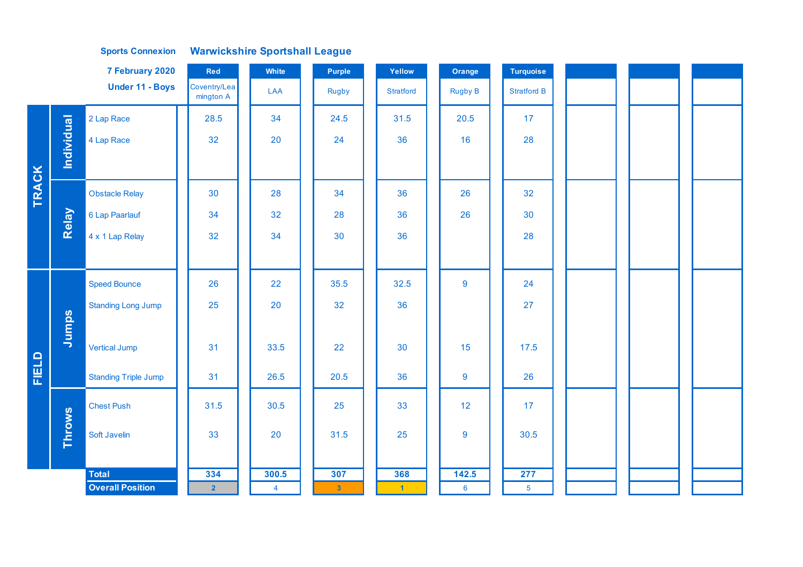## **Sports Connexion Warwickshire Sportshall League**

|              |            | 7 February 2020             | Red                       | White          | Purple         | Yellow         | Orange          | <b>Turquoise</b>   |  |  |
|--------------|------------|-----------------------------|---------------------------|----------------|----------------|----------------|-----------------|--------------------|--|--|
|              |            | <b>Under 11 - Boys</b>      | Coventry/Lea<br>mington A | LAA            | Rugby          | Stratford      | <b>Rugby B</b>  | <b>Stratford B</b> |  |  |
|              |            | 2 Lap Race                  | 28.5                      | 34             | 24.5           | 31.5           | 20.5            | 17                 |  |  |
|              | Individual | 4 Lap Race                  | 32                        | 20             | 24             | 36             | 16              | 28                 |  |  |
|              |            |                             |                           |                |                |                |                 |                    |  |  |
| <b>TRACK</b> |            | <b>Obstacle Relay</b>       | 30                        | 28             | 34             | 36             | 26              | 32                 |  |  |
|              | Relay      | 6 Lap Paarlauf              | 34                        | 32             | 28             | 36             | 26              | 30                 |  |  |
|              |            | 4 x 1 Lap Relay             | 32                        | 34             | 30             | 36             |                 | 28                 |  |  |
|              |            |                             |                           |                |                |                |                 |                    |  |  |
|              |            | <b>Speed Bounce</b>         | 26                        | 22             | 35.5           | 32.5           | $\overline{9}$  | 24                 |  |  |
|              |            | <b>Standing Long Jump</b>   | 25                        | 20             | 32             | 36             |                 | 27                 |  |  |
|              | Jumps      |                             |                           |                |                |                |                 |                    |  |  |
|              |            | <b>Vertical Jump</b>        | 31                        | 33.5           | 22             | 30             | 15              | 17.5               |  |  |
| FIELD        |            | <b>Standing Triple Jump</b> | 31                        | 26.5           | 20.5           | 36             | 9               | 26                 |  |  |
|              |            | <b>Chest Push</b>           | 31.5                      | 30.5           | 25             | 33             | 12              | 17                 |  |  |
|              | Throws     | Soft Javelin                | 33                        | 20             | 31.5           | 25             | $\overline{9}$  | 30.5               |  |  |
|              |            | <b>Total</b>                | 334                       | 300.5          | 307            | 368            | 142.5           | 277                |  |  |
|              |            | <b>Overall Position</b>     | $\overline{2}$            | $\overline{4}$ | 3 <sup>°</sup> | $\blacksquare$ | $6\overline{6}$ | 5 <sup>5</sup>     |  |  |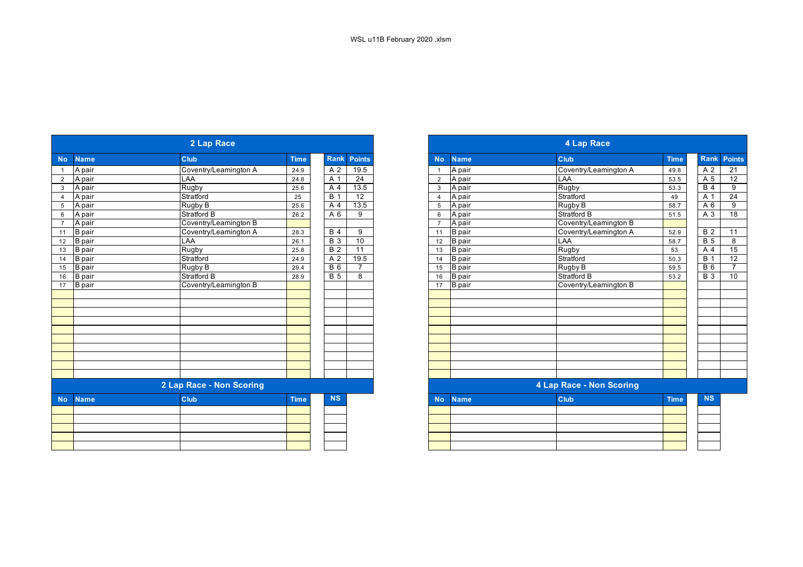|           |               | 2 Lap Race               |             |                  |                 |                |               | 4 Lap Race               |             |
|-----------|---------------|--------------------------|-------------|------------------|-----------------|----------------|---------------|--------------------------|-------------|
| <b>No</b> | <b>Name</b>   | <b>Club</b>              | <b>Time</b> | Rank             | <b>Points</b>   | <b>No</b>      | <b>Name</b>   | <b>Club</b>              | <b>Time</b> |
|           | A pair        | Coventry/Leamington A    | 24.9        | A 2              | 19.5            | $\overline{1}$ | A pair        | Coventry/Leamington A    | 49.8        |
|           | A pair        | LAA                      | 24.8        | A 1              | $\overline{24}$ | 2              | A pair        | LAA                      | 53.5        |
|           | A pair        | Rugby                    | 25.6        | A 4              | 13.5            | 3              | A pair        | Rugby                    | 53.3        |
|           | A pair        | Stratford                | 25          | $\overline{B}$ 1 | 12              | $\overline{4}$ | A pair        | Stratford                | 49          |
|           | A pair        | Rugby B                  | 25.6        | A 4              | 13.5            | 5              | A pair        | Rugby B                  | 58.7        |
| 6         | A pair        | <b>Stratford B</b>       | 26.2        | A <sub>6</sub>   | 9               | 6              | A pair        | Stratford B              | 51.5        |
|           | A pair        | Coventry/Leamington B    |             |                  |                 | $\overline{7}$ | A pair        | Coventry/Leamington B    |             |
| 11        | <b>B</b> pair | Coventry/Leamington A    | 28.3        | <b>B</b> 4       | 9               | 11             | <b>B</b> pair | Coventry/Leamington A    | 52.9        |
| 12        | <b>B</b> pair | <b>LAA</b>               | 26.1        | <b>B</b> 3       | 10              | 12             | <b>B</b> pair | LAA                      | 58.7        |
| 13        | <b>B</b> pair | Rugby                    | 25.8        | $\overline{B}$ 2 | $\overline{11}$ | 13             | <b>B</b> pair | Rugby                    | 53          |
|           | 14 B pair     | Stratford                | 24.9        | A <sub>2</sub>   | 19.5            | 14             | <b>B</b> pair | Stratford                | 50.3        |
| 15        | B pair        | Rugby B                  | 29.4        | <b>B</b> 6       | $\overline{7}$  | 15             | <b>B</b> pair | Rugby B                  | 59.5        |
| 16        | <b>B</b> pair | <b>Stratford B</b>       | 28.9        | <b>B</b> 5       | 8               | 16             | <b>B</b> pair | Stratford B              | 53.2        |
| 17        | <b>B</b> pair | Coventry/Leamington B    |             |                  |                 | 17             | <b>B</b> pair | Coventry/Leamington B    |             |
|           |               |                          |             |                  |                 |                |               |                          |             |
|           |               |                          |             |                  |                 |                |               |                          |             |
|           |               |                          |             |                  |                 |                |               |                          |             |
|           |               |                          |             |                  |                 |                |               |                          |             |
|           |               |                          |             |                  |                 |                |               |                          |             |
|           |               |                          |             |                  |                 |                |               |                          |             |
|           |               |                          |             |                  |                 |                |               |                          |             |
|           |               |                          |             |                  |                 |                |               |                          |             |
|           |               |                          |             |                  |                 |                |               |                          |             |
|           |               |                          |             |                  |                 |                |               |                          |             |
|           |               | 2 Lap Race - Non Scoring |             |                  |                 |                |               | 4 Lap Race - Non Scoring |             |
| <b>No</b> | <b>Name</b>   | <b>Club</b>              | <b>Time</b> | <b>NS</b>        |                 | <b>No</b>      | <b>Name</b>   | Club                     | <b>Time</b> |
|           |               |                          |             |                  |                 |                |               |                          |             |
|           |               |                          |             |                  |                 |                |               |                          |             |
|           |               |                          |             |                  |                 |                |               |                          |             |
|           |               |                          |             |                  |                 |                |               |                          |             |
|           |               |                          |             |                  |                 |                |               |                          |             |

|                          | 2 Lap Race            |             |                  |                 |  |  |  |  |
|--------------------------|-----------------------|-------------|------------------|-----------------|--|--|--|--|
| <b>Name</b>              | Club                  | <b>Time</b> | Rank             | <b>Points</b>   |  |  |  |  |
| A pair                   | Coventry/Leamington A | 24.9        | A 2              | 19.5            |  |  |  |  |
| A pair                   | LAA                   | 24.8        | A 1              | 24              |  |  |  |  |
| A pair                   | Rugby                 | 25.6        | A 4              | 13.5            |  |  |  |  |
| A pair                   | Stratford             | 25          | <b>B</b> 1       | 12              |  |  |  |  |
| A pair                   | Rugby B               | 25.6        | A 4              | 13.5            |  |  |  |  |
| A pair                   | Stratford B           | 26.2        | A 6              | 9               |  |  |  |  |
| A pair                   | Coventry/Leamington B |             |                  |                 |  |  |  |  |
| <b>B</b> pair            | Coventry/Leamington A | 28.3        | <b>B</b> 4       | 9               |  |  |  |  |
| <b>B</b> pair            | LAA                   | 26.1        | $\overline{B}$ 3 | 10              |  |  |  |  |
| <b>B</b> pair            | Rugby                 | 25.8        | $\overline{B}$ 2 | $\overline{11}$ |  |  |  |  |
| <b>B</b> pair            | Stratford             | 24.9        | A 2              | 19.5            |  |  |  |  |
| <b>B</b> pair            | Rugby B               | 29.4        | $\overline{B}$ 6 | $\overline{7}$  |  |  |  |  |
| <b>B</b> pair            | Stratford B           | 28.9        | <b>B</b> 5       | 8               |  |  |  |  |
| <b>B</b> pair            | Coventry/Leamington B |             |                  |                 |  |  |  |  |
|                          |                       |             |                  |                 |  |  |  |  |
|                          |                       |             |                  |                 |  |  |  |  |
|                          |                       |             |                  |                 |  |  |  |  |
|                          |                       |             |                  |                 |  |  |  |  |
|                          |                       |             |                  |                 |  |  |  |  |
|                          |                       |             |                  |                 |  |  |  |  |
|                          |                       |             |                  |                 |  |  |  |  |
|                          |                       |             |                  |                 |  |  |  |  |
|                          |                       |             |                  |                 |  |  |  |  |
|                          |                       |             |                  |                 |  |  |  |  |
| 2 Lap Race - Non Scoring |                       |             |                  |                 |  |  |  |  |
| <b>Name</b>              | Club                  | <b>Time</b> | <b>NS</b>        |                 |  |  |  |  |
|                          |                       |             |                  |                 |  |  |  |  |
|                          |                       |             |                  |                 |  |  |  |  |
|                          |                       |             |                  |                 |  |  |  |  |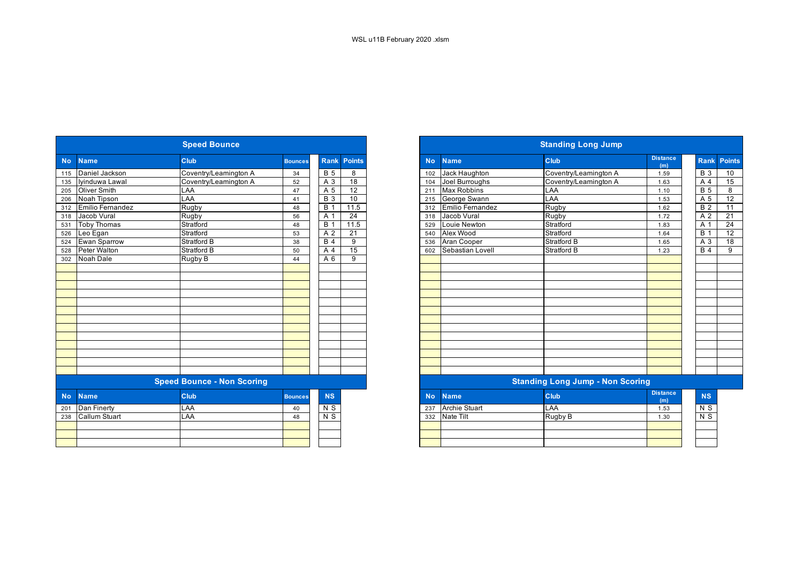|           |                      | <b>Speed Bounce</b>               |                |                  |                 | <b>Standing Long Jump</b> |                         |                                         |                        |                |  |  |
|-----------|----------------------|-----------------------------------|----------------|------------------|-----------------|---------------------------|-------------------------|-----------------------------------------|------------------------|----------------|--|--|
| <b>No</b> | <b>Name</b>          | Club                              | <b>Bounces</b> | <b>Rank</b>      | <b>Points</b>   | <b>No</b>                 | <b>Name</b>             | Club                                    | <b>Distance</b><br>(m) | Ran            |  |  |
| 115       | Daniel Jackson       | Coventry/Leamington A             | 34             | <b>B</b> 5       | 8               | 102                       | Jack Haughton           | Coventry/Leamington A                   | 1.59                   | <b>B</b> 3     |  |  |
| 135       | Iyinduwa Lawal       | Coventry/Leamington A             | 52             | $\overline{A}3$  | $\overline{18}$ | 104                       | Joel Burroughs          | Coventry/Leamington A                   | 1.63                   | A 4            |  |  |
| 205       | Oliver Smith         | LAA                               | 47             | A 5              | $\overline{12}$ | 211                       | <b>Max Robbins</b>      | LAA                                     | 1.10                   | <b>B</b> 5     |  |  |
| 206       | Noah Tipson          | <b>LAA</b>                        | 41             | $\overline{B}$ 3 | 10              | 215                       | George Swann            | <b>LAA</b>                              | 1.53                   | A 5            |  |  |
| 312       | Emilio Fernandez     | Rugby                             | 48             | $\overline{B}$ 1 | 11.5            | 312                       | <b>Emilio Fernandez</b> | Rugby                                   | 1.62                   | <b>B</b> 2     |  |  |
| 318       | Jacob Vural          | Rugby                             | 56             | A 1              | $\overline{24}$ | 318                       | Jacob Vural             | Rugby                                   | 1.72                   | A 2            |  |  |
| 531       | <b>Toby Thomas</b>   | Stratford                         | 48             | <b>B</b> 1       | 11.5            | 529                       | Louie Newton            | Stratford                               | 1.83                   | A 1            |  |  |
| 526       | Leo Egan             | Stratford                         | 53             | A 2              | $\overline{21}$ | 540                       | Alex Wood               | Stratford                               | 1.64                   | B <sub>1</sub> |  |  |
| 524       | <b>Ewan Sparrow</b>  | <b>Stratford B</b>                | 38             | $\overline{B4}$  | 9               | 536                       | Aran Cooper             | Stratford B                             | 1.65                   | $A_3$          |  |  |
| 528       | <b>Peter Walton</b>  | <b>Stratford B</b>                | 50             | A 4              | 15              | 602                       | Sebastian Lovell        | Stratford B                             | 1.23                   | B <sub>4</sub> |  |  |
| 302       | Noah Dale            | Rugby B                           | 44             | $\overline{A}$ 6 | $\overline{9}$  |                           |                         |                                         |                        |                |  |  |
|           |                      |                                   |                |                  |                 |                           |                         |                                         |                        |                |  |  |
|           |                      |                                   |                |                  |                 |                           |                         |                                         |                        |                |  |  |
|           |                      |                                   |                |                  |                 |                           |                         |                                         |                        |                |  |  |
|           |                      |                                   |                |                  |                 |                           |                         |                                         |                        |                |  |  |
|           |                      |                                   |                |                  |                 |                           |                         |                                         |                        |                |  |  |
|           |                      |                                   |                |                  |                 |                           |                         |                                         |                        |                |  |  |
|           |                      |                                   |                |                  |                 |                           |                         |                                         |                        |                |  |  |
|           |                      |                                   |                |                  |                 |                           |                         |                                         |                        |                |  |  |
|           |                      |                                   |                |                  |                 |                           |                         |                                         |                        |                |  |  |
|           |                      |                                   |                |                  |                 |                           |                         |                                         |                        |                |  |  |
|           |                      |                                   |                |                  |                 |                           |                         |                                         |                        |                |  |  |
|           |                      |                                   |                |                  |                 |                           |                         |                                         |                        |                |  |  |
|           |                      |                                   |                |                  |                 |                           |                         |                                         |                        |                |  |  |
|           |                      | <b>Speed Bounce - Non Scoring</b> |                |                  |                 |                           |                         | <b>Standing Long Jump - Non Scoring</b> |                        |                |  |  |
| <b>No</b> | <b>Name</b>          | Club                              | <b>Bounces</b> | <b>NS</b>        |                 | <b>No</b>                 | <b>Name</b>             | <b>Club</b>                             | <b>Distance</b><br>(m) | <b>NS</b>      |  |  |
| 201       | Dan Finerty          | LAA                               | 40             | $\overline{N}$   |                 | 237                       | <b>Archie Stuart</b>    | <b>LAA</b>                              | 1.53                   | $\overline{N}$ |  |  |
| 238       | <b>Callum Stuart</b> | LAA                               | 48             | $N$ S            |                 | 332                       | <b>Nate Tilt</b>        | Rugby B                                 | 1.30                   | $\overline{N}$ |  |  |
|           |                      |                                   |                |                  |                 |                           |                         |                                         |                        |                |  |  |
|           |                      |                                   |                |                  |                 |                           |                         |                                         |                        |                |  |  |
|           |                      |                                   |                |                  |                 |                           |                         |                                         |                        |                |  |  |

|                  |                     | <b>Speed Bounce</b>               |                |                  |                 | <b>Standing Long Jump</b> |                      |                                         |                        |                  |                 |  |  |
|------------------|---------------------|-----------------------------------|----------------|------------------|-----------------|---------------------------|----------------------|-----------------------------------------|------------------------|------------------|-----------------|--|--|
| <b>No</b>        | <b>Name</b>         | Club                              | <b>Bounces</b> | <b>Rank</b>      | <b>Points</b>   | <b>No</b>                 | <b>Name</b>          | <b>Club</b>                             | <b>Distance</b><br>(m) | <b>Rank</b>      | <b>Points</b>   |  |  |
| 115              | Daniel Jackson      | Coventry/Leamington A             | 34             | <b>B</b> 5       | 8               | 102                       | Jack Haughton        | Coventry/Leamington A                   | 1.59                   | <b>B</b> 3       | 10              |  |  |
| 135              | Iyinduwa Lawal      | Coventry/Leamington A             | 52             | A 3              | $\overline{18}$ | 104                       | Joel Burroughs       | Coventry/Leamington A                   | 1.63                   | A 4              | 15              |  |  |
| 205              | <b>Oliver Smith</b> | LAA                               | 47             | A 5              | 12              | 211                       | <b>Max Robbins</b>   | LAA                                     | 1.10                   | B <sub>5</sub>   | 8               |  |  |
| 206              | Noah Tipson         | LAA                               | 41             | <b>B</b> 3       | 10              | 215                       | George Swann         | LAA                                     | 1.53                   | A 5              | $\overline{12}$ |  |  |
| $\overline{312}$ | Emilio Fernandez    | Rugby                             | 48             | <b>B</b> 1       | 11.5            | 312                       | Emilio Fernandez     | Rugby                                   | 1.62                   | $\overline{B}$ 2 | $\overline{11}$ |  |  |
| 318              | Jacob Vural         | Rugby                             | 56             | A 1              | 24              | 318                       | Jacob Vural          | Rugby                                   | 1.72                   | A 2              | 21              |  |  |
| 531              | <b>Toby Thomas</b>  | Stratford                         | 48             | $\overline{B}$ 1 | 11.5            | 529                       | Louie Newton         | Stratford                               | 1.83                   | $\overline{A}$ 1 | $\overline{24}$ |  |  |
| $\frac{1}{26}$   | Leo Egan            | Stratford                         | 53             | A 2              | 21              | 540                       | Alex Wood            | Stratford                               | 1.64                   | $\overline{B}$ 1 | $\overline{12}$ |  |  |
| 524              | Ewan Sparrow        | <b>Stratford B</b>                | 38             | B <sub>4</sub>   | 9               | 536                       | <b>Aran Cooper</b>   | Stratford B                             | 1.65                   | $\overline{A}3$  | $\overline{18}$ |  |  |
| 528              | Peter Walton        | Stratford B                       | 50             | A 4              | 15              | 602                       | Sebastian Lovell     | Stratford B                             | 1.23                   | $\overline{B4}$  | 9               |  |  |
| $\overline{302}$ | Noah Dale           | Rugby B                           | 44             | A 6              | $\overline{9}$  |                           |                      |                                         |                        |                  |                 |  |  |
|                  |                     |                                   |                |                  |                 |                           |                      |                                         |                        |                  |                 |  |  |
|                  |                     |                                   |                |                  |                 |                           |                      |                                         |                        |                  |                 |  |  |
|                  |                     |                                   |                |                  |                 |                           |                      |                                         |                        |                  |                 |  |  |
|                  |                     |                                   |                |                  |                 |                           |                      |                                         |                        |                  |                 |  |  |
|                  |                     |                                   |                |                  |                 |                           |                      |                                         |                        |                  |                 |  |  |
|                  |                     |                                   |                |                  |                 |                           |                      |                                         |                        |                  |                 |  |  |
|                  |                     |                                   |                |                  |                 |                           |                      |                                         |                        |                  |                 |  |  |
|                  |                     |                                   |                |                  |                 |                           |                      |                                         |                        |                  |                 |  |  |
|                  |                     |                                   |                |                  |                 |                           |                      |                                         |                        |                  |                 |  |  |
|                  |                     |                                   |                |                  |                 |                           |                      |                                         |                        |                  |                 |  |  |
|                  |                     |                                   |                |                  |                 |                           |                      |                                         |                        |                  |                 |  |  |
|                  |                     |                                   |                |                  |                 |                           |                      |                                         |                        |                  |                 |  |  |
|                  |                     |                                   |                |                  |                 |                           |                      |                                         |                        |                  |                 |  |  |
|                  |                     | <b>Speed Bounce - Non Scoring</b> |                |                  |                 |                           |                      | <b>Standing Long Jump - Non Scoring</b> |                        |                  |                 |  |  |
| <b>No</b>        | <b>Name</b>         | <b>Club</b>                       | <b>Bounces</b> | <b>NS</b>        |                 | <b>No</b>                 | <b>Name</b>          | <b>Club</b>                             | <b>Distance</b><br>(m) | <b>NS</b>        |                 |  |  |
| 201              | Dan Finerty         | LAA                               | 40             | N <sub>S</sub>   |                 | 237                       | <b>Archie Stuart</b> | LAA                                     | 1.53                   | N <sub>S</sub>   |                 |  |  |
| 238              | Callum Stuart       | LAA                               | 48             | N <sub>S</sub>   |                 | 332                       | Nate Tilt            | Rugby B                                 | 1.30                   | N <sub>S</sub>   |                 |  |  |
|                  |                     |                                   |                |                  |                 |                           |                      |                                         |                        |                  |                 |  |  |
|                  |                     |                                   |                |                  |                 |                           |                      |                                         |                        |                  |                 |  |  |
|                  |                     |                                   |                |                  |                 |                           |                      |                                         |                        |                  |                 |  |  |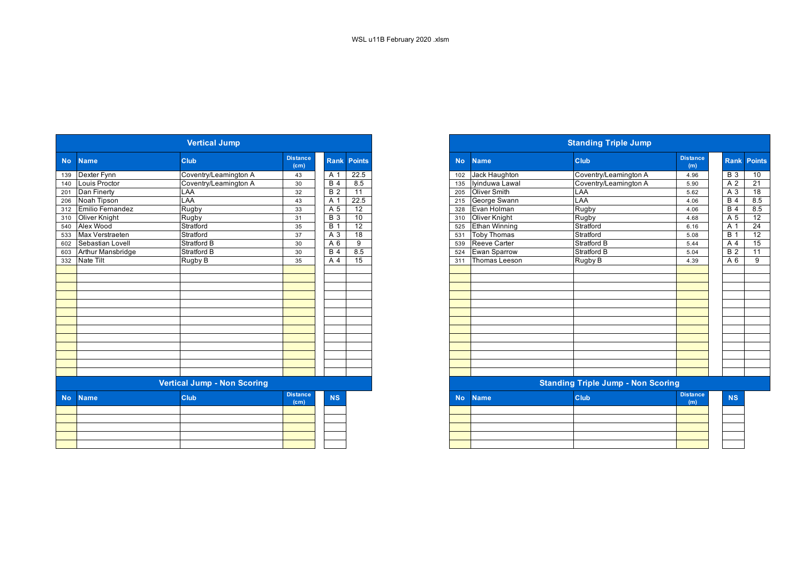|           |                         | <b>Vertical Jump</b>               |                                      |                  |                    |
|-----------|-------------------------|------------------------------------|--------------------------------------|------------------|--------------------|
| <b>No</b> | <b>Name</b>             | <b>Club</b>                        | <b>Distance</b><br>(c <sub>m</sub> ) |                  | <b>Rank Points</b> |
| 139       | Dexter Fynn             | Coventry/Leamington A              | 43                                   | A 1              | 22.5               |
| 140       | Louis Proctor           | Coventry/Leamington A              | 30                                   | <b>B</b> 4       | 8.5                |
| 201       | Dan Finerty             | LAA                                | 32                                   | <b>B2</b>        | 11                 |
| 206       | Noah Tipson             | LAA                                | 43                                   | A 1              | 22.5               |
| 312       | <b>Emilio Fernandez</b> | Rugby                              | 33                                   | A 5              | 12                 |
| 310       | Oliver Knight           | Rugby                              | 31                                   | $\overline{B}$ 3 | 10                 |
| 540       | Alex Wood               | Stratford                          | 35                                   | <b>B</b> 1       | $\overline{12}$    |
| 533       | Max Verstraeten         | Stratford                          | 37                                   | A <sub>3</sub>   | 18                 |
| 602       | Sebastian Lovell        | Stratford B                        | 30                                   | A 6              | $\overline{9}$     |
| 603       | Arthur Mansbridge       | <b>Stratford B</b>                 | 30                                   | $\overline{B4}$  | 8.5                |
| 332       | <b>Nate Tilt</b>        | Rugby B                            | 35                                   | A 4              | 15                 |
|           |                         |                                    |                                      |                  |                    |
|           |                         |                                    |                                      |                  |                    |
|           |                         |                                    |                                      |                  |                    |
|           |                         |                                    |                                      |                  |                    |
|           |                         |                                    |                                      |                  |                    |
|           |                         |                                    |                                      |                  |                    |
|           |                         |                                    |                                      |                  |                    |
|           |                         |                                    |                                      |                  |                    |
|           |                         |                                    |                                      |                  |                    |
|           |                         |                                    |                                      |                  |                    |
|           |                         |                                    |                                      |                  |                    |
|           |                         |                                    |                                      |                  |                    |
|           |                         |                                    |                                      |                  |                    |
|           |                         | <b>Vertical Jump - Non Scoring</b> |                                      |                  |                    |
| <b>No</b> | <b>Name</b>             | Club                               | <b>Distance</b><br>(c <sub>m</sub> ) | <b>NS</b>        |                    |
|           |                         |                                    |                                      |                  |                    |
|           |                         |                                    |                                      |                  |                    |
|           |                         |                                    |                                      |                  |                    |
|           |                         |                                    |                                      |                  |                    |
|           |                         |                                    |                                      |                  |                    |
|           |                         |                                    |                                      |                  |                    |

|           |                                    | <b>Vertical Jump</b>  |                         |                  |                 |  |  |
|-----------|------------------------------------|-----------------------|-------------------------|------------------|-----------------|--|--|
| No.       | <b>Name</b>                        | <b>Club</b>           | <b>Distance</b><br>(cm) | <b>Rank</b>      | <b>Points</b>   |  |  |
| 139       | Dexter Fynn                        | Coventry/Leamington A | 43                      | A 1              | 22.5            |  |  |
| 140       | Louis Proctor                      | Coventry/Leamington A | 30                      | B <sub>4</sub>   | 8.5             |  |  |
| 201       | Dan Finerty                        | LAA                   | 32                      | $\overline{B}$ 2 | 11              |  |  |
| 206       | Noah Tipson                        | LAA                   | 43                      | A 1              | 22.5            |  |  |
|           | 312 Emilio Fernandez               | Rugby                 | 33                      | A 5              | 12              |  |  |
|           | 310 Oliver Knight                  | Rugby                 | 31                      | $\overline{B}$ 3 | 10              |  |  |
|           | 540 Alex Wood                      | Stratford             | 35                      | <b>B</b> 1       | $\overline{12}$ |  |  |
|           | 533 Max Verstraeten                | Stratford             | 37                      | A 3              | 18              |  |  |
| 602       | Sebastian Lovell                   | <b>Stratford B</b>    | 30                      | A 6              | 9               |  |  |
| 603       | Arthur Mansbridge                  | <b>Stratford B</b>    | 30                      | <b>B</b> 4       | 8.5             |  |  |
|           | 332 Nate Tilt                      | Rugby B               | 35                      | A 4              | $\overline{15}$ |  |  |
|           |                                    |                       |                         |                  |                 |  |  |
|           |                                    |                       |                         |                  |                 |  |  |
|           |                                    |                       |                         |                  |                 |  |  |
|           |                                    |                       |                         |                  |                 |  |  |
|           |                                    |                       |                         |                  |                 |  |  |
|           |                                    |                       |                         |                  |                 |  |  |
|           |                                    |                       |                         |                  |                 |  |  |
|           |                                    |                       |                         |                  |                 |  |  |
|           |                                    |                       |                         |                  |                 |  |  |
|           |                                    |                       |                         |                  |                 |  |  |
|           |                                    |                       |                         |                  |                 |  |  |
|           |                                    |                       |                         |                  |                 |  |  |
|           |                                    |                       |                         |                  |                 |  |  |
|           | <b>Vertical Jump - Non Scoring</b> |                       |                         |                  |                 |  |  |
| <b>No</b> | <b>Name</b>                        | <b>Club</b>           | <b>Distance</b><br>(cm) | <b>NS</b>        |                 |  |  |

|  | (m) | <b>Service Service Service Service Service</b> |
|--|-----|------------------------------------------------|
|  |     |                                                |
|  |     |                                                |
|  |     |                                                |
|  |     |                                                |
|  |     |                                                |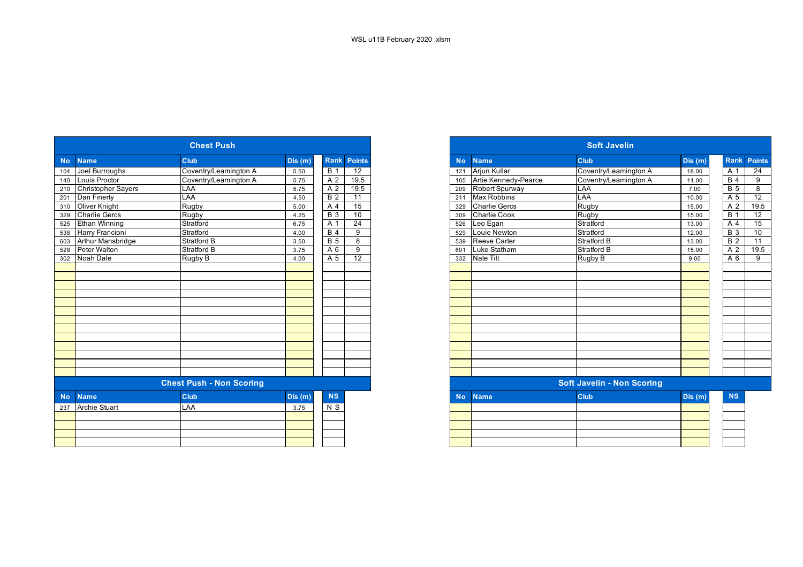|           | <b>Name</b>          | Club                            | Dis(m) |                | <b>Rank Points</b> |
|-----------|----------------------|---------------------------------|--------|----------------|--------------------|
|           | Joel Burroughs       | Coventry/Leamington A           | 5.50   | <b>B</b> 1     | 12                 |
|           | Louis Proctor        | Coventry/Leamington A           | 5.75   | A 2            | 19.5               |
| 210       | Christopher Sayers   | LAA                             | 5.75   | A 2            | 19.5               |
|           | Dan Finerty          | LAA                             | 4.50   | <b>B2</b>      | 11                 |
| 310       | Oliver Knight        | Rugby                           | 5.00   | A <sub>4</sub> | 15                 |
| 329       | <b>Charlie Gercs</b> | Rugby                           | 4.25   | <b>B</b> 3     | 10                 |
| 525       | Ethan Winning        | Stratford                       | 6.75   | A 1            | 24                 |
| 538       | Harry Francioni      | Stratford                       | 4.00   | B <sub>4</sub> | 9                  |
| 603       | Arthur Mansbridge    | Stratford B                     | 3.50   | <b>B</b> 5     | 8                  |
| 528       | Peter Walton         | Stratford B                     | 3.75   | A 6            | 9                  |
| 302       | Noah Dale            | Rugby B                         | 4.00   | A 5            | $\overline{12}$    |
|           |                      |                                 |        |                |                    |
|           |                      |                                 |        |                |                    |
|           |                      |                                 |        |                |                    |
|           |                      |                                 |        |                |                    |
|           |                      |                                 |        |                |                    |
|           |                      |                                 |        |                |                    |
|           |                      |                                 |        |                |                    |
|           |                      |                                 |        |                |                    |
|           |                      |                                 |        |                |                    |
|           |                      |                                 |        |                |                    |
|           |                      |                                 |        |                |                    |
|           |                      |                                 |        |                |                    |
|           |                      |                                 |        |                |                    |
|           |                      | <b>Chest Push - Non Scoring</b> |        |                |                    |
| <b>No</b> | <b>Name</b>          | Club                            | Dis(m) | <b>NS</b>      |                    |
| 237       | <b>Archie Stuart</b> | LAA                             | 3.75   | $N$ S          |                    |
|           |                      |                                 |        |                |                    |
|           |                      |                                 |        |                |                    |
|           |                      |                                 |        |                |                    |
|           |                      |                                 |        |                |                    |

|     |                        | <b>Chest Push</b>               |        |                  |                    |
|-----|------------------------|---------------------------------|--------|------------------|--------------------|
| No. | <b>Name</b>            | <b>Club</b>                     | Dis(m) |                  | <b>Rank Points</b> |
| 104 | Joel Burroughs         | Coventry/Leamington A           | 5.50   | $\overline{B}$ 1 | $\overline{12}$    |
| 140 | Louis Proctor          | Coventry/Leamington A           | 5.75   | A 2              | 19.5               |
|     | 210 Christopher Sayers | LAA                             | 5.75   | A 2              | 19.5               |
|     | 201 Dan Finerty        | LAA                             | 4.50   | <b>B2</b>        | 11                 |
|     | 310 Oliver Knight      | Rugby                           | 5.00   | A 4              | 15                 |
| 329 | Charlie Gercs          | Rugby                           | 4.25   | <b>B</b> 3       | 10                 |
| 525 | <b>Ethan Winning</b>   | Stratford                       | 6.75   | A 1              | 24                 |
| 538 | Harry Francioni        | Stratford                       | 4.00   | B <sub>4</sub>   | 9                  |
| 603 | Arthur Mansbridge      | <b>Stratford B</b>              | 3.50   | <b>B</b> 5       | 8                  |
| 528 | Peter Walton           | <b>Stratford B</b>              | 3.75   | A 6              | 9                  |
| 302 | Noah Dale              | Rugby B                         | 4.00   | A 5              | $\overline{12}$    |
|     |                        |                                 |        |                  |                    |
|     |                        |                                 |        |                  |                    |
|     |                        |                                 |        |                  |                    |
|     |                        |                                 |        |                  |                    |
|     |                        |                                 |        |                  |                    |
|     |                        |                                 |        |                  |                    |
|     |                        |                                 |        |                  |                    |
|     |                        |                                 |        |                  |                    |
|     |                        |                                 |        |                  |                    |
|     |                        |                                 |        |                  |                    |
|     |                        |                                 |        |                  |                    |
|     |                        |                                 |        |                  |                    |
|     |                        |                                 |        |                  |                    |
|     |                        | <b>Chest Push - Non Scoring</b> |        |                  |                    |
| No. | <b>Name</b>            | <b>Club</b>                     | Dis(m) | <b>NS</b>        |                    |
|     | 237 Archie Stuart      | LAA                             | 3.75   | N S              |                    |
|     |                        |                                 |        |                  |                    |
|     |                        |                                 |        |                  |                    |
|     |                        |                                 |        |                  |                    |
|     |                        |                                 |        |                  |                    |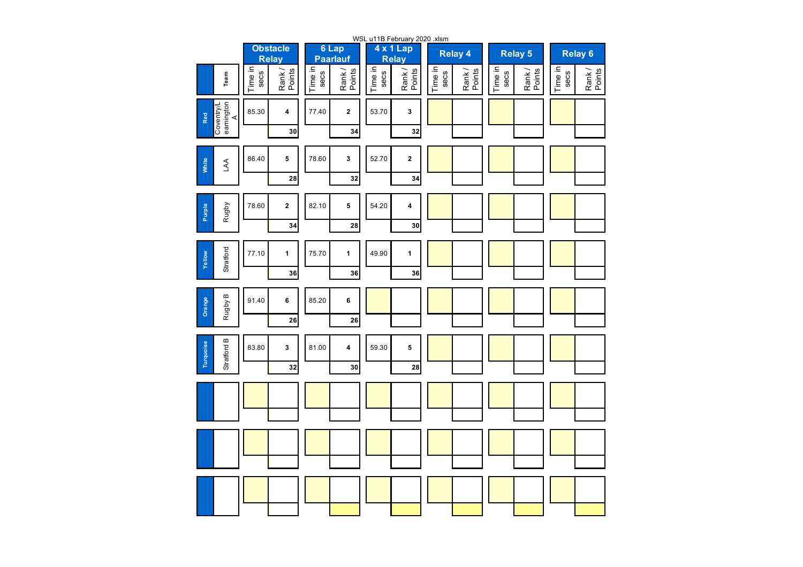| WSL u11B February 2020 xlsm               |                 |                                 |                 |                          |                 |                           |                 |                 |                 |                  |                 |                 |
|-------------------------------------------|-----------------|---------------------------------|-----------------|--------------------------|-----------------|---------------------------|-----------------|-----------------|-----------------|------------------|-----------------|-----------------|
|                                           |                 | <b>Obstacle</b><br><b>Relay</b> |                 | 6 Lap<br><b>Paarlauf</b> |                 | 4 x 1 Lap<br><b>Relay</b> |                 | <b>Relay 4</b>  |                 | <b>Relay 5</b>   |                 | Relay 6         |
| Team                                      | Time in<br>secs | Rank/<br>Points                 | Time in<br>secs | Points<br>Rank/          | Time in<br>secs | Rank/<br>Points           | Time in<br>secs | Points<br>Rank/ | Time in<br>secs | Rank /<br>Points | Time in<br>secs | Rank/<br>Points |
| eamington<br>Coventry/L<br>Red<br>$\prec$ | 85.30           | 4                               | 77.40           | $\mathbf 2$              | 53.70           | 3                         |                 |                 |                 |                  |                 |                 |
|                                           |                 | 30                              |                 | 34                       |                 | 32                        |                 |                 |                 |                  |                 |                 |
| White<br>A                                | 86.40           | 5                               | 78.60           | $\mathbf{3}$             | 52.70           | $\mathbf 2$               |                 |                 |                 |                  |                 |                 |
|                                           |                 | 28                              |                 | 32                       |                 | 34                        |                 |                 |                 |                  |                 |                 |
| Rugby<br><b>Purple</b>                    | 78.60           | $\mathbf 2$                     | 82.10           | 5                        | 54.20           | 4                         |                 |                 |                 |                  |                 |                 |
|                                           |                 | 34                              |                 | 28                       |                 | 30                        |                 |                 |                 |                  |                 |                 |
| Stratford<br>Yellow                       | 77.10           | $\mathbf{1}$                    | 75.70           | $\mathbf{1}$             | 49.90           | $\mathbf{1}$              |                 |                 |                 |                  |                 |                 |
|                                           |                 | 36                              |                 | 36                       |                 | 36                        |                 |                 |                 |                  |                 |                 |
| Rugby B<br>Orange                         | 91.40           | 6                               | 85.20           | 6                        |                 |                           |                 |                 |                 |                  |                 |                 |
|                                           |                 | 26                              |                 | 26                       |                 |                           |                 |                 |                 |                  |                 |                 |
| Stratford B<br>Turquoise                  | 83.80           | 3                               | 81.00           | 4                        | 59.30           | 5                         |                 |                 |                 |                  |                 |                 |
|                                           |                 | 32                              |                 | 30                       |                 | 28                        |                 |                 |                 |                  |                 |                 |
|                                           |                 |                                 |                 |                          |                 |                           |                 |                 |                 |                  |                 |                 |
|                                           |                 |                                 |                 |                          |                 |                           |                 |                 |                 |                  |                 |                 |
|                                           |                 |                                 |                 |                          |                 |                           |                 |                 |                 |                  |                 |                 |
|                                           |                 |                                 |                 |                          |                 |                           |                 |                 |                 |                  |                 |                 |
|                                           |                 |                                 |                 |                          |                 |                           |                 |                 |                 |                  |                 |                 |
|                                           |                 |                                 |                 |                          |                 |                           |                 |                 |                 |                  |                 |                 |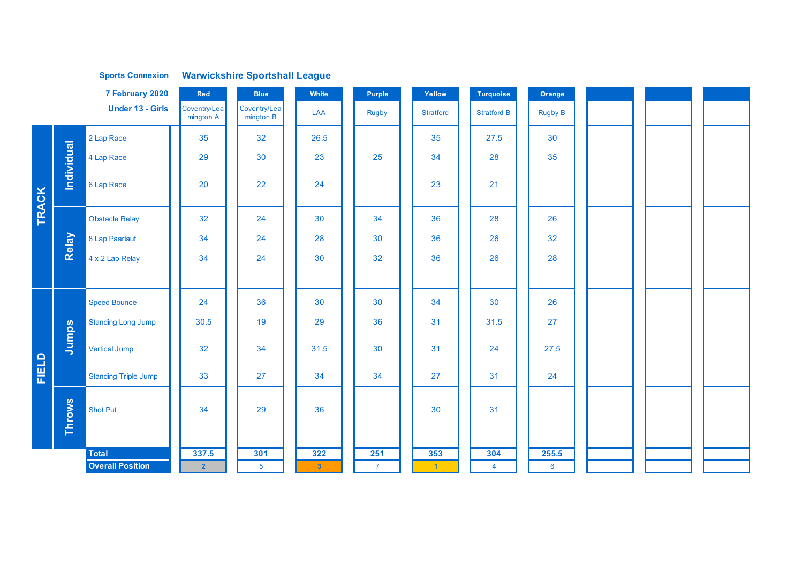|       |                   | <b>Sports Connexion</b>     |                           | <b>Warwickshire Sportshall League</b> |                |                |                      |                    |                 |  |  |
|-------|-------------------|-----------------------------|---------------------------|---------------------------------------|----------------|----------------|----------------------|--------------------|-----------------|--|--|
|       |                   | 7 February 2020             | Red                       | <b>Blue</b>                           | White          | Purple         | Yellow               | <b>Turquoise</b>   | Orange          |  |  |
|       |                   | <b>Under 13 - Girls</b>     | Coventry/Lea<br>mington A | Coventry/Lea<br>mington B             | LAA            | Rugby          | <b>Stratford</b>     | <b>Stratford B</b> | <b>Rugby B</b>  |  |  |
|       |                   | 2 Lap Race                  | 35                        | 32                                    | 26.5           |                | 35                   | 27.5               | 30              |  |  |
|       | <b>Individual</b> | 4 Lap Race                  | 29                        | 30                                    | 23             | 25             | 34                   | 28                 | 35              |  |  |
| TRACK |                   | 6 Lap Race                  | 20                        | 22                                    | 24             |                | 23                   | 21                 |                 |  |  |
|       |                   | <b>Obstacle Relay</b>       | 32                        | 24                                    | 30             | 34             | 36                   | 28                 | 26              |  |  |
|       | Relay             | 8 Lap Paarlauf              | 34                        | 24                                    | 28             | 30             | 36                   | 26                 | 32              |  |  |
|       |                   | 4 x 2 Lap Relay             | 34                        | 24                                    | 30             | 32             | 36                   | 26                 | 28              |  |  |
|       |                   |                             |                           |                                       |                |                |                      |                    |                 |  |  |
|       |                   | <b>Speed Bounce</b>         | 24                        | 36                                    | 30             | 30             | 34                   | 30                 | 26              |  |  |
|       |                   | <b>Standing Long Jump</b>   | 30.5                      | 19                                    | 29             | 36             | 31                   | 31.5               | 27              |  |  |
|       | Jumps             | <b>Vertical Jump</b>        | 32                        | 34                                    | 31.5           | 30             | 31                   | 24                 | 27.5            |  |  |
| FIELD |                   | <b>Standing Triple Jump</b> | 33                        | 27                                    | 34             | 34             | 27                   | 31                 | 24              |  |  |
|       | Throws            | <b>Shot Put</b>             | 34                        | 29                                    | 36             |                | 30                   | 31                 |                 |  |  |
|       |                   | Total                       | 337.5                     | 301                                   | 322            | 251            | 353                  | 304                | 255.5           |  |  |
|       |                   | <b>Overall Position</b>     | 2 <sup>1</sup>            | 5 <sup>5</sup>                        | 3 <sup>°</sup> | $\overline{7}$ | $\blacktriangleleft$ | $\overline{4}$     | $6\overline{6}$ |  |  |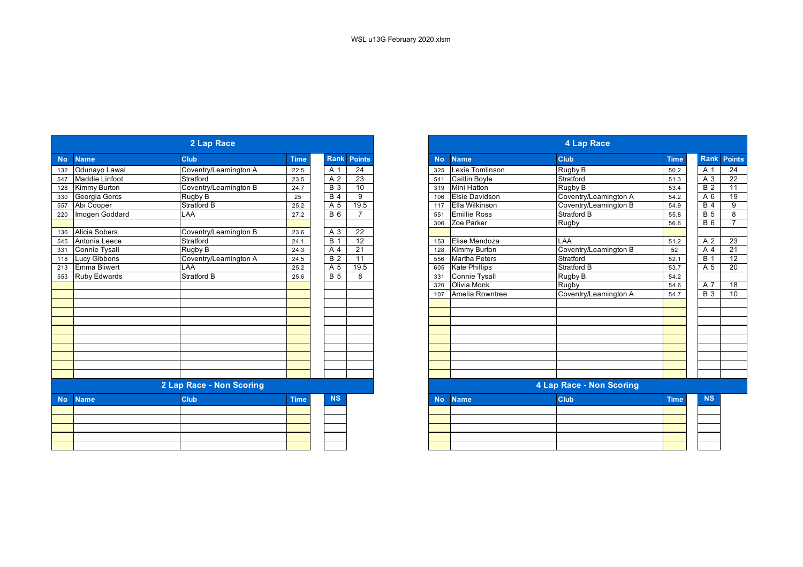|           |                      | 2 Lap Race               |             |                  |                    | 4 Lap Race |                       |                          |             |  |
|-----------|----------------------|--------------------------|-------------|------------------|--------------------|------------|-----------------------|--------------------------|-------------|--|
| <b>No</b> | <b>Name</b>          | Club                     | <b>Time</b> |                  | <b>Rank Points</b> | <b>No</b>  | <b>Name</b>           | Club                     | <b>Time</b> |  |
| 132       | Odunayo Lawal        | Coventry/Leamington A    | 22.5        | A 1              | 24                 | 325        | Lexie Tomlinson       | Rugby B                  | 50.2        |  |
| 547       | Maddie Linfoot       | Stratford                | 23.5        | A 2              | 23                 | 541        | Caitlin Boyle         | Stratford                | 51.3        |  |
| 128       | <b>Kimmy Burton</b>  | Coventry/Leamington B    | 24.7        | $\overline{B}$ 3 | 10                 | 319        | Mini Hatton           | Rugby B                  | 53.4        |  |
| 330       | Georgia Gercs        | Rugby B                  | 25          | <b>B</b> 4       | 9                  | 106        | <b>Elsie Davidson</b> | Coventry/Leamington A    | 54.2        |  |
| 557       | Abi Cooper           | <b>Stratford B</b>       | 25.2        | $\overline{A}5$  | 19.5               | 117        | Ella Wilkinson        | Coventry/Leamington B    | 54.9        |  |
| 220       | Imogen Goddard       | LAA                      | 27.2        | <b>B</b> 6       | $\overline{7}$     | 551        | <b>Emillie Ross</b>   | Stratford B              | 55.8        |  |
|           |                      |                          |             |                  |                    | 306        | Zoe Parker            | Rugby                    | 56.6        |  |
| 136       | <b>Alicia Sobers</b> | Coventry/Leamington B    | 23.6        | A 3              | 22                 |            |                       |                          |             |  |
| 545       | Antonia Leece        | Stratford                | 24.1        | $\overline{B}$ 1 | 12                 | 153        | Elise Mendoza         | LAA                      | 51.2        |  |
| 331       | <b>Connie Tysall</b> | Rugby B                  | 24.3        | A 4              | 21                 | 128        | Kimmy Burton          | Coventry/Leamington B    | 52          |  |
| 118       | <b>Lucy Gibbons</b>  | Coventry/Leamington A    | 24.5        | $\overline{B}$ 2 | 11                 | 556        | <b>Martha Peters</b>  | Stratford                | 52.1        |  |
| 213       | Emma Bliwert         | LAA                      | 25.2        | A 5              | 19.5               | 605        | <b>Kate Phillips</b>  | <b>Stratford B</b>       | 53.7        |  |
| 553       | <b>Ruby Edwards</b>  | <b>Stratford B</b>       | 25.6        | <b>B</b> 5       | 8                  | 331        | <b>Connie Tysall</b>  | Rugby B                  | 54.2        |  |
|           |                      |                          |             |                  |                    | 320        | Olivia Monk           | Rugby                    | 54.6        |  |
|           |                      |                          |             |                  |                    | 107        | Amelia Rowntree       | Coventry/Leamington A    | 54.7        |  |
|           |                      |                          |             |                  |                    |            |                       |                          |             |  |
|           |                      |                          |             |                  |                    |            |                       |                          |             |  |
|           |                      |                          |             |                  |                    |            |                       |                          |             |  |
|           |                      |                          |             |                  |                    |            |                       |                          |             |  |
|           |                      |                          |             |                  |                    |            |                       |                          |             |  |
|           |                      |                          |             |                  |                    |            |                       |                          |             |  |
|           |                      |                          |             |                  |                    |            |                       |                          |             |  |
|           |                      |                          |             |                  |                    |            |                       |                          |             |  |
|           |                      |                          |             |                  |                    |            |                       |                          |             |  |
|           |                      | 2 Lap Race - Non Scoring |             |                  |                    |            |                       | 4 Lap Race - Non Scoring |             |  |
| <b>No</b> | <b>Name</b>          | Club                     | <b>Time</b> | <b>NS</b>        |                    | <b>No</b>  | <b>Name</b>           | <b>Club</b>              | <b>Time</b> |  |
|           |                      |                          |             |                  |                    |            |                       |                          |             |  |
|           |                      |                          |             |                  |                    |            |                       |                          |             |  |
|           |                      |                          |             |                  |                    |            |                       |                          |             |  |
|           |                      |                          |             |                  |                    |            |                       |                          |             |  |
|           |                      |                          |             |                  |                    |            |                       |                          |             |  |
|           |                      |                          |             |                  |                    |            |                       |                          |             |  |

|            |                       | 2 Lap Race               |             |             |                |
|------------|-----------------------|--------------------------|-------------|-------------|----------------|
| <b>No</b>  | <b>Name</b>           | <b>Club</b>              | <b>Time</b> | <b>Rank</b> | <b>Points</b>  |
|            | Odunayo Lawal         | Coventry/Leamington A    | 22.5        | A 1         | 24             |
|            | <b>Maddie Linfoot</b> | Stratford                | 23.5        | A 2         | 23             |
| 128        | Kimmy Burton          | Coventry/Leamington B    | 24.7        | <b>B</b> 3  | 10             |
| 330<br>557 | Georgia Gercs         | Rugby B                  | 25          | <b>B</b> 4  | 9              |
|            | Abi Cooper            | Stratford B              | 25.2        | A 5         | 19.5           |
| 220        | Imogen Goddard        | LAA                      | 27.2        | <b>B</b> 6  | $\overline{7}$ |
|            |                       |                          |             |             |                |
|            | Alicia Sobers         | Coventry/Leamington B    | 23.6        | A 3         | 22             |
| 545        | Antonia Leece         | Stratford                | 24.1        | <b>B</b> 1  | 12             |
|            | <b>Connie Tysall</b>  | Rugby B                  | 24.3        | A 4         | 21             |
| 118        | <b>Lucy Gibbons</b>   | Coventry/Leamington A    | 24.5        | <b>B</b> 2  | 11             |
| 213<br>553 | <b>Emma Bliwert</b>   | LAA                      | 25.2        | A 5         | 19.5           |
|            | Ruby Edwards          | Stratford B              | 25.6        | <b>B</b> 5  | 8              |
|            |                       |                          |             |             |                |
|            |                       |                          |             |             |                |
|            |                       |                          |             |             |                |
|            |                       |                          |             |             |                |
|            |                       |                          |             |             |                |
|            |                       |                          |             |             |                |
|            |                       |                          |             |             |                |
|            |                       |                          |             |             |                |
|            |                       |                          |             |             |                |
|            |                       |                          |             |             |                |
|            |                       |                          |             |             |                |
|            |                       | 2 Lap Race - Non Scoring |             |             |                |
| <b>No</b>  | <b>Name</b>           | <b>Club</b>              | <b>Time</b> | <b>NS</b>   |                |
|            |                       |                          |             |             |                |
|            |                       |                          |             |             |                |
|            |                       |                          |             |             |                |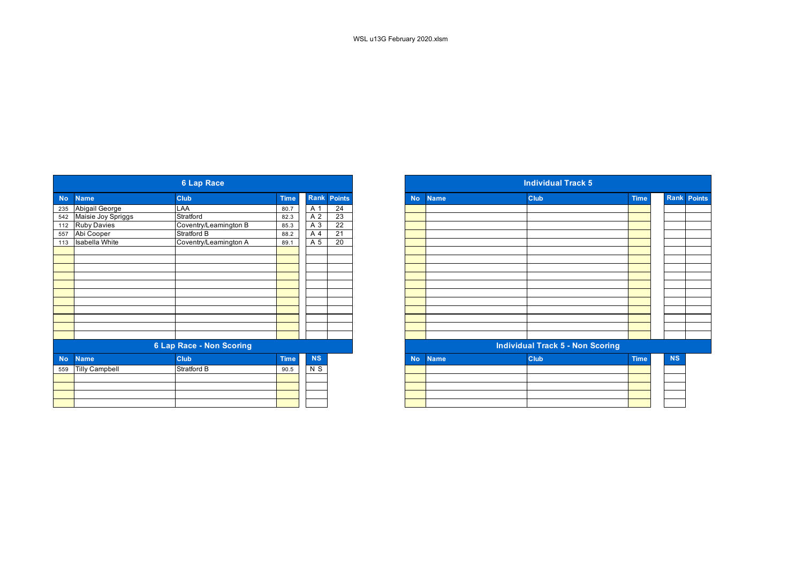|                              | <b>6 Lap Race</b>     |                                 |           |                    |
|------------------------------|-----------------------|---------------------------------|-----------|--------------------|
|                              |                       |                                 |           |                    |
| <b>Name</b><br><b>No</b>     | <b>Club</b>           | <b>Time</b>                     |           | <b>Rank Points</b> |
| Abigail George<br>235        | LAA                   | 80.7                            | A 1       | 24                 |
| Maisie Joy Spriggs<br>542    | Stratford             | 82.3                            | A 2       | 23                 |
| 112 Ruby Davies              | Coventry/Leamington B | 85.3                            | A 3       | $\overline{22}$    |
| Abi Cooper<br>557            | Stratford B           | 88.2                            | A 4       | 21                 |
| Isabella White<br>113        | Coventry/Leamington A | 89.1                            | A 5       | 20                 |
|                              |                       |                                 |           |                    |
|                              |                       |                                 |           |                    |
|                              |                       |                                 |           |                    |
|                              |                       |                                 |           |                    |
|                              |                       |                                 |           |                    |
|                              |                       |                                 |           |                    |
|                              |                       |                                 |           |                    |
|                              |                       |                                 |           |                    |
|                              |                       |                                 |           |                    |
|                              |                       |                                 |           |                    |
|                              |                       |                                 |           |                    |
|                              |                       |                                 |           |                    |
| <b>Name</b><br><b>No</b>     | Club                  | <b>Time</b>                     | <b>NS</b> |                    |
| <b>Tilly Campbell</b><br>559 | Stratford B           | 90.5                            | $N$ S     |                    |
|                              |                       |                                 |           |                    |
|                              |                       |                                 |           |                    |
|                              |                       |                                 |           |                    |
|                              |                       |                                 |           |                    |
|                              |                       | <b>6 Lap Race - Non Scoring</b> |           |                    |

|                                           | <b>6 Lap Race</b>        |             |                    |                 |
|-------------------------------------------|--------------------------|-------------|--------------------|-----------------|
| <b>Name</b>                               | <b>Club</b>              | <b>Time</b> | <b>Rank Points</b> |                 |
| Abigail George                            | LAA                      | 80.7        | A 1                | 24              |
|                                           | Stratford                | 82.3        | A 2                | $\overline{23}$ |
| 542 Maisie Joy Spriggs<br>112 Ruby Davies | Coventry/Leamington B    | 85.3        | A 3                | $\overline{22}$ |
| 557 Abi Cooper                            | Stratford B              | 88.2        | A 4                | $\overline{21}$ |
| 113 Isabella White                        | Coventry/Leamington A    | 89.1        | A 5                | 20              |
|                                           |                          |             |                    |                 |
|                                           |                          |             |                    |                 |
|                                           |                          |             |                    |                 |
|                                           |                          |             |                    |                 |
|                                           |                          |             |                    |                 |
|                                           |                          |             |                    |                 |
|                                           |                          |             |                    |                 |
|                                           |                          |             |                    |                 |
|                                           |                          |             |                    |                 |
|                                           |                          |             |                    |                 |
|                                           |                          |             |                    |                 |
|                                           | 6 Lap Race - Non Scoring |             |                    |                 |
| <b>Name</b>                               | <b>Club</b>              | <b>Time</b> | <b>NS</b>          |                 |
| <b>Tilly Campbell</b>                     | Stratford B              | 90.5        | N S                |                 |
|                                           |                          |             |                    |                 |
|                                           |                          |             |                    |                 |
|                                           |                          |             |                    |                 |
|                                           |                          |             |                    |                 |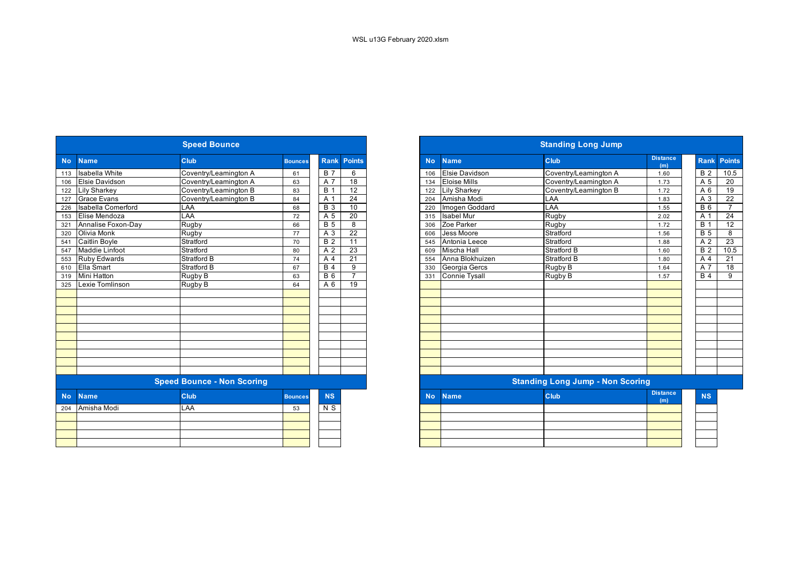|           |                           | <b>Speed Bounce</b>               |                |                  |                 |           | <b>Standing Long Jump</b> |                                         |                        |  |  |  |
|-----------|---------------------------|-----------------------------------|----------------|------------------|-----------------|-----------|---------------------------|-----------------------------------------|------------------------|--|--|--|
| <b>No</b> | <b>Name</b>               | Club                              | <b>Bounces</b> | <b>Rank</b>      | <b>Points</b>   | <b>No</b> | <b>Name</b>               | <b>Club</b>                             | <b>Distance</b><br>(m) |  |  |  |
| 113       | <b>Isabella White</b>     | Coventry/Leamington A             | 61             | <b>B</b> 7       | 6               | 106       | <b>Elsie Davidson</b>     | Coventry/Leamington A                   | 1.60                   |  |  |  |
| 106       | <b>Elsie Davidson</b>     | Coventry/Leamington A             | 63             | A 7              | 18              | 134       | <b>Eloise Mills</b>       | Coventry/Leamington A                   | 1.73                   |  |  |  |
| 122       | <b>Lily Sharkey</b>       | Coventry/Leamington B             | 83             | <b>B</b> 1       | 12              | 122       | <b>Lily Sharkey</b>       | Coventry/Leamington B                   | 1.72                   |  |  |  |
| 127       | <b>Grace Evans</b>        | Coventry/Leamington B             | 84             | A 1              | $\overline{24}$ | 204       | Amisha Modi               | LAA                                     | 1.83                   |  |  |  |
| 226       | <b>Isabella Comerford</b> | LAA                               | 68             | $\overline{B}$ 3 | 10              | 220       | Imogen Goddard            | LAA                                     | 1.55                   |  |  |  |
| 153       | Elise Mendoza             | LAA                               | 72             | A 5              | 20              | 315       | <b>Isabel Mur</b>         | Rugby                                   | 2.02                   |  |  |  |
| 321       | Annalise Foxon-Day        | Rugby                             | 66             | $\overline{B}$ 5 | 8               | 306       | Zoe Parker                | Rugby                                   | 1.72                   |  |  |  |
| 320       | <b>Olivia Monk</b>        | Rugby                             | 77             | A 3              | $\overline{22}$ | 606       | Jess Moore                | Stratford                               | 1.56                   |  |  |  |
| 541       | <b>Caitlin Boyle</b>      | Stratford                         | 70             | $\overline{B}$ 2 | $\overline{11}$ | 545       | Antonia Leece             | Stratford                               | 1.88                   |  |  |  |
| 547       | <b>Maddie Linfoot</b>     | Stratford                         | 80             | A 2              | 23              | 609       | <b>Mischa Hall</b>        | Stratford B                             | 1.60                   |  |  |  |
| 553       | <b>Ruby Edwards</b>       | Stratford B                       | 74             | A 4              | 21              | 554       | Anna Blokhuizen           | Stratford B                             | 1.80                   |  |  |  |
| 610       | Ella Smart                | <b>Stratford B</b>                | 67             | B <sub>4</sub>   | 9               | 330       | Georgia Gercs             | Rugby B                                 | 1.64                   |  |  |  |
| 319       | Mini Hatton               | Rugby B                           | 63             | $B_6$            | $\overline{7}$  | 331       | <b>Connie Tysall</b>      | Rugby B                                 | 1.57                   |  |  |  |
| 325       | Lexie Tomlinson           | Rugby B                           | 64             | A 6              | $\overline{19}$ |           |                           |                                         |                        |  |  |  |
|           |                           |                                   |                |                  |                 |           |                           |                                         |                        |  |  |  |
|           |                           |                                   |                |                  |                 |           |                           |                                         |                        |  |  |  |
|           |                           |                                   |                |                  |                 |           |                           |                                         |                        |  |  |  |
|           |                           |                                   |                |                  |                 |           |                           |                                         |                        |  |  |  |
|           |                           |                                   |                |                  |                 |           |                           |                                         |                        |  |  |  |
|           |                           |                                   |                |                  |                 |           |                           |                                         |                        |  |  |  |
|           |                           |                                   |                |                  |                 |           |                           |                                         |                        |  |  |  |
|           |                           |                                   |                |                  |                 |           |                           |                                         |                        |  |  |  |
|           |                           |                                   |                |                  |                 |           |                           |                                         |                        |  |  |  |
|           |                           |                                   |                |                  |                 |           |                           |                                         |                        |  |  |  |
|           |                           | <b>Speed Bounce - Non Scoring</b> |                |                  |                 |           |                           | <b>Standing Long Jump - Non Scoring</b> |                        |  |  |  |
| <b>No</b> | <b>Name</b>               | <b>Club</b>                       | <b>Bounces</b> | <b>NS</b>        |                 | <b>No</b> | <b>Name</b>               | <b>Club</b>                             | <b>Distance</b><br>(m) |  |  |  |
| 204       | Amisha Modi               | LAA                               | 53             | N S              |                 |           |                           |                                         |                        |  |  |  |
|           |                           |                                   |                |                  |                 |           |                           |                                         |                        |  |  |  |
|           |                           |                                   |                |                  |                 |           |                           |                                         |                        |  |  |  |
|           |                           |                                   |                |                  |                 |           |                           |                                         |                        |  |  |  |
|           |                           |                                   |                |                  |                 |           |                           |                                         |                        |  |  |  |
|           |                           |                                   |                |                  |                 |           |                           |                                         |                        |  |  |  |

|                  |                           | <b>Speed Bounce</b>               |                |                |                    |
|------------------|---------------------------|-----------------------------------|----------------|----------------|--------------------|
| <b>No</b>        | <b>Name</b>               | <b>Club</b>                       | <b>Bounces</b> |                | <b>Rank Points</b> |
| 113              | Isabella White            | Coventry/Leamington A             | 61             | <b>B</b> 7     | 6                  |
| 106              | <b>Elsie Davidson</b>     | Coventry/Leamington A             | 63             | A 7            | $\overline{18}$    |
| 122              | <b>Lily Sharkey</b>       | Coventry/Leamington B             | 83             | <b>B</b> 1     | $\overline{12}$    |
| 127              | <b>Grace Evans</b>        | Coventry/Leamington B             | 84             | A 1            | 24                 |
| 226              | <b>Isabella Comerford</b> | LAA                               | 68             | <b>B</b> 3     | 10                 |
| 153              | Elise Mendoza             | LAA                               | 72             | A 5            | $\overline{20}$    |
| 321              | Annalise Foxon-Day        | Rugby                             | 66             | <b>B</b> 5     | 8                  |
| 320              | Olivia Monk               | Rugby                             | 77             | A 3            | 22                 |
| 541              | Caitlin Boyle             | Stratford                         | 70             | <b>B</b> 2     | 11                 |
| 547              | <b>Maddie Linfoot</b>     | Stratford                         | 80             | A 2            | 23                 |
| $\frac{1}{553}$  | <b>Ruby Edwards</b>       | Stratford B                       | 74             | A 4            | 21                 |
| 610              | <b>Ella Smart</b>         | Stratford B                       | 67             | <b>B</b> 4     | 9                  |
| $\overline{319}$ | <b>Mini Hatton</b>        | Rugby B                           | 63             | <b>B6</b>      | $\overline{7}$     |
| 325              | Lexie Tomlinson           | Rugby B                           | 64             | A 6            | 19                 |
|                  |                           |                                   |                |                |                    |
|                  |                           |                                   |                |                |                    |
|                  |                           |                                   |                |                |                    |
|                  |                           |                                   |                |                |                    |
|                  |                           |                                   |                |                |                    |
|                  |                           |                                   |                |                |                    |
|                  |                           |                                   |                |                |                    |
|                  |                           |                                   |                |                |                    |
|                  |                           |                                   |                |                |                    |
|                  |                           |                                   |                |                |                    |
|                  |                           | <b>Speed Bounce - Non Scoring</b> |                |                |                    |
| <b>No</b>        | <b>Name</b>               | <b>Club</b>                       | <b>Bounces</b> | <b>NS</b>      |                    |
|                  | 204 Amisha Modi           | LAA                               | 53             | N <sub>S</sub> |                    |
|                  |                           |                                   |                |                |                    |
|                  |                           |                                   |                |                |                    |
|                  |                           |                                   |                |                |                    |
|                  |                           |                                   |                |                |                    |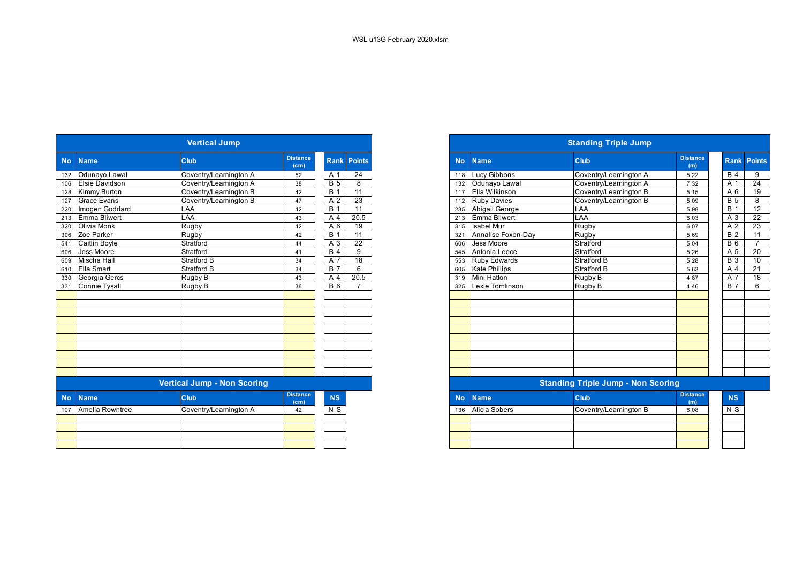|           |                       | <b>Vertical Jump</b>               |                         |                  |                    |
|-----------|-----------------------|------------------------------------|-------------------------|------------------|--------------------|
| <b>No</b> | <b>Name</b>           | <b>Club</b>                        | <b>Distance</b><br>(cm) |                  | <b>Rank Points</b> |
|           | Odunayo Lawal         | Coventry/Leamington A              | 52                      | A <sub>1</sub>   | $\overline{24}$    |
|           | <b>Elsie Davidson</b> | Coventry/Leamington A              | 38                      | $\overline{B}$ 5 | 8                  |
|           | Kimmy Burton          | Coventry/Leamington B              | 42                      | $\overline{B}$ 1 | $\overline{11}$    |
|           | <b>Grace Evans</b>    | Coventry/Leamington B              | 47                      | A 2              | 23                 |
|           | Imogen Goddard        | LAA                                | 42                      | $\overline{B}$ 1 | 11                 |
|           | Emma Bliwert          | LAA                                | 43                      | A 4              | 20.5               |
|           | <b>Olivia Monk</b>    | Rugby                              | 42                      | A 6              | $\overline{19}$    |
|           | Zoe Parker            | Rugby                              | 42                      | $\overline{B}$ 1 | 11                 |
|           | <b>Caitlin Boyle</b>  | Stratford                          | 44                      | $\overline{A}3$  | $\overline{22}$    |
|           | Jess Moore            | Stratford                          | 41                      | B <sub>4</sub>   | 9                  |
|           | <b>Mischa Hall</b>    | <b>Stratford B</b>                 | 34                      | $\overline{A}$ 7 | $\overline{18}$    |
|           | Ella Smart            | Stratford B                        | 34                      | B <sub>7</sub>   | 6                  |
|           | Georgia Gercs         | Rugby B                            | 43                      | A 4              | 20.5               |
|           | <b>Connie Tysall</b>  | Rugby B                            | 36                      | $B_6$            |                    |
|           |                       |                                    |                         |                  |                    |
|           |                       |                                    |                         |                  |                    |
|           |                       |                                    |                         |                  |                    |
|           |                       |                                    |                         |                  |                    |
|           |                       |                                    |                         |                  |                    |
|           |                       |                                    |                         |                  |                    |
|           |                       |                                    |                         |                  |                    |
|           |                       |                                    |                         |                  |                    |
|           |                       |                                    |                         |                  |                    |
|           |                       |                                    |                         |                  |                    |
|           |                       | <b>Vertical Jump - Non Scoring</b> |                         |                  |                    |
|           | <b>Name</b>           | Club                               | <b>Distance</b><br>(cm) | <b>NS</b>        |                    |
|           | Amelia Rowntree       | Coventry/Leamington A              | 42                      | $N$ S            |                    |
|           |                       |                                    |                         |                  |                    |
|           |                       |                                    |                         |                  |                    |
|           |                       |                                    |                         |                  |                    |
|           |                       |                                    |                         |                  |                    |

|                       | <b>Vertical Jump</b>               |                                      |              |                 |
|-----------------------|------------------------------------|--------------------------------------|--------------|-----------------|
| <b>Name</b>           | <b>Club</b>                        | <b>Distance</b><br>(c <sub>m</sub> ) | <b>Rank</b>  | <b>Points</b>   |
| 132 Odunayo Lawal     | Coventry/Leamington A              | 52                                   | A 1          | 24              |
| <b>Elsie Davidson</b> | Coventry/Leamington A              | 38                                   | <b>B</b> 5   | 8               |
| 128 Kimmy Burton      | Coventry/Leamington B              | 42                                   | <b>B</b> 1   | 11              |
| <b>Grace Evans</b>    | Coventry/Leamington B              | 47                                   | A 2          | 23              |
| Imogen Goddard        | LAA                                | 42                                   | <b>B</b> 1   | 11              |
| <b>Emma Bliwert</b>   | LAA                                | 43                                   | A 4          | 20.5            |
| Olivia Monk           | Rugby                              | 42                                   | A 6          | 19              |
| 306 Zoe Parker        | Rugby                              | 42                                   | $B^{\prime}$ | 11              |
| 541 Caitlin Boyle     | Stratford                          | 44                                   | A 3          | $\overline{22}$ |
| 606 Jess Moore        | Stratford                          | 41                                   | <b>B</b> 4   | 9               |
| Mischa Hall           | <b>Stratford B</b>                 | 34                                   | A 7          | $\overline{18}$ |
| 610 Ella Smart        | Stratford B                        | 34                                   | <b>B</b> 7   | 6               |
| Georgia Gercs         | Rugby B                            | 43                                   | A 4          | 20.5            |
| 331 Connie Tysall     | Rugby B                            | 36                                   | <b>B</b> 6   |                 |
|                       |                                    |                                      |              |                 |
|                       |                                    |                                      |              |                 |
|                       |                                    |                                      |              |                 |
|                       |                                    |                                      |              |                 |
|                       |                                    |                                      |              |                 |
|                       |                                    |                                      |              |                 |
|                       | <b>Vertical Jump - Non Scoring</b> |                                      |              |                 |
|                       |                                    | Dietonee                             |              |                 |

| stance<br>(cm) | <b>INS</b> | <b>No</b> | <b>Name</b>   | <b>Club</b>           | <b>Distance</b><br>(m) | <b>NS</b> |
|----------------|------------|-----------|---------------|-----------------------|------------------------|-----------|
| 42             | N S        | 136       | Alicia Sobers | Coventry/Leamington B | 6.08                   | N S       |
|                |            |           |               |                       |                        |           |
|                |            |           |               |                       |                        |           |
|                |            |           |               |                       |                        |           |
|                |            |           |               |                       |                        |           |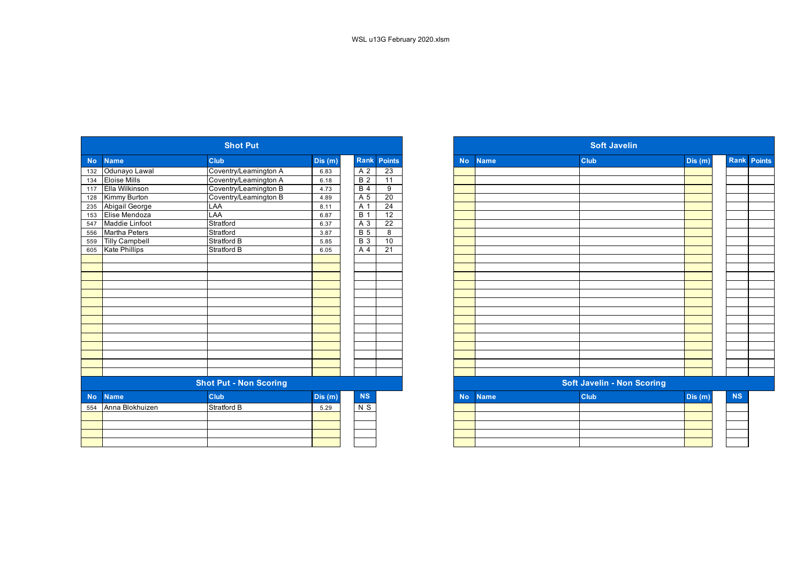|           |                       | <b>Shot Put</b>               |           |                  |                    |
|-----------|-----------------------|-------------------------------|-----------|------------------|--------------------|
| <b>No</b> | <b>Name</b>           | Club                          | Dis $(m)$ |                  | <b>Rank Points</b> |
| 132       | Odunayo Lawal         | Coventry/Leamington A         | 6.83      | A 2              | 23                 |
| 134       | <b>Eloise Mills</b>   | Coventry/Leamington A         | 6.18      | B <sub>2</sub>   | $\overline{11}$    |
| 117       | Ella Wilkinson        | Coventry/Leamington B         | 4.73      | $\overline{B4}$  | 9                  |
| 128       | Kimmy Burton          | Coventry/Leamington B         | 4.89      | A 5              | 20                 |
| 235       | Abigail George        | LAA                           | 8.11      | A 1              | $\overline{24}$    |
| 153       | Elise Mendoza         | <b>LAA</b>                    | 6.87      | $\overline{B}$ 1 | $\overline{12}$    |
| 547       | Maddie Linfoot        | Stratford                     | 6.37      | A 3              | 22                 |
| 556       | <b>Martha Peters</b>  | Stratford                     | 3.87      | <b>B</b> 5       | $\overline{8}$     |
| 559       | <b>Tilly Campbell</b> | <b>Stratford B</b>            | 5.85      | $\overline{B}$ 3 | 10                 |
| 605       | <b>Kate Phillips</b>  | <b>Stratford B</b>            | 6.05      | A 4              | $\overline{21}$    |
|           |                       |                               |           |                  |                    |
|           |                       |                               |           |                  |                    |
|           |                       |                               |           |                  |                    |
|           |                       |                               |           |                  |                    |
|           |                       |                               |           |                  |                    |
|           |                       |                               |           |                  |                    |
|           |                       |                               |           |                  |                    |
|           |                       |                               |           |                  |                    |
|           |                       |                               |           |                  |                    |
|           |                       |                               |           |                  |                    |
|           |                       |                               |           |                  |                    |
|           |                       |                               |           |                  |                    |
|           |                       |                               |           |                  |                    |
|           |                       |                               |           |                  |                    |
|           |                       | <b>Shot Put - Non Scoring</b> |           |                  |                    |
| <b>No</b> | <b>Name</b>           | <b>Club</b>                   | Dis(m)    | <b>NS</b>        |                    |
| 554       | Anna Blokhuizen       | <b>Stratford B</b>            | 5.29      | N <sub>S</sub>   |                    |
|           |                       |                               |           |                  |                    |
|           |                       |                               |           |                  |                    |
|           |                       |                               |           |                  |                    |
|           |                       |                               |           |                  |                    |
|           |                       |                               |           |                  |                    |

|                  |                       | <b>Shot Put</b>               |         |            |                 |
|------------------|-----------------------|-------------------------------|---------|------------|-----------------|
| No               | <b>Name</b>           | <b>Club</b>                   | Dis(m)  | Rank       | Points          |
| $\overline{132}$ | Odunayo Lawal         | Coventry/Leamington A         | 6.83    | A 2        | 23              |
| 134              | <b>Eloise Mills</b>   | Coventry/Leamington A         | 6.18    | <b>B</b> 2 | $\overline{11}$ |
| 117              | Ella Wilkinson        | Coventry/Leamington B         | 4.73    | $B$ 4      | 9               |
| 128              | Kimmy Burton          | Coventry/Leamington B         | 4.89    | A 5        | 20              |
| 235              | <b>Abigail George</b> | LAA                           | 8.11    | A 1        | $\overline{24}$ |
| 153              | Elise Mendoza         | LAA                           | 6.87    | <b>B</b> 1 | $\overline{12}$ |
| 547              | Maddie Linfoot        | Stratford                     | 6.37    | A 3        | $\overline{22}$ |
| 556              | <b>Martha Peters</b>  | Stratford                     | 3.87    | <b>B</b> 5 | $\overline{8}$  |
| 559              | <b>Tilly Campbell</b> | Stratford B                   | 5.85    | <b>B</b> 3 | 10              |
| 605              | Kate Phillips         | <b>Stratford B</b>            | 6.05    | A 4        | $\overline{21}$ |
|                  |                       |                               |         |            |                 |
|                  |                       |                               |         |            |                 |
|                  |                       |                               |         |            |                 |
|                  |                       |                               |         |            |                 |
|                  |                       |                               |         |            |                 |
|                  |                       |                               |         |            |                 |
|                  |                       |                               |         |            |                 |
|                  |                       |                               |         |            |                 |
|                  |                       |                               |         |            |                 |
|                  |                       |                               |         |            |                 |
|                  |                       |                               |         |            |                 |
|                  |                       |                               |         |            |                 |
|                  |                       |                               |         |            |                 |
|                  |                       |                               |         |            |                 |
|                  |                       | <b>Shot Put - Non Scoring</b> |         |            |                 |
| <b>No</b>        | <b>Name</b>           | <b>Club</b>                   | Dis (m) | NS         |                 |
|                  | 554 Anna Blokhuizen   | <b>Stratford B</b>            | 5.29    | N S        |                 |
|                  |                       |                               |         |            |                 |
|                  |                       |                               |         |            |                 |
|                  |                       |                               |         |            |                 |
|                  |                       |                               |         |            |                 |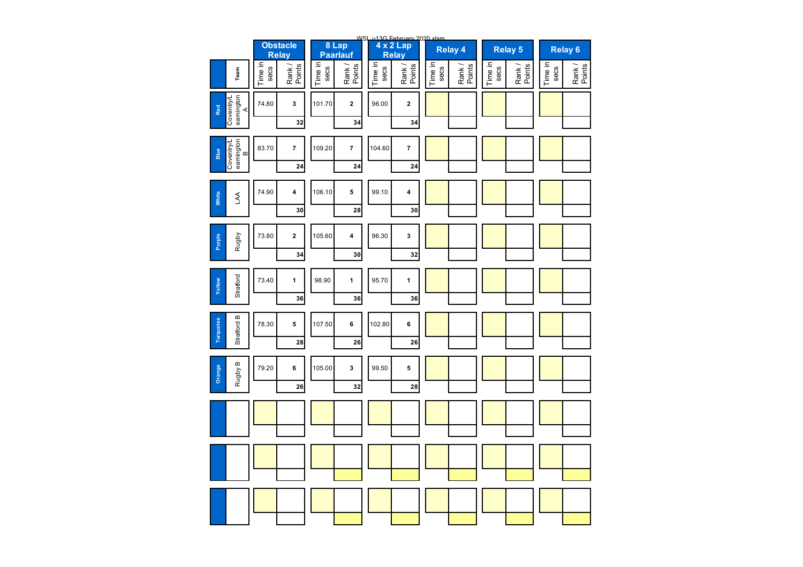|                                      |                 | <b>Obstacle</b>         |                 | 8 Lap                   |                 | WSL u13G February 2020 xlsm<br>4 x 2 Lap<br>Relay |                 | <b>Relay 4</b>   |                 | <b>Relay 5</b>   |                 | <b>Relay 6</b>   |
|--------------------------------------|-----------------|-------------------------|-----------------|-------------------------|-----------------|---------------------------------------------------|-----------------|------------------|-----------------|------------------|-----------------|------------------|
|                                      |                 | <b>Relay</b>            |                 | Paarlauf                |                 |                                                   |                 |                  |                 |                  |                 |                  |
| Team                                 | Time in<br>secs | Rank /<br>Points        | Time in<br>secs | Rank /<br>Points        | Time in<br>secs | Rank /<br>Points                                  | Time in<br>secs | Rank /<br>Points | Time in<br>secs | Rank /<br>Points | Time in<br>secs | Rank /<br>Points |
| eamington<br>A<br>Coventry/L<br>Red  | 74.80           | 3                       | 101.70          | $\mathbf 2$             | 96.00           | $\mathbf 2$                                       |                 |                  |                 |                  |                 |                  |
|                                      |                 | 32                      |                 | 34                      |                 | 34                                                |                 |                  |                 |                  |                 |                  |
| eamington<br>B<br>Coventry/L<br>Blue | 83.70           | $\overline{\mathbf{7}}$ | 109.20          | $\overline{\mathbf{r}}$ | 104.60          | $\overline{\mathbf{7}}$                           |                 |                  |                 |                  |                 |                  |
|                                      |                 | 24                      |                 | 24                      |                 | 24                                                |                 |                  |                 |                  |                 |                  |
| White<br>$\overline{A}$              | 74.90           | 4                       | 106.10          | 5                       | 99.10           | 4                                                 |                 |                  |                 |                  |                 |                  |
|                                      |                 | 30                      |                 | 28                      |                 | 30                                                |                 |                  |                 |                  |                 |                  |
| Rugby<br>Purple                      | 73.80           | 2                       | 105.60          | 4                       | 96.30           | 3                                                 |                 |                  |                 |                  |                 |                  |
|                                      |                 | 34                      |                 | 30                      |                 | 32                                                |                 |                  |                 |                  |                 |                  |
| Stratford<br>Yellow                  | 73.40           | 1                       | 98.90           | 1                       | 95.70           | 1                                                 |                 |                  |                 |                  |                 |                  |
|                                      |                 | 36                      |                 | 36                      |                 | 36                                                |                 |                  |                 |                  |                 |                  |
| Stratford B<br>Turquoise             | 78.30           | 5                       | 107.50          | 6                       | 102.80          | 6                                                 |                 |                  |                 |                  |                 |                  |
|                                      |                 | 28                      |                 | 26                      |                 | 26                                                |                 |                  |                 |                  |                 |                  |
| Rugby B<br>Orange                    | 79.20           | 6                       | 105.00          | 3                       | 99.50           | 5                                                 |                 |                  |                 |                  |                 |                  |
|                                      |                 | 26                      |                 | 32                      |                 | 28                                                |                 |                  |                 |                  |                 |                  |
|                                      |                 |                         |                 |                         |                 |                                                   |                 |                  |                 |                  |                 |                  |
|                                      |                 |                         |                 |                         |                 |                                                   |                 |                  |                 |                  |                 |                  |
|                                      |                 |                         |                 |                         |                 |                                                   |                 |                  |                 |                  |                 |                  |
|                                      |                 |                         |                 |                         |                 |                                                   |                 |                  |                 |                  |                 |                  |
|                                      |                 |                         |                 |                         |                 |                                                   |                 |                  |                 |                  |                 |                  |
|                                      |                 |                         |                 |                         |                 |                                                   |                 |                  |                 |                  |                 |                  |
|                                      |                 |                         |                 |                         |                 |                                                   |                 |                  |                 |                  |                 |                  |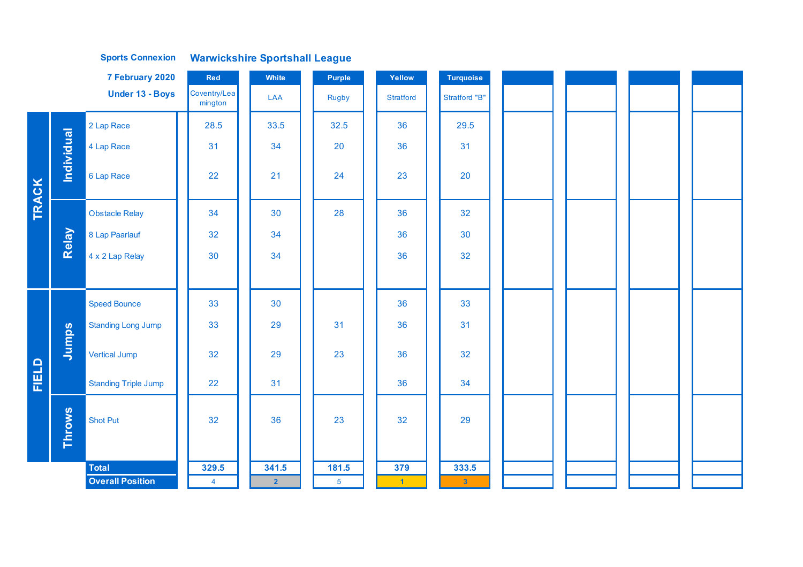|              |                   | 7 February 2020             | Red                     | White          | Purple         | Yellow    | <b>Turquoise</b>     |  |  |
|--------------|-------------------|-----------------------------|-------------------------|----------------|----------------|-----------|----------------------|--|--|
|              |                   | <b>Under 13 - Boys</b>      | Coventry/Lea<br>mington | LAA            | Rugby          | Stratford | <b>Stratford "B"</b> |  |  |
|              |                   | 2 Lap Race                  | 28.5                    | 33.5           | 32.5           | 36        | 29.5                 |  |  |
|              |                   | 4 Lap Race                  | 31                      | 34             | 20             | 36        | 31                   |  |  |
|              | <b>Individual</b> | 6 Lap Race                  | 22                      | 21             | 24             | 23        | 20                   |  |  |
| <b>TRACK</b> |                   | <b>Obstacle Relay</b>       | 34                      | 30             | 28             | 36        | 32                   |  |  |
|              | Relay             | 8 Lap Paarlauf              | 32                      | 34             |                | 36        | 30                   |  |  |
|              |                   | 4 x 2 Lap Relay             | 30                      | 34             |                | 36        | 32                   |  |  |
|              |                   |                             |                         |                |                |           |                      |  |  |
|              |                   | <b>Speed Bounce</b>         | 33                      | 30             |                | 36        | 33                   |  |  |
|              |                   | <b>Standing Long Jump</b>   | 33                      | 29             | 31             | 36        | 31                   |  |  |
|              | Jumps             | <b>Vertical Jump</b>        | 32                      | 29             | 23             | 36        | 32                   |  |  |
| FIELD        |                   | <b>Standing Triple Jump</b> | 22                      | 31             |                | 36        | 34                   |  |  |
|              | <b>Throws</b>     | <b>Shot Put</b>             | 32                      | 36             | 23             | 32        | 29                   |  |  |
|              |                   | <b>Total</b>                | 329.5                   | 341.5          | 181.5          | 379       | 333.5                |  |  |
|              |                   | <b>Overall Position</b>     | $\overline{4}$          | $\overline{2}$ | $\overline{5}$ | $-1$      | $\mathbf{3}$         |  |  |

**Warwickshire Sportshall League Sports Connexion**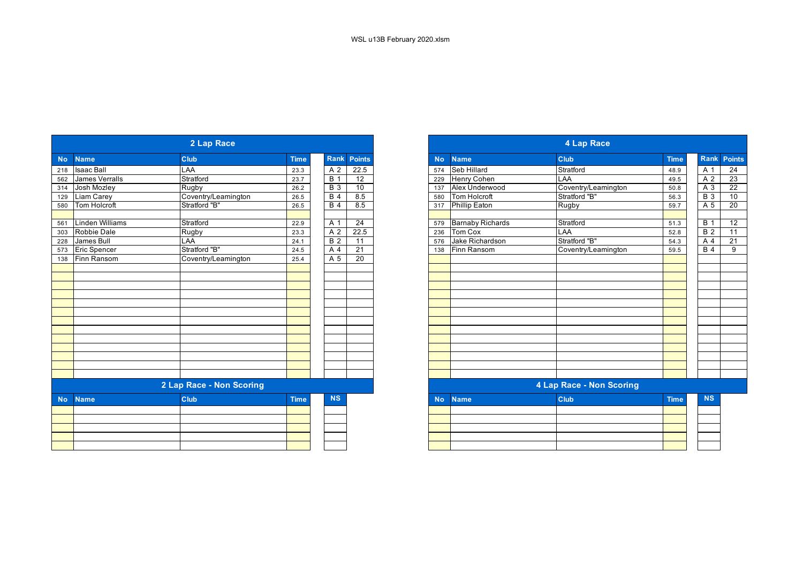|           |                     | 2 Lap Race               |             |                 |                 |           | 4 Lap Race |                         |                          |             |                 |                 |  |  |
|-----------|---------------------|--------------------------|-------------|-----------------|-----------------|-----------|------------|-------------------------|--------------------------|-------------|-----------------|-----------------|--|--|
| <b>No</b> | <b>Name</b>         | <b>Club</b>              | <b>Time</b> | <b>Rank</b>     | <b>Points</b>   | <b>No</b> |            | <b>Name</b>             | <b>Club</b>              | <b>Time</b> | Rank Poin       |                 |  |  |
| 218       | Isaac Ball          | LAA                      | 23.3        | A 2             | 22.5            | 574       |            | Seb Hillard             | Stratford                | 48.9        | A 1             | 24              |  |  |
| 562       | James Verralls      | Stratford                | 23.7        | <b>B</b> 1      | $\overline{12}$ | 229       |            | Henry Cohen             | LAA                      | 49.5        | A 2             | 23              |  |  |
| 314       | Josh Mozley         | Rugby                    | 26.2        | <b>B</b> 3      | 10              | 137       |            | Alex Underwood          | Coventry/Leamington      | 50.8        | A 3             | 22              |  |  |
| 129       | Liam Carey          | Coventry/Leamington      | 26.5        | $\overline{B4}$ | 8.5             | 580       |            | Tom Holcroft            | Stratford "B"            | 56.3        | $\overline{B}3$ | 10              |  |  |
| 580       | Tom Holcroft        | Stratford "B"            | 26.5        | <b>B</b> 4      | 8.5             | 317       |            | <b>Phillip Eaton</b>    | <b>Rugby</b>             | 59.7        | A 5             | 20              |  |  |
| 561       | Linden Williams     | Stratford                | 22.9        | A 1             | 24              | 579       |            | <b>Barnaby Richards</b> | Stratford                | 51.3        | <b>B</b> 1      | 12              |  |  |
| 303       | Robbie Dale         | Rugby                    | 23.3        | A 2             | 22.5            | 236       |            | Tom Cox                 | LAA                      | 52.8        | <b>B</b> 2      | 11              |  |  |
| 228       | James Bull          | LAA                      | 24.1        | B <sub>2</sub>  | $\overline{11}$ | 576       |            | Jake Richardson         | Stratford "B"            | 54.3        | A 4             | $\overline{21}$ |  |  |
| 573       | <b>Eric Spencer</b> | Stratford "B"            | 24.5        | A <sub>4</sub>  | $\overline{21}$ | 138       |            | Finn Ransom             | Coventry/Leamington      | 59.5        | <b>B</b> 4      | $\overline{9}$  |  |  |
| 138       | Finn Ransom         | Coventry/Leamington      | 25.4        | A 5             | $\overline{20}$ |           |            |                         |                          |             |                 |                 |  |  |
|           |                     |                          |             |                 |                 |           |            |                         |                          |             |                 |                 |  |  |
|           |                     |                          |             |                 |                 |           |            |                         |                          |             |                 |                 |  |  |
|           |                     |                          |             |                 |                 |           |            |                         |                          |             |                 |                 |  |  |
|           |                     |                          |             |                 |                 |           |            |                         |                          |             |                 |                 |  |  |
|           |                     |                          |             |                 |                 |           |            |                         |                          |             |                 |                 |  |  |
|           |                     |                          |             |                 |                 |           |            |                         |                          |             |                 |                 |  |  |
|           |                     |                          |             |                 |                 |           |            |                         |                          |             |                 |                 |  |  |
|           |                     |                          |             |                 |                 |           |            |                         |                          |             |                 |                 |  |  |
|           |                     |                          |             |                 |                 |           |            |                         |                          |             |                 |                 |  |  |
|           |                     |                          |             |                 |                 |           |            |                         |                          |             |                 |                 |  |  |
|           |                     |                          |             |                 |                 |           |            |                         |                          |             |                 |                 |  |  |
|           |                     |                          |             |                 |                 |           |            |                         |                          |             |                 |                 |  |  |
|           |                     |                          |             |                 |                 |           |            |                         |                          |             |                 |                 |  |  |
|           |                     | 2 Lap Race - Non Scoring |             |                 |                 |           |            |                         | 4 Lap Race - Non Scoring |             |                 |                 |  |  |
| <b>No</b> | <b>Name</b>         | <b>Club</b>              | <b>Time</b> | <b>NS</b>       |                 | <b>No</b> |            | <b>Name</b>             | Club                     | <b>Time</b> | <b>NS</b>       |                 |  |  |
|           |                     |                          |             |                 |                 |           |            |                         |                          |             |                 |                 |  |  |
|           |                     |                          |             |                 |                 |           |            |                         |                          |             |                 |                 |  |  |
|           |                     |                          |             |                 |                 |           |            |                         |                          |             |                 |                 |  |  |
|           |                     |                          |             |                 |                 |           |            |                         |                          |             |                 |                 |  |  |
|           |                     |                          |             |                 |                 |           |            |                         |                          |             |                 |                 |  |  |

| 2 Lap Race        |                       |                          |             |  |                  |                    |  |  |
|-------------------|-----------------------|--------------------------|-------------|--|------------------|--------------------|--|--|
| <b>Name</b>       |                       | <b>Club</b>              | <b>Time</b> |  |                  | <b>Rank Points</b> |  |  |
| <b>Isaac Ball</b> |                       | LAA                      | 23.3        |  | A 2              | 22.5               |  |  |
|                   | <b>James Verralls</b> | Stratford                | 23.7        |  | $\overline{B}$ 1 | $\overline{12}$    |  |  |
| Josh Mozley       |                       | Rugby                    | 26.2        |  | <b>B</b> 3       | 10                 |  |  |
| Liam Carey        |                       | Coventry/Leamington      | 26.5        |  | <b>B</b> 4       | 8.5                |  |  |
| Tom Holcroft      |                       | Stratford "B"            | 26.5        |  | <b>B</b> 4       | 8.5                |  |  |
|                   | Linden Williams       | Stratford                | 22.9        |  | A 1              | $\overline{24}$    |  |  |
| Robbie Dale       |                       | Rugby                    | 23.3        |  | A 2              | 22.5               |  |  |
| James Bull        |                       | LAA                      | 24.1        |  | $\overline{B}$ 2 | 11                 |  |  |
| Eric Spencer      |                       | Stratford "B"            | 24.5        |  | A <sub>4</sub>   | $\overline{21}$    |  |  |
| Finn Ransom       |                       | Coventry/Leamington      | 25.4        |  | A 5              | $\overline{20}$    |  |  |
|                   |                       |                          |             |  |                  |                    |  |  |
|                   |                       |                          |             |  |                  |                    |  |  |
|                   |                       |                          |             |  |                  |                    |  |  |
|                   |                       |                          |             |  |                  |                    |  |  |
|                   |                       |                          |             |  |                  |                    |  |  |
|                   |                       |                          |             |  |                  |                    |  |  |
|                   |                       |                          |             |  |                  |                    |  |  |
|                   |                       |                          |             |  |                  |                    |  |  |
|                   |                       |                          |             |  |                  |                    |  |  |
|                   |                       |                          |             |  |                  |                    |  |  |
|                   |                       |                          |             |  |                  |                    |  |  |
|                   |                       | 2 Lap Race - Non Scoring |             |  |                  |                    |  |  |
|                   |                       |                          |             |  | <b>NS</b>        |                    |  |  |
| <b>Name</b>       |                       | Club                     | <b>Time</b> |  |                  |                    |  |  |
|                   |                       |                          |             |  |                  |                    |  |  |
|                   |                       |                          |             |  |                  |                    |  |  |
|                   |                       |                          |             |  |                  |                    |  |  |
|                   |                       |                          |             |  |                  |                    |  |  |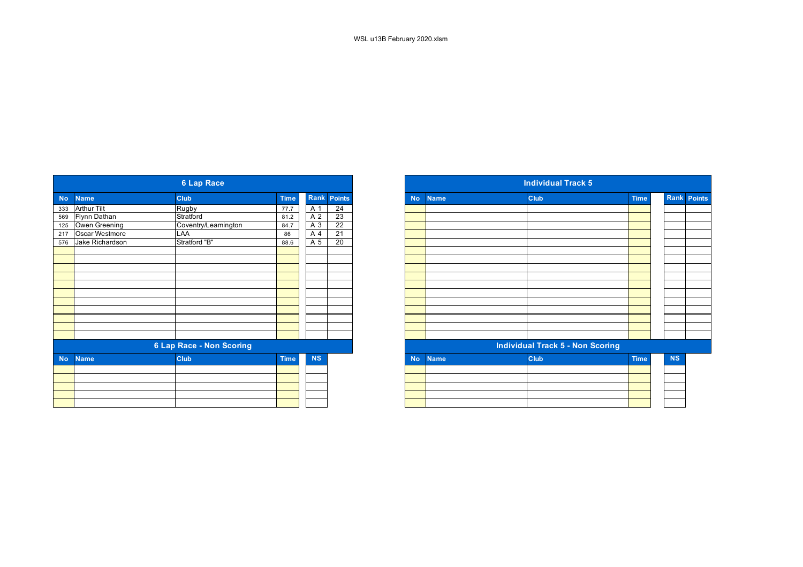|           |                 | <b>6 Lap Race</b>               |             |           |                    |
|-----------|-----------------|---------------------------------|-------------|-----------|--------------------|
| <b>No</b> | <b>Name</b>     | <b>Club</b>                     | <b>Time</b> |           | <b>Rank Points</b> |
| 333       | Arthur Tilt     | Rugby                           | 77.7        | A 1       | 24                 |
| 569       | Flynn Dathan    | Stratford                       | 81.2        | A 2       | 23                 |
| 125       | Owen Greening   | Coventry/Leamington             | 84.7        | A 3       | $\overline{22}$    |
| 217       | Oscar Westmore  | LAA                             | 86          | A 4       | $\overline{21}$    |
| 576       | Jake Richardson | Stratford "B"                   | 88.6        | A 5       | 20                 |
|           |                 |                                 |             |           |                    |
|           |                 |                                 |             |           |                    |
|           |                 |                                 |             |           |                    |
|           |                 |                                 |             |           |                    |
|           |                 |                                 |             |           |                    |
|           |                 |                                 |             |           |                    |
|           |                 |                                 |             |           |                    |
|           |                 |                                 |             |           |                    |
|           |                 |                                 |             |           |                    |
|           |                 |                                 |             |           |                    |
|           |                 |                                 |             |           |                    |
|           |                 | <b>6 Lap Race - Non Scoring</b> |             |           |                    |
| <b>No</b> | <b>Name</b>     | <b>Club</b>                     | <b>Time</b> | <b>NS</b> |                    |
|           |                 |                                 |             |           |                    |
|           |                 |                                 |             |           |                    |
|           |                 |                                 |             |           |                    |
|           |                 |                                 |             |           |                    |
|           |                 |                                 |             |           |                    |

|                 | <b>6 Lap Race</b>                                 |                                                                     |           |                    |  |
|-----------------|---------------------------------------------------|---------------------------------------------------------------------|-----------|--------------------|--|
|                 | <b>Club</b>                                       | <b>Time</b>                                                         |           |                    |  |
|                 | Rugby                                             | 77.7                                                                | A 1       | 24                 |  |
|                 |                                                   | 81.2                                                                | A 2       | 23                 |  |
| Owen Greening   |                                                   | 84.7                                                                | A 3       | 22                 |  |
| Oscar Westmore  | <b>LAA</b>                                        | 86                                                                  | A 4       | $\overline{21}$    |  |
| Jake Richardson | Stratford "B"                                     | 88.6                                                                | A 5       | 20                 |  |
|                 |                                                   |                                                                     |           |                    |  |
|                 |                                                   |                                                                     |           |                    |  |
|                 |                                                   |                                                                     |           |                    |  |
|                 |                                                   |                                                                     |           |                    |  |
|                 |                                                   |                                                                     |           |                    |  |
|                 |                                                   |                                                                     |           |                    |  |
|                 |                                                   |                                                                     |           |                    |  |
|                 |                                                   |                                                                     |           |                    |  |
|                 |                                                   |                                                                     |           |                    |  |
|                 |                                                   |                                                                     |           |                    |  |
|                 |                                                   |                                                                     |           |                    |  |
|                 |                                                   |                                                                     |           |                    |  |
| <b>Name</b>     | <b>Club</b>                                       | <b>Time</b>                                                         | <b>NS</b> |                    |  |
|                 |                                                   |                                                                     |           |                    |  |
|                 |                                                   |                                                                     |           |                    |  |
|                 |                                                   |                                                                     |           |                    |  |
|                 |                                                   |                                                                     |           |                    |  |
|                 |                                                   |                                                                     |           |                    |  |
|                 | <b>Name</b><br><b>Arthur Tilt</b><br>Flynn Dathan | Stratford<br>Coventry/Leamington<br><b>6 Lap Race - Non Scoring</b> |           | <b>Rank Points</b> |  |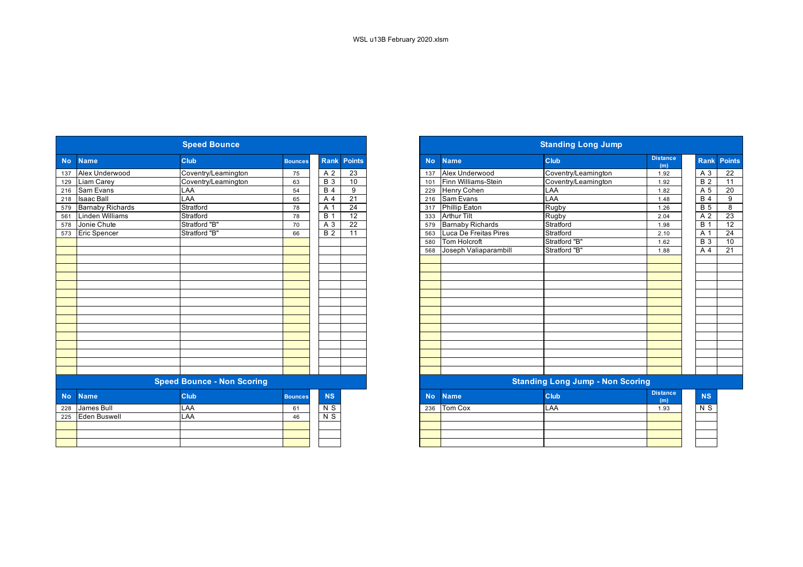|                         | <b>Speed Bounce</b>               |                |                  |                    |           |                         | <b>Standing Long Jump</b>               |                        |
|-------------------------|-----------------------------------|----------------|------------------|--------------------|-----------|-------------------------|-----------------------------------------|------------------------|
| <b>Name</b>             | Club                              | <b>Bounces</b> |                  | <b>Rank Points</b> | <b>No</b> | <b>Name</b>             | Club                                    | <b>Distance</b><br>(m) |
| Alex Underwood          | Coventry/Leamington               | 75             | A 2              | 23                 | 137       | Alex Underwood          | Coventry/Leamington                     | 1.92                   |
| Liam Carey              | Coventry/Leamington               | 63             | $\overline{B}3$  | 10                 | 101       | Finn Williams-Stein     | Coventry/Leamington                     | 1.92                   |
| Sam Evans               | LAA                               | 54             | $\overline{B4}$  | 9                  | 229       | <b>Henry Cohen</b>      | LAA                                     | 1.82                   |
| <b>Isaac Ball</b>       | LAA                               | 65             | A <sub>4</sub>   | $\overline{21}$    | 216       | Sam Evans               | LAA                                     | 1.48                   |
| <b>Barnaby Richards</b> | Stratford                         | 78             | $\overline{A}$ 1 | $\overline{24}$    | 317       | <b>Phillip Eaton</b>    | Rugby                                   | 1.26                   |
| Linden Williams         | Stratford                         | 78             | $\overline{B}$ 1 | $\overline{12}$    | 333       | <b>Arthur Tilt</b>      | Rugby                                   | 2.04                   |
| Jonie Chute             | Stratford "B"                     | 70             | A 3              | $\overline{22}$    | 579       | <b>Barnaby Richards</b> | Stratford                               | 1.98                   |
| <b>Eric Spencer</b>     | Stratford "B"                     | 66             | B <sub>2</sub>   | $\overline{11}$    | 563       | Luca De Freitas Pires   | Stratford                               | 2.10                   |
|                         |                                   |                |                  |                    | 580       | <b>Tom Holcroft</b>     | Stratford "B"                           | 1.62                   |
|                         |                                   |                |                  |                    | 568       | Joseph Valiaparambill   | Stratford "B"                           | 1.88                   |
|                         |                                   |                |                  |                    |           |                         |                                         |                        |
|                         |                                   |                |                  |                    |           |                         |                                         |                        |
|                         |                                   |                |                  |                    |           |                         |                                         |                        |
|                         |                                   |                |                  |                    |           |                         |                                         |                        |
|                         |                                   |                |                  |                    |           |                         |                                         |                        |
|                         |                                   |                |                  |                    |           |                         |                                         |                        |
|                         |                                   |                |                  |                    |           |                         |                                         |                        |
|                         |                                   |                |                  |                    |           |                         |                                         |                        |
|                         |                                   |                |                  |                    |           |                         |                                         |                        |
|                         |                                   |                |                  |                    |           |                         |                                         |                        |
|                         |                                   |                |                  |                    |           |                         |                                         |                        |
|                         |                                   |                |                  |                    |           |                         |                                         |                        |
|                         |                                   |                |                  |                    |           |                         |                                         |                        |
|                         |                                   |                |                  |                    |           |                         |                                         |                        |
|                         | <b>Speed Bounce - Non Scoring</b> |                |                  |                    |           |                         | <b>Standing Long Jump - Non Scoring</b> |                        |
| <b>Name</b>             | Club                              | <b>Bounces</b> | <b>NS</b>        |                    | <b>No</b> | <b>Name</b>             | Club                                    | <b>Distance</b><br>(m) |
| James Bull              | LAA                               | 61             | N S              |                    | 236       | Tom Cox                 | LAA                                     | 1.93                   |
| Eden Buswell            | LAA                               | 46             | $N$ S            |                    |           |                         |                                         |                        |
|                         |                                   |                |                  |                    |           |                         |                                         |                        |
|                         |                                   |                |                  |                    |           |                         |                                         |                        |
|                         |                                   |                |                  |                    |           |                         |                                         |                        |

|                          | <b>Speed Bounce</b>               |                |                  |                 |
|--------------------------|-----------------------------------|----------------|------------------|-----------------|
| <b>Name</b>              | <b>Club</b>                       | <b>Bounces</b> | <b>Rank</b>      | Points          |
| Alex Underwood           | Coventry/Leamington               | 75             | A 2              | $\overline{23}$ |
| Liam Carey               | Coventry/Leamington               | 63             | <b>B</b> 3       | 10              |
| 216 Sam Evans            | LAA                               | 54             | <b>B</b> 4       | 9               |
| <b>Isaac Ball</b>        | LAA                               | 65             | A 4              | 21              |
| <b>Barnaby Richards</b>  | Stratford                         | 78             | A 1              | $\overline{24}$ |
| <b>Linden Williams</b>   | Stratford                         | 78             | $\overline{B}$ 1 | 12              |
| Jonie Chute              | Stratford "B"                     | 70             | A 3              | $\overline{22}$ |
| <b>Eric Spencer</b>      | Stratford "B"                     | 66             | B <sub>2</sub>   | 11              |
|                          |                                   |                |                  |                 |
|                          |                                   |                |                  |                 |
|                          |                                   |                |                  |                 |
|                          |                                   |                |                  |                 |
|                          |                                   |                |                  |                 |
|                          |                                   |                |                  |                 |
|                          |                                   |                |                  |                 |
|                          |                                   |                |                  |                 |
|                          |                                   |                |                  |                 |
|                          |                                   |                |                  |                 |
|                          |                                   |                |                  |                 |
|                          |                                   |                |                  |                 |
|                          |                                   |                |                  |                 |
|                          |                                   |                |                  |                 |
|                          |                                   |                |                  |                 |
|                          |                                   |                |                  |                 |
|                          | <b>Speed Bounce - Non Scoring</b> |                |                  |                 |
| <b>No</b><br><b>Name</b> | <b>Club</b>                       | <b>Bounces</b> | <b>NS</b>        |                 |
| James Bull<br>228        | LAA                               | 61             | N <sub>S</sub>   |                 |
| 225<br>Eden Buswell      | LAA                               | 46             | $N$ S            |                 |
|                          |                                   |                |                  |                 |
|                          |                                   |                |                  |                 |
|                          |                                   |                |                  |                 |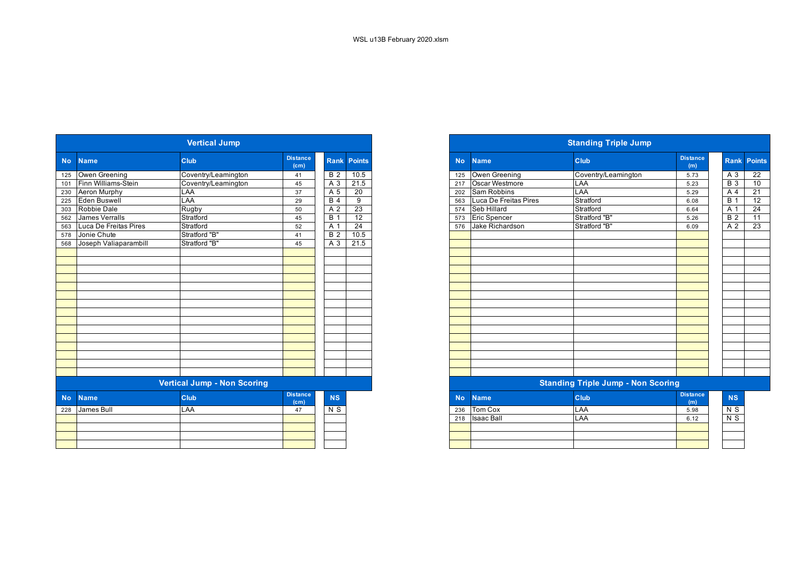|                          | <b>Vertical Jump</b>               |                         |                  |                    |
|--------------------------|------------------------------------|-------------------------|------------------|--------------------|
| <b>No</b><br><b>Name</b> | <b>Club</b>                        | <b>Distance</b><br>(cm) |                  | <b>Rank Points</b> |
| Owen Greening            | Coventry/Leamington                | 41                      | B <sub>2</sub>   | 10.5               |
| Finn Williams-Stein      | Coventry/Leamington                | 45                      | $A_3$            | 21.5               |
| Aeron Murphy             | LAA                                | 37                      | A 5              | $\overline{20}$    |
| Eden Buswell             | <b>LAA</b>                         | 29                      | B <sub>4</sub>   | $\overline{9}$     |
| Robbie Dale              | Rugby                              | 50                      | A 2              | 23                 |
| James Verralls           | Stratford                          | 45                      | $\overline{B}$ 1 | 12                 |
| Luca De Freitas Pires    | Stratford                          | 52                      | A 1              | 24                 |
| Jonie Chute              | Stratford "B"                      | 41                      | B <sub>2</sub>   | 10.5               |
| Joseph Valiaparambill    | Stratford "B"                      | 45                      | A 3              | 21.5               |
|                          |                                    |                         |                  |                    |
|                          |                                    |                         |                  |                    |
|                          |                                    |                         |                  |                    |
|                          |                                    |                         |                  |                    |
|                          |                                    |                         |                  |                    |
|                          |                                    |                         |                  |                    |
|                          |                                    |                         |                  |                    |
|                          |                                    |                         |                  |                    |
|                          |                                    |                         |                  |                    |
|                          |                                    |                         |                  |                    |
|                          |                                    |                         |                  |                    |
|                          |                                    |                         |                  |                    |
|                          |                                    |                         |                  |                    |
|                          |                                    |                         |                  |                    |
|                          |                                    |                         |                  |                    |
|                          | <b>Vertical Jump - Non Scoring</b> |                         |                  |                    |
| <b>Name</b>              | Club                               | <b>Distance</b><br>(cm) | <b>NS</b>        |                    |
| James Bull               | LAA                                | 47                      | $N$ S            |                    |
|                          |                                    |                         |                  |                    |
|                          |                                    |                         |                  |                    |
|                          |                                    |                         |                  |                    |
|                          |                                    |                         |                  |                    |

|                                                                                                                 |                           | <b>Vertical Jump</b> |                         |                |                 |
|-----------------------------------------------------------------------------------------------------------------|---------------------------|----------------------|-------------------------|----------------|-----------------|
| <b>Name</b>                                                                                                     |                           | <b>Club</b>          | <b>Distance</b><br>(cm) | <b>Rank</b>    | <b>Points</b>   |
|                                                                                                                 | Owen Greening             | Coventry/Leamington  | 41                      | <b>B</b> 2     | 10.5            |
|                                                                                                                 | 101 Finn Williams-Stein   | Coventry/Leamington  | 45                      | A 3            | 21.5            |
|                                                                                                                 | 230 Aeron Murphy          | LAA                  | 37                      | A 5            | 20              |
|                                                                                                                 | Eden Buswell              | LAA                  | 29                      | B <sub>4</sub> | 9               |
|                                                                                                                 | 303 Robbie Dale           | Rugby                | 50                      | A 2            | $\overline{23}$ |
|                                                                                                                 | 562 James Verralls        | Stratford            | 45                      | $B^{\prime}$   | $\overline{12}$ |
|                                                                                                                 | 563 Luca De Freitas Pires | Stratford            | 52                      | A 1            | $\overline{24}$ |
|                                                                                                                 | 578 Jonie Chute           | Stratford "B"        | 41                      | <b>B</b> 2     | 10.5            |
|                                                                                                                 | 568 Joseph Valiaparambill | Stratford "B"        | 45                      | A 3            | 21.5            |
|                                                                                                                 |                           |                      |                         |                |                 |
|                                                                                                                 |                           |                      |                         |                |                 |
|                                                                                                                 |                           |                      |                         |                |                 |
|                                                                                                                 |                           |                      |                         |                |                 |
|                                                                                                                 |                           |                      |                         |                |                 |
|                                                                                                                 |                           |                      |                         |                |                 |
|                                                                                                                 |                           |                      |                         |                |                 |
|                                                                                                                 |                           |                      |                         |                |                 |
|                                                                                                                 |                           |                      |                         |                |                 |
|                                                                                                                 |                           |                      |                         |                |                 |
|                                                                                                                 |                           |                      |                         |                |                 |
|                                                                                                                 |                           |                      |                         |                |                 |
|                                                                                                                 |                           |                      |                         |                |                 |
|                                                                                                                 |                           |                      |                         |                |                 |
|                                                                                                                 |                           |                      |                         |                |                 |
|                                                                                                                 |                           |                      |                         |                |                 |
| <b>Vertical Jump - Non Scoring</b><br><b>Distance</b><br><b>Club</b><br>No.<br><b>NS</b><br><b>Name</b><br>(cm) |                           |                      |                         |                |                 |

|     | No Name    | <b>Club</b> | <b>Distance</b><br>(m) | <b>NS</b>      |
|-----|------------|-------------|------------------------|----------------|
| 236 | Tom Cox    | LAA         | 5.98                   | N S            |
| 218 | Isaac Ball | LAA         | 6.12                   | N <sub>S</sub> |
|     |            |             |                        |                |
|     |            |             |                        |                |
|     |            |             |                        |                |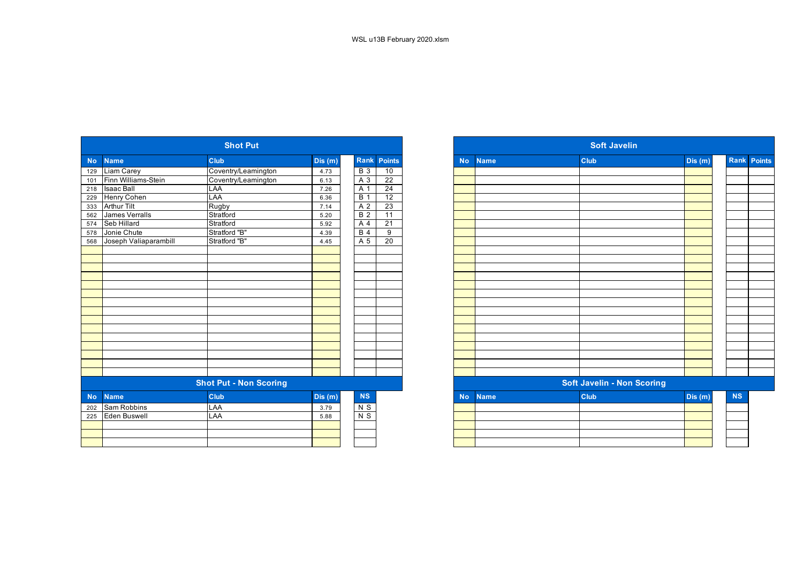|           |                       | <b>Shot Put</b>               |         |                  |                    |           |             | <b>Soft Javelin</b>               |         |
|-----------|-----------------------|-------------------------------|---------|------------------|--------------------|-----------|-------------|-----------------------------------|---------|
| <b>No</b> | <b>Name</b>           | Club                          | Dis (m) |                  | <b>Rank Points</b> | <b>No</b> | <b>Name</b> | Club                              | Dis (m) |
| 129       | <b>Liam Carey</b>     | Coventry/Leamington           | 4.73    | $\overline{B}$ 3 | 10                 |           |             |                                   |         |
| 101       | Finn Williams-Stein   | Coventry/Leamington           | 6.13    | A 3              | $\overline{22}$    |           |             |                                   |         |
| 218       | <b>Isaac Ball</b>     | LAA                           | 7.26    | A 1              | $\overline{24}$    |           |             |                                   |         |
| 229       | Henry Cohen           | <b>LAA</b>                    | 6.36    | <b>B</b> 1       | $\overline{12}$    |           |             |                                   |         |
| 333       | <b>Arthur Tilt</b>    | Rugby                         | 7.14    | A 2              | 23                 |           |             |                                   |         |
| 562       | <b>James Verralls</b> | Stratford                     | 5.20    | $\overline{B}$ 2 | $\overline{11}$    |           |             |                                   |         |
| 574       | Seb Hillard           | Stratford                     | 5.92    | A 4              | $\overline{21}$    |           |             |                                   |         |
| 578       | Jonie Chute           | Stratford "B"                 | 4.39    | B <sub>4</sub>   | $\overline{9}$     |           |             |                                   |         |
| 568       | Joseph Valiaparambill | Stratford "B"                 | 4.45    | A 5              | 20                 |           |             |                                   |         |
|           |                       |                               |         |                  |                    |           |             |                                   |         |
|           |                       |                               |         |                  |                    |           |             |                                   |         |
|           |                       |                               |         |                  |                    |           |             |                                   |         |
|           |                       |                               |         |                  |                    |           |             |                                   |         |
|           |                       |                               |         |                  |                    |           |             |                                   |         |
|           |                       |                               |         |                  |                    |           |             |                                   |         |
|           |                       |                               |         |                  |                    |           |             |                                   |         |
|           |                       |                               |         |                  |                    |           |             |                                   |         |
|           |                       |                               |         |                  |                    |           |             |                                   |         |
|           |                       |                               |         |                  |                    |           |             |                                   |         |
|           |                       |                               |         |                  |                    |           |             |                                   |         |
|           |                       |                               |         |                  |                    |           |             |                                   |         |
|           |                       |                               |         |                  |                    |           |             |                                   |         |
|           |                       |                               |         |                  |                    |           |             |                                   |         |
|           |                       |                               |         |                  |                    |           |             |                                   |         |
|           |                       | <b>Shot Put - Non Scoring</b> |         |                  |                    |           |             | <b>Soft Javelin - Non Scoring</b> |         |
| <b>No</b> | <b>Name</b>           | Club                          | Dis(m)  | <b>NS</b>        |                    | <b>No</b> | <b>Name</b> | Club                              | Dis(m)  |
| 202       | Sam Robbins           | LAA                           | 3.79    | $N$ S            |                    |           |             |                                   |         |
| 225       | <b>Eden Buswell</b>   | LAA                           | 5.88    | $N$ S            |                    |           |             |                                   |         |
|           |                       |                               |         |                  |                    |           |             |                                   |         |
|           |                       |                               |         |                  |                    |           |             |                                   |         |
|           |                       |                               |         |                  |                    |           |             |                                   |         |
|           |                       |                               |         |                  |                    |           |             |                                   |         |

|            |                       | <b>Shot Put</b>               |        |                  |                    |
|------------|-----------------------|-------------------------------|--------|------------------|--------------------|
| <b>No</b>  | <b>Name</b>           | <b>Club</b>                   | Dis(m) |                  | <b>Rank Points</b> |
| 129        | Liam Carey            | Coventry/Leamington           | 4.73   | <b>B</b> 3       | 10                 |
| 101        | Finn Williams-Stein   | Coventry/Leamington           | 6.13   | A 3              | $\overline{22}$    |
| 218        | <b>Isaac Ball</b>     | LAA                           | 7.26   | A <sub>1</sub>   | 24                 |
| 229        | <b>Henry Cohen</b>    | LAA                           | 6.36   | $\overline{B}$ 1 | 12                 |
| 333<br>562 | <b>Arthur Tilt</b>    | Rugby                         | 7.14   | A 2              | 23                 |
|            | James Verralls        | Stratford                     | 5.20   | $\overline{B}$ 2 | 11                 |
| 574        | Seb Hillard           | Stratford                     | 5.92   | A 4              | $\overline{21}$    |
| 578<br>568 | Jonie Chute           | Stratford "B"                 | 4.39   | <b>B</b> 4       | $\overline{9}$     |
|            | Joseph Valiaparambill | Stratford "B"                 | 4.45   | A 5              | 20                 |
|            |                       |                               |        |                  |                    |
|            |                       |                               |        |                  |                    |
|            |                       |                               |        |                  |                    |
|            |                       |                               |        |                  |                    |
|            |                       |                               |        |                  |                    |
|            |                       |                               |        |                  |                    |
|            |                       |                               |        |                  |                    |
|            |                       |                               |        |                  |                    |
|            |                       |                               |        |                  |                    |
|            |                       |                               |        |                  |                    |
|            |                       |                               |        |                  |                    |
|            |                       |                               |        |                  |                    |
|            |                       |                               |        |                  |                    |
|            |                       |                               |        |                  |                    |
|            |                       |                               |        |                  |                    |
|            |                       | <b>Shot Put - Non Scoring</b> |        |                  |                    |
| <b>No</b>  | <b>Name</b>           | <b>Club</b>                   | Dis(m) | $\mathbf{NS}$    |                    |
| 202        | Sam Robbins           | LAA                           | 3.79   | $N$ S            |                    |
| 225        | <b>Eden Buswell</b>   | LAA                           | 5.88   | N <sub>S</sub>   |                    |
|            |                       |                               |        |                  |                    |
|            |                       |                               |        |                  |                    |
|            |                       |                               |        |                  |                    |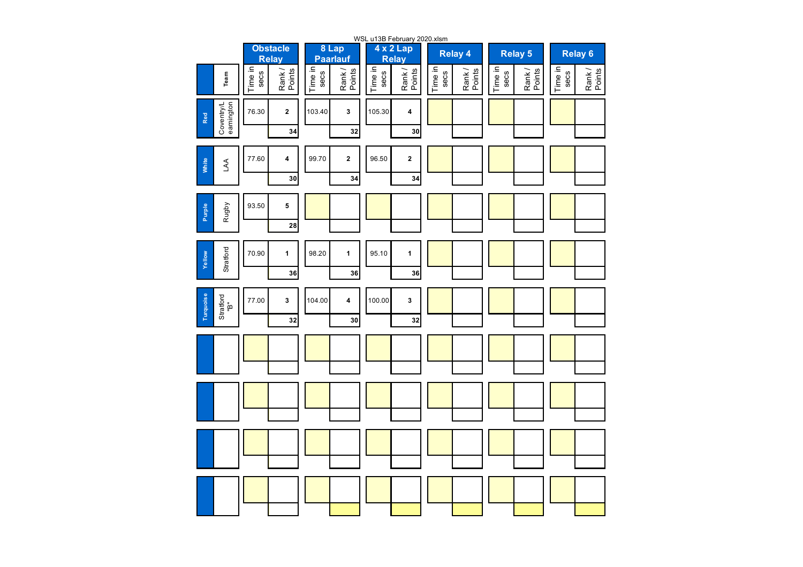|                                |                 |                                 |                 |                          |                 | WSL u13B February 2020.xlsm |                 |                 |                 |                  |                    |                 |  |
|--------------------------------|-----------------|---------------------------------|-----------------|--------------------------|-----------------|-----------------------------|-----------------|-----------------|-----------------|------------------|--------------------|-----------------|--|
|                                |                 | <b>Obstacle</b><br><b>Relay</b> |                 | 8 Lap<br><b>Paarlauf</b> |                 | 4 x 2 Lap<br><b>Relay</b>   |                 | <b>Relay 4</b>  |                 | <b>Relay 5</b>   | Relay <sub>6</sub> |                 |  |
| Team                           | Time in<br>secs | Rank/<br>Points                 | Time in<br>secs | Rank/<br>Points          | Time in<br>secs | Rank/<br>Points             | Time in<br>secs | Rank/<br>Points | Time in<br>secs | Rank /<br>Points | Time in<br>secs    | Rank/<br>Points |  |
| Coventry/L<br>eamington<br>Red | 76.30           | $\mathbf{2}$                    | 103.40          | 3                        | 105.30          | 4                           |                 |                 |                 |                  |                    |                 |  |
|                                |                 | 34                              |                 | 32                       |                 | 30                          |                 |                 |                 |                  |                    |                 |  |
| White<br>LAA                   | 77.60           | 4                               | 99.70           | $\mathbf 2$              | 96.50           | $\mathbf 2$                 |                 |                 |                 |                  |                    |                 |  |
|                                |                 | 30                              |                 | 34                       |                 | 34                          |                 |                 |                 |                  |                    |                 |  |
| Purple<br>Rugby                | 93.50           | 5                               |                 |                          |                 |                             |                 |                 |                 |                  |                    |                 |  |
|                                |                 | 28                              |                 |                          |                 |                             |                 |                 |                 |                  |                    |                 |  |
| Stratford<br>Yellow            | 70.90           | $\mathbf{1}$                    | 98.20           | $\mathbf{1}$             | 95.10           | $\mathbf{1}$                |                 |                 |                 |                  |                    |                 |  |
|                                |                 | 36                              |                 | 36                       |                 | 36                          |                 |                 |                 |                  |                    |                 |  |
| Turquoise<br>Stratford<br>"B"  | 77.00           | 3                               | 104.00          | 4                        | 100.00          | 3                           |                 |                 |                 |                  |                    |                 |  |
|                                |                 | 32                              |                 | 30                       |                 | 32                          |                 |                 |                 |                  |                    |                 |  |
|                                |                 |                                 |                 |                          |                 |                             |                 |                 |                 |                  |                    |                 |  |
|                                |                 |                                 |                 |                          |                 |                             |                 |                 |                 |                  |                    |                 |  |
|                                |                 |                                 |                 |                          |                 |                             |                 |                 |                 |                  |                    |                 |  |
|                                |                 |                                 |                 |                          |                 |                             |                 |                 |                 |                  |                    |                 |  |
|                                |                 |                                 |                 |                          |                 |                             |                 |                 |                 |                  |                    |                 |  |
|                                |                 |                                 |                 |                          |                 |                             |                 |                 |                 |                  |                    |                 |  |
|                                |                 |                                 |                 |                          |                 |                             |                 |                 |                 |                  |                    |                 |  |
|                                |                 |                                 |                 |                          |                 |                             |                 |                 |                 |                  |                    |                 |  |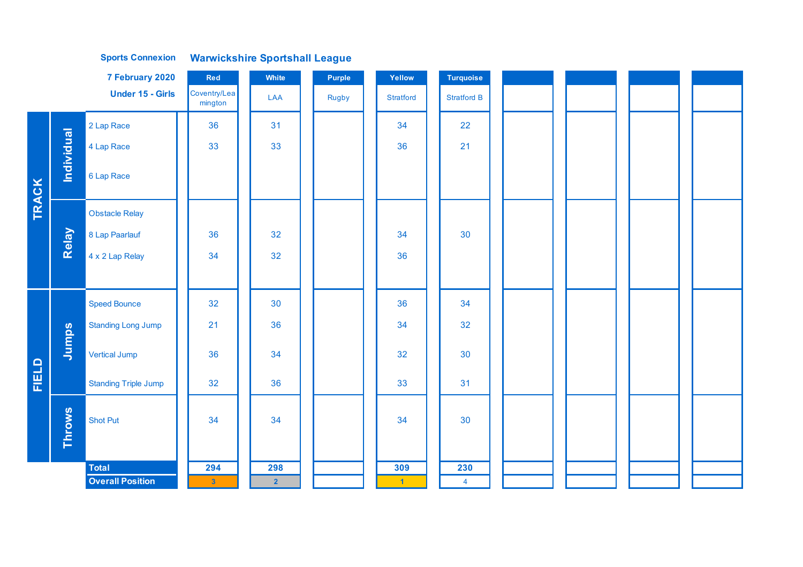|              |            | 7 February 2020             | <b>Red</b>              | White          | Purple       | Yellow               | Turquoise          |  |  |
|--------------|------------|-----------------------------|-------------------------|----------------|--------------|----------------------|--------------------|--|--|
|              |            | <b>Under 15 - Girls</b>     | Coventry/Lea<br>mington | LAA            | <b>Rugby</b> | <b>Stratford</b>     | <b>Stratford B</b> |  |  |
|              |            | 2 Lap Race                  | 36                      | 31             |              | 34                   | 22                 |  |  |
|              |            | 4 Lap Race                  | 33                      | 33             |              | 36                   | 21                 |  |  |
|              | Individual | 6 Lap Race                  |                         |                |              |                      |                    |  |  |
| <b>TRACK</b> |            | <b>Obstacle Relay</b>       |                         |                |              |                      |                    |  |  |
|              | Relay      | 8 Lap Paarlauf              | 36                      | 32             |              | 34                   | 30                 |  |  |
|              |            | 4 x 2 Lap Relay             | 34                      | 32             |              | 36                   |                    |  |  |
|              |            |                             |                         |                |              |                      |                    |  |  |
|              |            | <b>Speed Bounce</b>         | 32                      | 30             |              | 36                   | 34                 |  |  |
|              |            | <b>Standing Long Jump</b>   | 21                      | 36             |              | 34                   | 32                 |  |  |
|              | Jumps      | <b>Vertical Jump</b>        | 36                      | 34             |              | 32                   | 30                 |  |  |
| FIELD        |            | <b>Standing Triple Jump</b> | 32                      | 36             |              | 33                   | 31                 |  |  |
|              | Throws     | <b>Shot Put</b>             | 34                      | 34             |              | 34                   | 30                 |  |  |
|              |            | <b>Total</b>                | 294                     | 298            |              | 309                  | 230                |  |  |
|              |            | <b>Overall Position</b>     | $\mathbf{3}$            | 2 <sup>7</sup> |              | $\blacktriangleleft$ | $\overline{4}$     |  |  |

**Sports Connexion Warwickshire Sportshall League**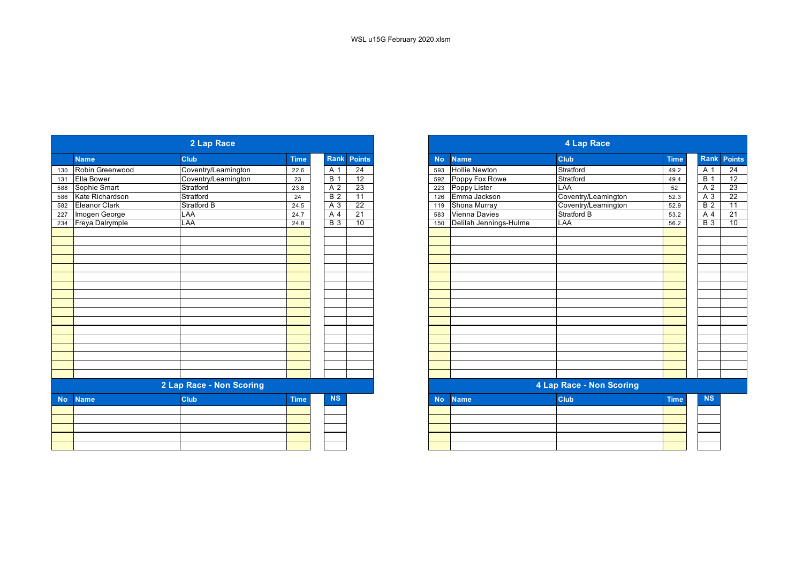|           |                     | 2 Lap Race               |             |            |                 |
|-----------|---------------------|--------------------------|-------------|------------|-----------------|
|           | <b>Name</b>         | <b>Club</b>              | <b>Time</b> | Rank       | <b>Points</b>   |
| 130       | Robin Greenwood     | Coventry/Leamington      | 22.6        | A 1        | 24              |
| 131       | Ella Bower          | Coventry/Leamington      | 23          | <b>B</b> 1 | 12              |
|           | 588 Sophie Smart    | Stratford                | 23.8        | A 2        | 23              |
| 586       | Kate Richardson     | Stratford                | 24          | <b>B</b> 2 | 11              |
| 582       | Eleanor Clark       | Stratford B              | 24.5        | A 3        | $\overline{22}$ |
| 227       | Imogen George       | LAA                      | 24.7        | A 4        | $\overline{21}$ |
|           | 234 Freya Dalrymple | LAA                      | 24.8        | <b>B</b> 3 | 10              |
|           |                     |                          |             |            |                 |
|           |                     |                          |             |            |                 |
|           |                     |                          |             |            |                 |
|           |                     |                          |             |            |                 |
|           |                     |                          |             |            |                 |
|           |                     |                          |             |            |                 |
|           |                     |                          |             |            |                 |
|           |                     |                          |             |            |                 |
|           |                     |                          |             |            |                 |
|           |                     |                          |             |            |                 |
|           |                     |                          |             |            |                 |
|           |                     | 2 Lap Race - Non Scoring |             |            |                 |
|           |                     |                          |             |            |                 |
| <b>No</b> | <b>Name</b>         | <b>Club</b>              | <b>Time</b> | <b>NS</b>  |                 |
|           |                     |                          |             |            |                 |
|           |                     |                          |             |            |                 |
|           |                     |                          |             |            |                 |
|           |                     |                          |             |            |                 |

|                 | 2 Lap Race               |             |                  |                                   |
|-----------------|--------------------------|-------------|------------------|-----------------------------------|
| <b>Name</b>     | <b>Club</b>              | <b>Time</b> |                  | Rank Points                       |
| Robin Greenwood | Coventry/Leamington      | 22.6        | A 1              | 24                                |
| Ella Bower      | Coventry/Leamington      | 23          | $\overline{B}$ 1 | $\overline{12}$                   |
| Sophie Smart    | Stratford                | 23.8        |                  | 23<br>A 2                         |
| Kate Richardson | Stratford                | 24          |                  | B <sub>2</sub><br>$\overline{11}$ |
| Eleanor Clark   | <b>Stratford B</b>       | 24.5        |                  | $\overline{22}$<br>A 3            |
| Imogen George   | LAA                      | 24.7        |                  | $\overline{21}$<br>A 4            |
| Freya Dalrymple | LAA                      | 24.8        |                  | $\overline{B}$ 3<br>10            |
|                 |                          |             |                  |                                   |
|                 |                          |             |                  |                                   |
|                 |                          |             |                  |                                   |
|                 |                          |             |                  |                                   |
|                 |                          |             |                  |                                   |
|                 |                          |             |                  |                                   |
|                 |                          |             |                  |                                   |
|                 |                          |             |                  |                                   |
|                 |                          |             |                  |                                   |
|                 |                          |             |                  |                                   |
|                 |                          |             |                  |                                   |
|                 |                          |             |                  |                                   |
|                 |                          |             |                  |                                   |
|                 |                          |             |                  |                                   |
|                 |                          |             |                  |                                   |
|                 |                          |             |                  |                                   |
|                 |                          |             |                  |                                   |
|                 | 2 Lap Race - Non Scoring |             |                  |                                   |
| <b>Name</b>     | <b>Club</b>              | <b>Time</b> |                  | <b>NS</b>                         |
|                 |                          |             |                  |                                   |
|                 |                          |             |                  |                                   |
|                 |                          |             |                  |                                   |
|                 |                          |             |                  |                                   |
|                 |                          |             |                  |                                   |
|                 |                          |             |                  |                                   |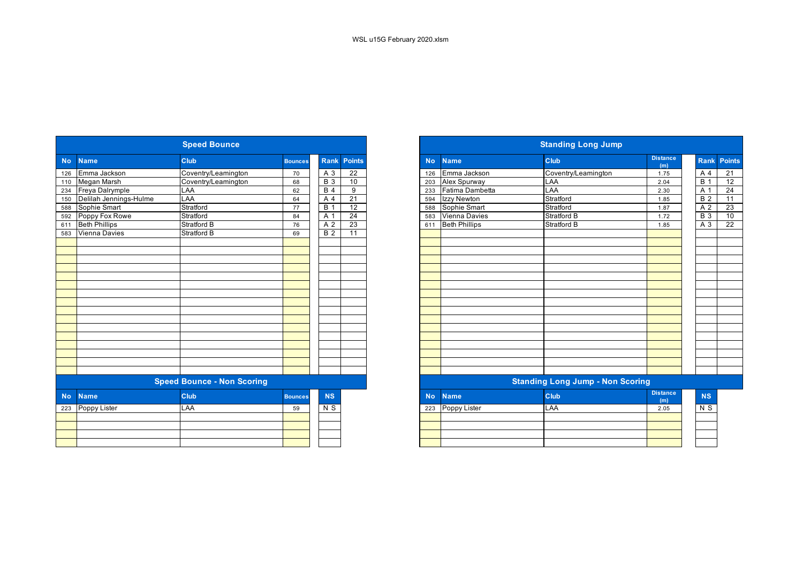|           |                        | <b>Speed Bounce</b>               |                |                  |                    |
|-----------|------------------------|-----------------------------------|----------------|------------------|--------------------|
| <b>No</b> | <b>Name</b>            | <b>Club</b>                       | <b>Bounces</b> |                  | <b>Rank Points</b> |
| 126       | Emma Jackson           | Coventry/Leamington               | 70             | A 3              | $\overline{22}$    |
| 110       | Megan Marsh            | Coventry/Leamington               | 68             | $\overline{B}$ 3 | 10                 |
| 234       | Freya Dalrymple        | LAA                               | 62             | $\overline{B4}$  | 9                  |
| 150       | Delilah Jennings-Hulme | LAA                               | 64             | A                | 21                 |
| 588       | Sophie Smart           | Stratford                         | 77             | $\overline{B}$ 1 | $\overline{12}$    |
| 592       | Poppy Fox Rowe         | Stratford                         | 84             | A 1              | $\overline{24}$    |
| 611       | <b>Beth Phillips</b>   | <b>Stratford B</b>                | 76             | $\overline{A2}$  | $\overline{23}$    |
| 583       | Vienna Davies          | <b>Stratford B</b>                | 69             | <b>B</b> 2       | 11                 |
|           |                        |                                   |                |                  |                    |
|           |                        |                                   |                |                  |                    |
|           |                        |                                   |                |                  |                    |
|           |                        |                                   |                |                  |                    |
|           |                        |                                   |                |                  |                    |
|           |                        |                                   |                |                  |                    |
|           |                        |                                   |                |                  |                    |
|           |                        |                                   |                |                  |                    |
|           |                        |                                   |                |                  |                    |
|           |                        |                                   |                |                  |                    |
|           |                        |                                   |                |                  |                    |
|           |                        |                                   |                |                  |                    |
|           |                        |                                   |                |                  |                    |
|           |                        |                                   |                |                  |                    |
|           |                        |                                   |                |                  |                    |
|           |                        |                                   |                |                  |                    |
|           |                        | <b>Speed Bounce - Non Scoring</b> |                |                  |                    |
| <b>No</b> | <b>Name</b>            | Club                              | <b>Bounces</b> | <b>NS</b>        |                    |
| 223       | Poppy Lister           | LAA                               | 59             | N S              |                    |
|           |                        |                                   |                |                  |                    |
|           |                        |                                   |                |                  |                    |
|           |                        |                                   |                |                  |                    |
|           |                        |                                   |                |                  |                    |
|           |                        |                                   |                |                  |                    |

| <b>Distance</b><br><b>Club</b><br><b>Rank Points</b><br><b>Club</b><br><b>Name</b><br><b>No</b><br><b>Name</b><br><b>Bounces</b><br>(m)<br>Emma Jackson<br>Emma Jackson<br>Coventry/Leamington<br>$A_3$<br>$\overline{22}$<br>Coventry/Leamington<br>70<br>126<br>1.75<br>Megan Marsh<br>10<br>Coventry/Leamington<br>Alex Spurway<br>LAA<br><b>B</b> 3<br>68<br>203<br>2.04<br>234 Freya Dalrymple<br>LAA<br>Fatima Dambetta<br>LAA<br>9<br><b>B</b> 4<br>62<br>2.30<br>233<br>Delilah Jennings-Hulme<br>LAA<br>$\overline{21}$<br>Izzy Newton<br>Stratford<br>A 4<br>64<br>1.85<br>594<br>Stratford<br>12<br>Sophie Smart<br>Sophie Smart<br>Stratford<br><b>B</b> 1<br>77<br>588<br>1.87<br>Poppy Fox Rowe<br>Stratford<br>$\overline{24}$<br><b>Vienna Davies</b><br><b>Stratford B</b><br>A 1<br>583<br>1.72<br>84<br>23<br><b>Beth Phillips</b><br><b>Beth Phillips</b><br><b>Stratford B</b><br>Stratford B<br>A 2<br>76<br>611<br>1.85 |
|------------------------------------------------------------------------------------------------------------------------------------------------------------------------------------------------------------------------------------------------------------------------------------------------------------------------------------------------------------------------------------------------------------------------------------------------------------------------------------------------------------------------------------------------------------------------------------------------------------------------------------------------------------------------------------------------------------------------------------------------------------------------------------------------------------------------------------------------------------------------------------------------------------------------------------------------|
|                                                                                                                                                                                                                                                                                                                                                                                                                                                                                                                                                                                                                                                                                                                                                                                                                                                                                                                                                |
|                                                                                                                                                                                                                                                                                                                                                                                                                                                                                                                                                                                                                                                                                                                                                                                                                                                                                                                                                |
|                                                                                                                                                                                                                                                                                                                                                                                                                                                                                                                                                                                                                                                                                                                                                                                                                                                                                                                                                |
|                                                                                                                                                                                                                                                                                                                                                                                                                                                                                                                                                                                                                                                                                                                                                                                                                                                                                                                                                |
|                                                                                                                                                                                                                                                                                                                                                                                                                                                                                                                                                                                                                                                                                                                                                                                                                                                                                                                                                |
|                                                                                                                                                                                                                                                                                                                                                                                                                                                                                                                                                                                                                                                                                                                                                                                                                                                                                                                                                |
|                                                                                                                                                                                                                                                                                                                                                                                                                                                                                                                                                                                                                                                                                                                                                                                                                                                                                                                                                |
|                                                                                                                                                                                                                                                                                                                                                                                                                                                                                                                                                                                                                                                                                                                                                                                                                                                                                                                                                |
| Vienna Davies<br><b>Stratford B</b><br>$\overline{11}$<br>$\overline{B}$ 2<br>69                                                                                                                                                                                                                                                                                                                                                                                                                                                                                                                                                                                                                                                                                                                                                                                                                                                               |
|                                                                                                                                                                                                                                                                                                                                                                                                                                                                                                                                                                                                                                                                                                                                                                                                                                                                                                                                                |
|                                                                                                                                                                                                                                                                                                                                                                                                                                                                                                                                                                                                                                                                                                                                                                                                                                                                                                                                                |
|                                                                                                                                                                                                                                                                                                                                                                                                                                                                                                                                                                                                                                                                                                                                                                                                                                                                                                                                                |
|                                                                                                                                                                                                                                                                                                                                                                                                                                                                                                                                                                                                                                                                                                                                                                                                                                                                                                                                                |
|                                                                                                                                                                                                                                                                                                                                                                                                                                                                                                                                                                                                                                                                                                                                                                                                                                                                                                                                                |
|                                                                                                                                                                                                                                                                                                                                                                                                                                                                                                                                                                                                                                                                                                                                                                                                                                                                                                                                                |
|                                                                                                                                                                                                                                                                                                                                                                                                                                                                                                                                                                                                                                                                                                                                                                                                                                                                                                                                                |
|                                                                                                                                                                                                                                                                                                                                                                                                                                                                                                                                                                                                                                                                                                                                                                                                                                                                                                                                                |
|                                                                                                                                                                                                                                                                                                                                                                                                                                                                                                                                                                                                                                                                                                                                                                                                                                                                                                                                                |
|                                                                                                                                                                                                                                                                                                                                                                                                                                                                                                                                                                                                                                                                                                                                                                                                                                                                                                                                                |
|                                                                                                                                                                                                                                                                                                                                                                                                                                                                                                                                                                                                                                                                                                                                                                                                                                                                                                                                                |
|                                                                                                                                                                                                                                                                                                                                                                                                                                                                                                                                                                                                                                                                                                                                                                                                                                                                                                                                                |
|                                                                                                                                                                                                                                                                                                                                                                                                                                                                                                                                                                                                                                                                                                                                                                                                                                                                                                                                                |
|                                                                                                                                                                                                                                                                                                                                                                                                                                                                                                                                                                                                                                                                                                                                                                                                                                                                                                                                                |
|                                                                                                                                                                                                                                                                                                                                                                                                                                                                                                                                                                                                                                                                                                                                                                                                                                                                                                                                                |
|                                                                                                                                                                                                                                                                                                                                                                                                                                                                                                                                                                                                                                                                                                                                                                                                                                                                                                                                                |
| <b>Speed Bounce - Non Scoring</b><br><b>Standing Long Jump - Non Scoring</b>                                                                                                                                                                                                                                                                                                                                                                                                                                                                                                                                                                                                                                                                                                                                                                                                                                                                   |
| <b>Distance</b><br>Club<br>NS<br><b>Club</b><br><b>Name</b><br><b>Name</b><br><b>No</b><br><b>Bounces</b><br>(m)                                                                                                                                                                                                                                                                                                                                                                                                                                                                                                                                                                                                                                                                                                                                                                                                                               |
| 223 Poppy Lister<br>LAA<br>Poppy Lister<br>N S<br>LAA<br>223<br>2.05<br>59                                                                                                                                                                                                                                                                                                                                                                                                                                                                                                                                                                                                                                                                                                                                                                                                                                                                     |
|                                                                                                                                                                                                                                                                                                                                                                                                                                                                                                                                                                                                                                                                                                                                                                                                                                                                                                                                                |
|                                                                                                                                                                                                                                                                                                                                                                                                                                                                                                                                                                                                                                                                                                                                                                                                                                                                                                                                                |
|                                                                                                                                                                                                                                                                                                                                                                                                                                                                                                                                                                                                                                                                                                                                                                                                                                                                                                                                                |
|                                                                                                                                                                                                                                                                                                                                                                                                                                                                                                                                                                                                                                                                                                                                                                                                                                                                                                                                                |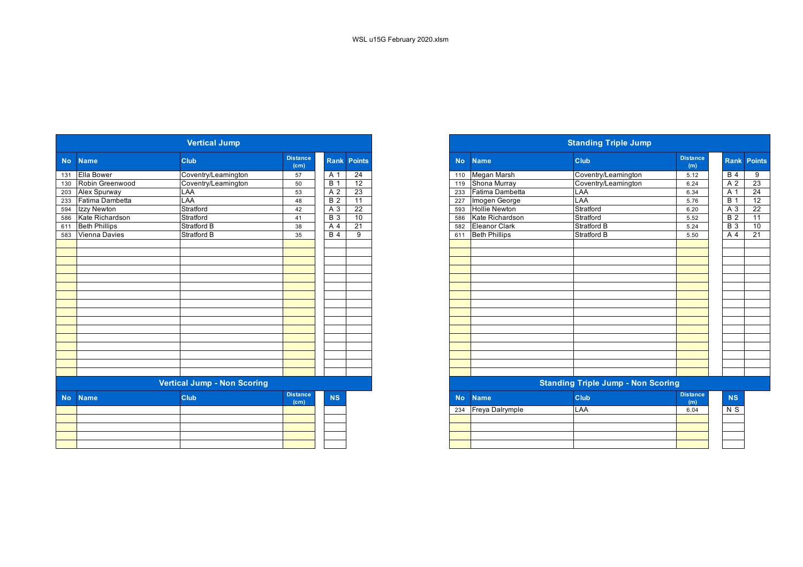|           |                      | <b>Vertical Jump</b>               |                                      |                  |                    |
|-----------|----------------------|------------------------------------|--------------------------------------|------------------|--------------------|
| <b>No</b> | <b>Name</b>          | Club                               | <b>Distance</b><br>(c <sub>m</sub> ) |                  | <b>Rank Points</b> |
| 131       | <b>Ella Bower</b>    | Coventry/Leamington                | 57                                   | A 1              | 24                 |
| 130       | Robin Greenwood      | Coventry/Leamington                | 50                                   | <b>B</b> 1       | 12                 |
| 203       | Alex Spurway         | LAA                                | 53                                   | $\overline{A2}$  | 23                 |
| 233       | Fatima Dambetta      | LAA                                | 48                                   | <b>B2</b>        | 11                 |
| 594       | Izzy Newton          | Stratford                          | 42                                   | $\overline{A}3$  | 22                 |
| 586       | Kate Richardson      | Stratford                          | 41                                   | $\overline{B}$ 3 | 10                 |
| 611       | <b>Beth Phillips</b> | <b>Stratford B</b>                 | 38                                   | A <sub>4</sub>   | $\overline{21}$    |
| 583       | <b>Vienna Davies</b> | Stratford B                        | 35                                   | <b>B</b> 4       | 9                  |
|           |                      |                                    |                                      |                  |                    |
|           |                      |                                    |                                      |                  |                    |
|           |                      |                                    |                                      |                  |                    |
|           |                      |                                    |                                      |                  |                    |
|           |                      |                                    |                                      |                  |                    |
|           |                      |                                    |                                      |                  |                    |
|           |                      |                                    |                                      |                  |                    |
|           |                      |                                    |                                      |                  |                    |
|           |                      |                                    |                                      |                  |                    |
|           |                      |                                    |                                      |                  |                    |
|           |                      |                                    |                                      |                  |                    |
|           |                      |                                    |                                      |                  |                    |
|           |                      |                                    |                                      |                  |                    |
|           |                      |                                    |                                      |                  |                    |
|           |                      |                                    |                                      |                  |                    |
|           |                      |                                    |                                      |                  |                    |
|           |                      | <b>Vertical Jump - Non Scoring</b> |                                      |                  |                    |
| <b>No</b> | <b>Name</b>          | <b>Club</b>                        | <b>Distance</b><br>(c <sub>m</sub> ) | <b>NS</b>        |                    |
|           |                      |                                    |                                      |                  |                    |
|           |                      |                                    |                                      |                  |                    |
|           |                      |                                    |                                      |                  |                    |
|           |                      |                                    |                                      |                  |                    |
|           |                      |                                    |                                      |                  |                    |
|           |                      |                                    |                                      |                  |                    |

|           |                     | <b>Vertical Jump</b>               |                                      |                  |                 |
|-----------|---------------------|------------------------------------|--------------------------------------|------------------|-----------------|
| No.       | <b>Name</b>         | <b>Club</b>                        | <b>Distance</b><br>(cm)              | <b>Rank</b>      | <b>Points</b>   |
|           | 131 Ella Bower      | Coventry/Leamington                | 57                                   | $A^{\prime}$     | 24              |
|           | 130 Robin Greenwood | Coventry/Leamington                | 50                                   | B                | $\overline{12}$ |
|           | 203 Alex Spurway    | LAA                                | 53                                   | A 2              | 23              |
| 233       | Fatima Dambetta     | LAA                                | 48                                   | <b>B</b> 2       | $\overline{11}$ |
| 594       | Izzy Newton         | Stratford                          | 42                                   | $A_3$            | 22              |
|           | 586 Kate Richardson | Stratford                          | 41                                   | $\overline{B}$ 3 | 10              |
|           | 611 Beth Phillips   | Stratford B                        | 38                                   | A 4              | 21              |
|           | 583 Vienna Davies   | <b>Stratford B</b>                 | 35                                   | B <sub>4</sub>   | 9               |
|           |                     |                                    |                                      |                  |                 |
|           |                     |                                    |                                      |                  |                 |
|           |                     |                                    |                                      |                  |                 |
|           |                     |                                    |                                      |                  |                 |
|           |                     |                                    |                                      |                  |                 |
|           |                     |                                    |                                      |                  |                 |
|           |                     |                                    |                                      |                  |                 |
|           |                     |                                    |                                      |                  |                 |
|           |                     |                                    |                                      |                  |                 |
|           |                     |                                    |                                      |                  |                 |
|           |                     |                                    |                                      |                  |                 |
|           |                     |                                    |                                      |                  |                 |
|           |                     |                                    |                                      |                  |                 |
|           |                     |                                    |                                      |                  |                 |
|           |                     |                                    |                                      |                  |                 |
|           |                     |                                    |                                      |                  |                 |
|           |                     | <b>Vertical Jump - Non Scoring</b> |                                      |                  |                 |
| <b>No</b> | <b>Name</b>         | <b>Club</b>                        | <b>Distance</b><br>(c <sub>m</sub> ) | <b>NS</b>        |                 |
|           |                     |                                    |                                      |                  |                 |

| 6.04 | $\sim$ |
|------|--------|
|      |        |
|      |        |
|      |        |
|      |        |
|      |        |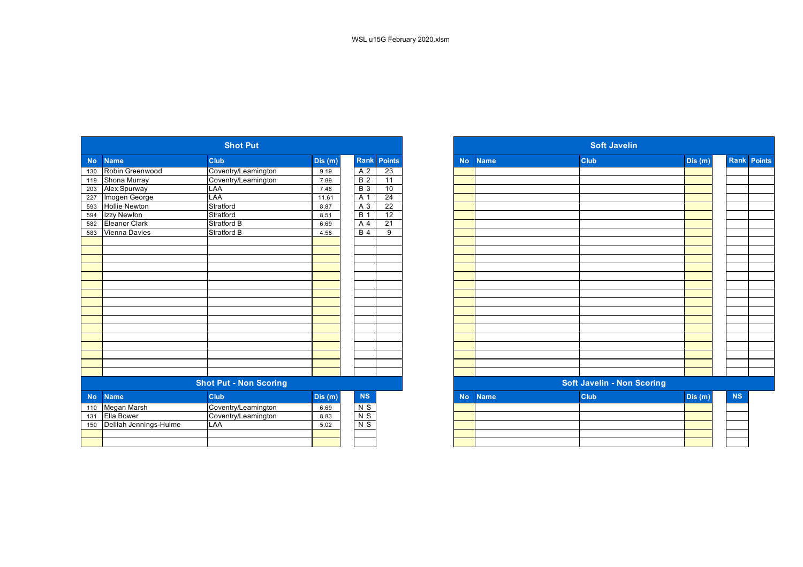|           |                        | <b>Shot Put</b>               |         |                  |                    |           |             | <b>Soft Javelin</b>               |         |
|-----------|------------------------|-------------------------------|---------|------------------|--------------------|-----------|-------------|-----------------------------------|---------|
| <b>No</b> | <b>Name</b>            | Club                          | Dis (m) |                  | <b>Rank Points</b> | <b>No</b> | <b>Name</b> | Club                              | Dis (m) |
| 130       | Robin Greenwood        | Coventry/Leamington           | 9.19    | A <sub>2</sub>   | 23                 |           |             |                                   |         |
| 119       | Shona Murray           | Coventry/Leamington           | 7.89    | $\overline{B}$ 2 | 11                 |           |             |                                   |         |
| 203       | Alex Spurway           | LAA                           | 7.48    | $B_3$            | 10                 |           |             |                                   |         |
| 227       | Imogen George          | LAA                           | 11.61   | A 1              | $\overline{24}$    |           |             |                                   |         |
| 593       | <b>Hollie Newton</b>   | Stratford                     | 8.87    | A 3              | $\overline{22}$    |           |             |                                   |         |
| 594       | Izzy Newton            | Stratford                     | 8.51    | $\overline{B}$ 1 | $\overline{12}$    |           |             |                                   |         |
| 582       | <b>Eleanor Clark</b>   | <b>Stratford B</b>            | 6.69    | A 4              | $\overline{21}$    |           |             |                                   |         |
| 583       | Vienna Davies          | <b>Stratford B</b>            | 4.58    | $B$ 4            | $\overline{9}$     |           |             |                                   |         |
|           |                        |                               |         |                  |                    |           |             |                                   |         |
|           |                        |                               |         |                  |                    |           |             |                                   |         |
|           |                        |                               |         |                  |                    |           |             |                                   |         |
|           |                        |                               |         |                  |                    |           |             |                                   |         |
|           |                        |                               |         |                  |                    |           |             |                                   |         |
|           |                        |                               |         |                  |                    |           |             |                                   |         |
|           |                        |                               |         |                  |                    |           |             |                                   |         |
|           |                        |                               |         |                  |                    |           |             |                                   |         |
|           |                        |                               |         |                  |                    |           |             |                                   |         |
|           |                        |                               |         |                  |                    |           |             |                                   |         |
|           |                        |                               |         |                  |                    |           |             |                                   |         |
|           |                        |                               |         |                  |                    |           |             |                                   |         |
|           |                        |                               |         |                  |                    |           |             |                                   |         |
|           |                        |                               |         |                  |                    |           |             |                                   |         |
|           |                        |                               |         |                  |                    |           |             |                                   |         |
|           |                        |                               |         |                  |                    |           |             |                                   |         |
|           |                        | <b>Shot Put - Non Scoring</b> |         |                  |                    |           |             | <b>Soft Javelin - Non Scoring</b> |         |
| <b>No</b> | <b>Name</b>            | Club                          | Dis(m)  | <b>NS</b>        |                    | <b>No</b> | <b>Name</b> | Club                              | Dis(m)  |
| 110       | Megan Marsh            | Coventry/Leamington           | 6.69    | N <sub>S</sub>   |                    |           |             |                                   |         |
| 131       | <b>Ella Bower</b>      | Coventry/Leamington           | 8.83    | $N$ S            |                    |           |             |                                   |         |
| 150       | Delilah Jennings-Hulme | LAA                           | 5.02    | $N$ S            |                    |           |             |                                   |         |
|           |                        |                               |         |                  |                    |           |             |                                   |         |
|           |                        |                               |         |                  |                    |           |             |                                   |         |
|           |                        |                               |         |                  |                    |           |             |                                   |         |

|           |                        | <b>Shot Put</b>               |         |                  |                    |
|-----------|------------------------|-------------------------------|---------|------------------|--------------------|
| <b>No</b> | <b>Name</b>            | <b>Club</b>                   | Dis (m) |                  | <b>Rank Points</b> |
| 130       | Robin Greenwood        | Coventry/Leamington           | 9.19    | A 2              | 23                 |
| 119       | Shona Murray           | Coventry/Leamington           | 7.89    | <b>B</b> 2       | 11                 |
| 203       | Alex Spurway           | LAA                           | 7.48    | $\overline{B}$ 3 | 10                 |
| 227       | Imogen George          | LAA                           | 11.61   | A 1              | 24                 |
| 593       | <b>Hollie Newton</b>   | Stratford                     | 8.87    | A 3              | $\overline{22}$    |
| 594       | Izzy Newton            | Stratford                     | 8.51    | <b>B</b> 1       | $\overline{12}$    |
| 582       | <b>Eleanor Clark</b>   | Stratford B                   | 6.69    | A 4              | 21                 |
| 583       | Vienna Davies          | <b>Stratford B</b>            | 4.58    | $\overline{B4}$  | 9                  |
|           |                        |                               |         |                  |                    |
|           |                        |                               |         |                  |                    |
|           |                        |                               |         |                  |                    |
|           |                        |                               |         |                  |                    |
|           |                        |                               |         |                  |                    |
|           |                        |                               |         |                  |                    |
|           |                        |                               |         |                  |                    |
|           |                        |                               |         |                  |                    |
|           |                        |                               |         |                  |                    |
|           |                        |                               |         |                  |                    |
|           |                        |                               |         |                  |                    |
|           |                        |                               |         |                  |                    |
|           |                        |                               |         |                  |                    |
|           |                        |                               |         |                  |                    |
|           |                        |                               |         |                  |                    |
|           |                        |                               |         |                  |                    |
|           |                        | <b>Shot Put - Non Scoring</b> |         |                  |                    |
| <b>No</b> | <b>Name</b>            | Club                          | Dis(m)  | $\mathbf{NS}$    |                    |
| 110       | Megan Marsh            | Coventry/Leamington           | 6.69    | $N$ S            |                    |
| 131       | <b>Ella Bower</b>      | Coventry/Leamington           | 8.83    | N <sub>S</sub>   |                    |
| 150       | Delilah Jennings-Hulme | LAA                           | 5.02    | $N$ S            |                    |
|           |                        |                               |         |                  |                    |
|           |                        |                               |         |                  |                    |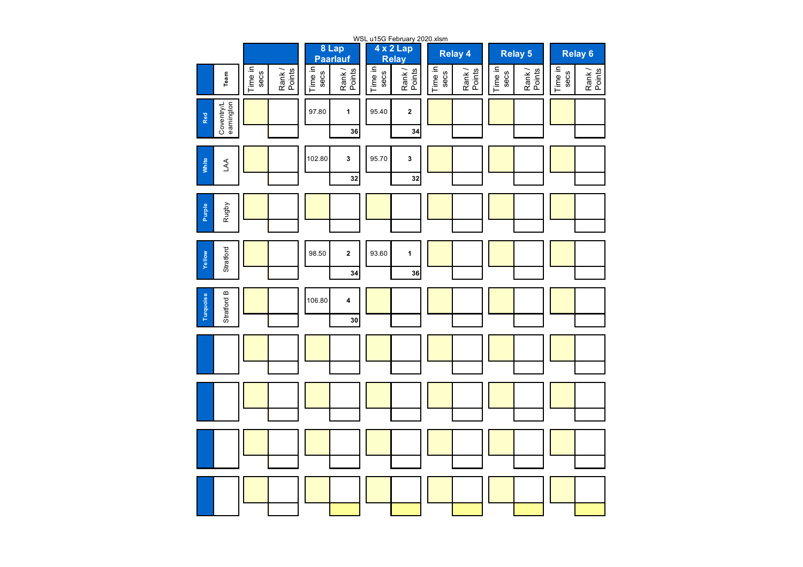|                                       |                 |                  |                 |                          |                 | WSL u15G February 2020.xlsm |                 |                  |                 |                  |                 |                  |
|---------------------------------------|-----------------|------------------|-----------------|--------------------------|-----------------|-----------------------------|-----------------|------------------|-----------------|------------------|-----------------|------------------|
|                                       |                 |                  |                 | 8 Lap<br><b>Paarlauf</b> |                 | 4 x 2 Lap<br><b>Relay</b>   |                 | Relay 4          |                 | <b>Relay 5</b>   |                 | <b>Relay 6</b>   |
| Team                                  | Time in<br>secs | Rank /<br>Points | Time in<br>secs | Rank/<br>Points          | Time in<br>secs | Rank/<br>Points             | Time in<br>secs | Rank /<br>Points | Time in<br>secs | Rank /<br>Points | Time in<br>secs | Rank /<br>Points |
| Coventry/L<br>eamington<br><b>Red</b> |                 |                  | 97.80           | $\mathbf{1}$             | 95.40           | $\mathbf 2$                 |                 |                  |                 |                  |                 |                  |
|                                       |                 |                  |                 | 36                       |                 | 34                          |                 |                  |                 |                  |                 |                  |
| White<br>AA                           |                 |                  | 102.80          | $\mathbf{3}$<br>32       | 95.70           | 3<br>32                     |                 |                  |                 |                  |                 |                  |
| Rugby<br>Purple                       |                 |                  |                 |                          |                 |                             |                 |                  |                 |                  |                 |                  |
| Stratford<br>Yellow                   |                 |                  | 98.50           | $\mathbf 2$<br>34        | 93.60           | $\mathbf{1}$<br>36          |                 |                  |                 |                  |                 |                  |
| Stratford B<br>Turquoise              |                 |                  | 106.80          | 4<br>30                  |                 |                             |                 |                  |                 |                  |                 |                  |
|                                       |                 |                  |                 |                          |                 |                             |                 |                  |                 |                  |                 |                  |
|                                       |                 |                  |                 |                          |                 |                             |                 |                  |                 |                  |                 |                  |
|                                       |                 |                  |                 |                          |                 |                             |                 |                  |                 |                  |                 |                  |
|                                       |                 |                  |                 |                          |                 |                             |                 |                  |                 |                  |                 |                  |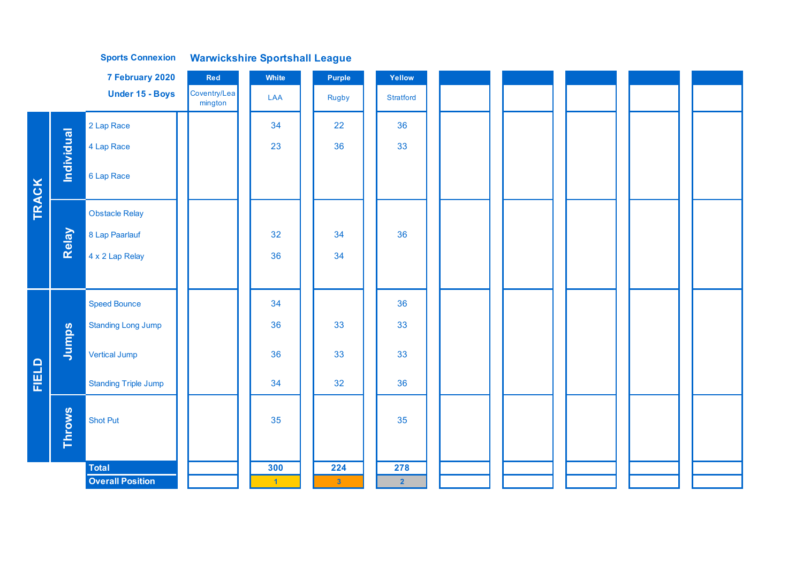|              |               | 7 February 2020             | Red                     | White          | Purple         | Yellow         |
|--------------|---------------|-----------------------------|-------------------------|----------------|----------------|----------------|
|              |               | Under 15 - Boys             | Coventry/Lea<br>mington | LAA            | <b>Rugby</b>   | Stratford      |
|              |               | 2 Lap Race                  |                         | 34             | 22             | 36             |
|              | Individual    | 4 Lap Race                  |                         | 23             | 36             | 33             |
|              |               | 6 Lap Race                  |                         |                |                |                |
| TRACK        |               | <b>Obstacle Relay</b>       |                         |                |                |                |
|              | Relay         | 8 Lap Paarlauf              |                         | 32             | 34             | 36             |
|              |               | 4 x 2 Lap Relay             |                         | 36             | 34             |                |
|              |               |                             |                         |                |                |                |
|              |               | <b>Speed Bounce</b>         |                         | 34             |                | 36             |
|              |               | <b>Standing Long Jump</b>   |                         | 36             | 33             | 33             |
|              | Jumps         | <b>Vertical Jump</b>        |                         | 36             | 33             | 33             |
| <b>FIELD</b> |               | <b>Standing Triple Jump</b> |                         | 34             | 32             | 36             |
|              |               | <b>Shot Put</b>             |                         | 35             |                | 35             |
|              | <b>Throws</b> |                             |                         |                |                |                |
|              |               | <b>Total</b>                |                         | 300            | 224            | 278            |
|              |               | <b>Overall Position</b>     |                         | $\overline{1}$ | 3 <sub>1</sub> | $\overline{2}$ |

**Warwickshire Sportshall League Sports Connexion**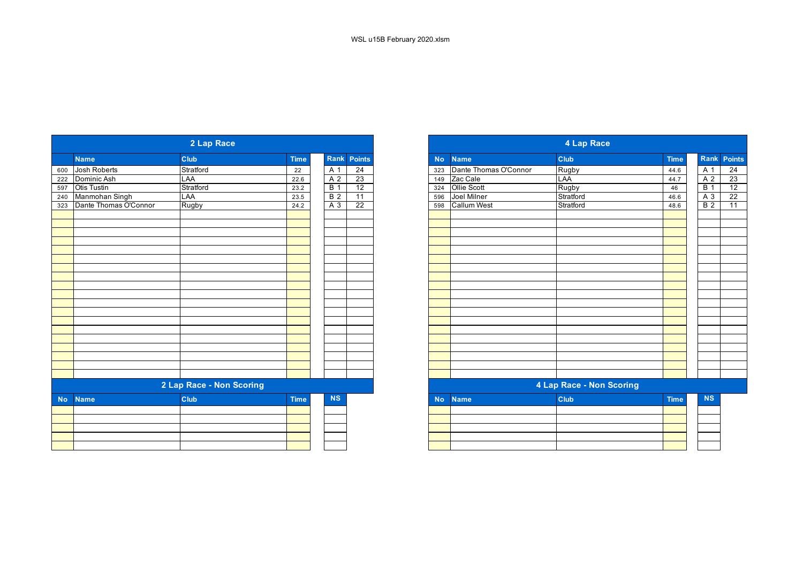|           |                       | 2 Lap Race               |             |                |                 |
|-----------|-----------------------|--------------------------|-------------|----------------|-----------------|
|           | <b>Name</b>           | Club                     | <b>Time</b> | Rank           | Points          |
| 600       | Josh Roberts          | Stratford                | 22          | A 1            | 24              |
| 222       | Dominic Ash           | LAA                      | 22.6        | A <sub>2</sub> | 23              |
| 597       | <b>Otis Tustin</b>    | Stratford                | 23.2        | <b>B</b> 1     | 12              |
| 240       | Manmohan Singh        | LAA                      | 23.5        | <b>B</b> 2     | 11              |
| 323       | Dante Thomas O'Connor | Rugby                    | 24.2        | A 3            | $\overline{22}$ |
|           |                       |                          |             |                |                 |
|           |                       |                          |             |                |                 |
|           |                       |                          |             |                |                 |
|           |                       |                          |             |                |                 |
|           |                       |                          |             |                |                 |
|           |                       |                          |             |                |                 |
|           |                       |                          |             |                |                 |
|           |                       |                          |             |                |                 |
|           |                       |                          |             |                |                 |
|           |                       |                          |             |                |                 |
|           |                       |                          |             |                |                 |
|           |                       |                          |             |                |                 |
|           |                       |                          |             |                |                 |
|           |                       |                          |             |                |                 |
|           |                       | 2 Lap Race - Non Scoring |             |                |                 |
| <b>No</b> | <b>Name</b>           | Club                     | <b>Time</b> | <b>NS</b>      |                 |
|           |                       |                          |             |                |                 |
|           |                       |                          |             |                |                 |
|           |                       |                          |             |                |                 |
|           |                       |                          |             |                |                 |

| 2 Lap Race            |                          |             |  |                |                 |  |  |
|-----------------------|--------------------------|-------------|--|----------------|-----------------|--|--|
| <b>Name</b>           | Club                     | <b>Time</b> |  |                | Rank Points     |  |  |
| Josh Roberts          | Stratford                | 22          |  | A 1            | $\overline{24}$ |  |  |
| Dominic Ash           | LAA                      | 22.6        |  | A <sub>2</sub> | 23              |  |  |
| Otis Tustin           | Stratford                | 23.2        |  | B <sub>1</sub> | 12              |  |  |
| Manmohan Singh        | LAA                      | 23.5        |  | B <sub>2</sub> | 11              |  |  |
| Dante Thomas O'Connor | Rugby                    | 24.2        |  | $A_3$          | 22              |  |  |
|                       |                          |             |  |                |                 |  |  |
|                       |                          |             |  |                |                 |  |  |
|                       |                          |             |  |                |                 |  |  |
|                       |                          |             |  |                |                 |  |  |
|                       |                          |             |  |                |                 |  |  |
|                       |                          |             |  |                |                 |  |  |
|                       |                          |             |  |                |                 |  |  |
|                       |                          |             |  |                |                 |  |  |
|                       |                          |             |  |                |                 |  |  |
|                       |                          |             |  |                |                 |  |  |
|                       |                          |             |  |                |                 |  |  |
|                       |                          |             |  |                |                 |  |  |
|                       |                          |             |  |                |                 |  |  |
|                       |                          |             |  |                |                 |  |  |
|                       |                          |             |  |                |                 |  |  |
|                       |                          |             |  |                |                 |  |  |
|                       |                          |             |  |                |                 |  |  |
|                       |                          |             |  |                |                 |  |  |
|                       |                          |             |  |                |                 |  |  |
|                       |                          |             |  |                |                 |  |  |
|                       | 2 Lap Race - Non Scoring |             |  |                |                 |  |  |
| <b>Name</b>           | <b>Club</b>              | <b>Time</b> |  | <b>NS</b>      |                 |  |  |
|                       |                          |             |  |                |                 |  |  |
|                       |                          |             |  |                |                 |  |  |
|                       |                          |             |  |                |                 |  |  |
|                       |                          |             |  |                |                 |  |  |
|                       |                          |             |  |                |                 |  |  |
|                       |                          |             |  |                |                 |  |  |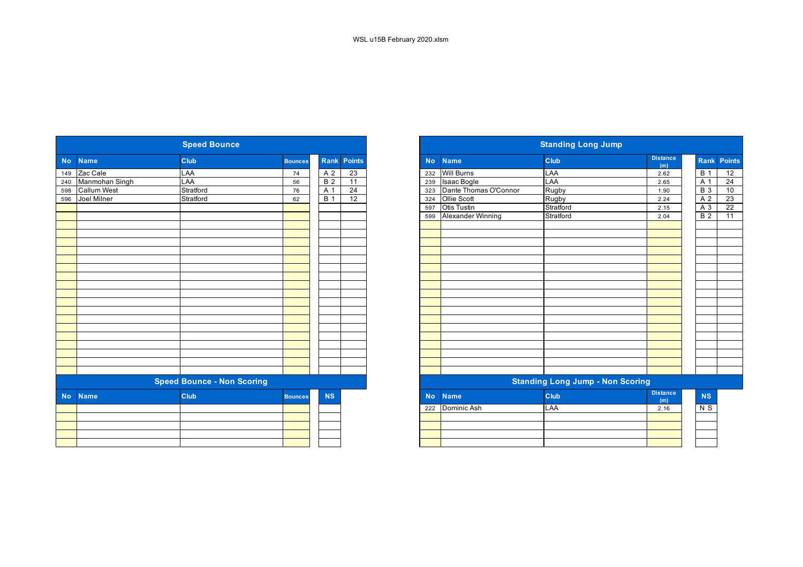|           |                    | <b>Speed Bounce</b>               |                |                  |                    |           |                       | <b>Standing Long Jump</b>               |                        |
|-----------|--------------------|-----------------------------------|----------------|------------------|--------------------|-----------|-----------------------|-----------------------------------------|------------------------|
| <b>No</b> | <b>Name</b>        | Club                              | <b>Bounces</b> |                  | <b>Rank Points</b> | <b>No</b> | <b>Name</b>           | Club                                    | <b>Distance</b><br>(m) |
| 149       | Zac Cale           | LAA                               | 74             | A <sub>2</sub>   | 23                 | 232       | <b>Will Burns</b>     | LAA                                     | 2.62                   |
| 240       | Manmohan Singh     | LAA                               | 56             | B <sub>2</sub>   | $\overline{11}$    | 239       | Isaac Bogle           | LAA                                     | 2.65                   |
| 598       | <b>Callum West</b> | Stratford                         | 76             | A <sub>1</sub>   | 24                 | 323       | Dante Thomas O'Connor | <b>Rugby</b>                            | 1.90                   |
| 596       | Joel Milner        | Stratford                         | 62             | $\overline{B}$ 1 | $\overline{12}$    | 324       | Ollie Scott           | Rugby                                   | 2.24                   |
|           |                    |                                   |                |                  |                    | 597       | <b>Otis Tustin</b>    | Stratford                               | 2.15                   |
|           |                    |                                   |                |                  |                    | 599       | Alexander Winning     | Stratford                               | 2.04                   |
|           |                    |                                   |                |                  |                    |           |                       |                                         |                        |
|           |                    |                                   |                |                  |                    |           |                       |                                         |                        |
|           |                    |                                   |                |                  |                    |           |                       |                                         |                        |
|           |                    |                                   |                |                  |                    |           |                       |                                         |                        |
|           |                    |                                   |                |                  |                    |           |                       |                                         |                        |
|           |                    |                                   |                |                  |                    |           |                       |                                         |                        |
|           |                    |                                   |                |                  |                    |           |                       |                                         |                        |
|           |                    |                                   |                |                  |                    |           |                       |                                         |                        |
|           |                    |                                   |                |                  |                    |           |                       |                                         |                        |
|           |                    |                                   |                |                  |                    |           |                       |                                         |                        |
|           |                    |                                   |                |                  |                    |           |                       |                                         |                        |
|           |                    |                                   |                |                  |                    |           |                       |                                         |                        |
|           |                    |                                   |                |                  |                    |           |                       |                                         |                        |
|           |                    |                                   |                |                  |                    |           |                       |                                         |                        |
|           |                    |                                   |                |                  |                    |           |                       |                                         |                        |
|           |                    |                                   |                |                  |                    |           |                       |                                         |                        |
|           |                    | <b>Speed Bounce - Non Scoring</b> |                |                  |                    |           |                       | <b>Standing Long Jump - Non Scoring</b> |                        |
| <b>No</b> | <b>Name</b>        | <b>Club</b>                       | <b>Bounces</b> | <b>NS</b>        |                    | <b>No</b> | <b>Name</b>           | <b>Club</b>                             | <b>Distance</b><br>(m) |
|           |                    |                                   |                |                  |                    | 222       | Dominic Ash           | LAA                                     | 2.16                   |
|           |                    |                                   |                |                  |                    |           |                       |                                         |                        |
|           |                    |                                   |                |                  |                    |           |                       |                                         |                        |
|           |                    |                                   |                |                  |                    |           |                       |                                         |                        |
|           |                    |                                   |                |                  |                    |           |                       |                                         |                        |

|           |                    | <b>Speed Bounce</b>               |                |                  |        |
|-----------|--------------------|-----------------------------------|----------------|------------------|--------|
|           | <b>Name</b>        | <b>Club</b>                       | <b>Bounces</b> | <b>Rank</b>      | Points |
|           | Zac Cale           | LAA                               | 74             | A <sub>2</sub>   | 23     |
|           | Manmohan Singh     | LAA                               | 56             | B <sub>2</sub>   | 11     |
|           | <b>Callum West</b> | Stratford                         | 76             | A 1              | 24     |
|           | Joel Milner        | Stratford                         | 62             | $\overline{B}$ 1 | 12     |
|           |                    |                                   |                |                  |        |
|           |                    |                                   |                |                  |        |
|           |                    |                                   |                |                  |        |
|           |                    |                                   |                |                  |        |
|           |                    |                                   |                |                  |        |
|           |                    |                                   |                |                  |        |
|           |                    |                                   |                |                  |        |
|           |                    |                                   |                |                  |        |
|           |                    |                                   |                |                  |        |
|           |                    |                                   |                |                  |        |
|           |                    |                                   |                |                  |        |
|           |                    |                                   |                |                  |        |
|           |                    |                                   |                |                  |        |
|           |                    |                                   |                |                  |        |
|           |                    |                                   |                |                  |        |
|           |                    |                                   |                |                  |        |
|           |                    |                                   |                |                  |        |
|           |                    |                                   |                |                  |        |
|           |                    | <b>Speed Bounce - Non Scoring</b> |                |                  |        |
| <b>No</b> | <b>Name</b>        | Club                              | <b>Bounces</b> | NS               |        |
|           |                    |                                   |                |                  |        |
|           |                    |                                   |                |                  |        |
|           |                    |                                   |                |                  |        |
|           |                    |                                   |                |                  |        |
|           |                    |                                   |                |                  |        |
|           |                    |                                   |                |                  |        |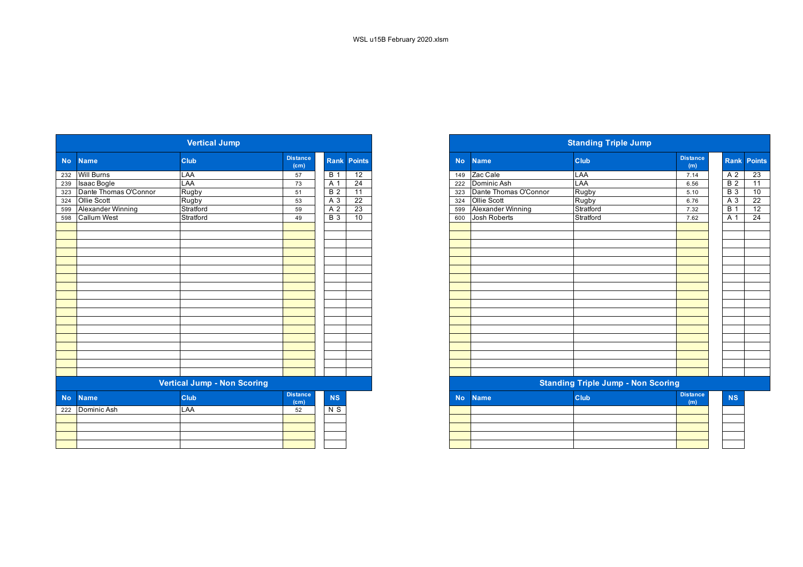| <b>Vertical Jump</b> |                       |                                    |                         |                  |                    |  |  |  |  |  |  |
|----------------------|-----------------------|------------------------------------|-------------------------|------------------|--------------------|--|--|--|--|--|--|
| <b>No</b>            | <b>Name</b>           | <b>Club</b>                        | <b>Distance</b><br>(cm) |                  | <b>Rank Points</b> |  |  |  |  |  |  |
| 232                  | <b>Will Burns</b>     | LAA                                | 57                      | <b>B</b> 1       | 12                 |  |  |  |  |  |  |
| 239                  | Isaac Bogle           | LAA                                | 73                      | A 1              | 24                 |  |  |  |  |  |  |
| 323                  | Dante Thomas O'Connor | Rugby                              | 51                      | $\overline{B}$ 2 | 11                 |  |  |  |  |  |  |
| 324                  | Ollie Scott           | Rugby                              | 53                      | $\overline{A}3$  | $\overline{22}$    |  |  |  |  |  |  |
| 599                  | Alexander Winning     | Stratford                          | 59                      | $\overline{A}$ 2 | $\overline{23}$    |  |  |  |  |  |  |
| 598                  | <b>Callum West</b>    | Stratford                          | 49                      | <b>B</b> 3       | 10                 |  |  |  |  |  |  |
|                      |                       |                                    |                         |                  |                    |  |  |  |  |  |  |
|                      |                       |                                    |                         |                  |                    |  |  |  |  |  |  |
|                      |                       |                                    |                         |                  |                    |  |  |  |  |  |  |
|                      |                       |                                    |                         |                  |                    |  |  |  |  |  |  |
|                      |                       |                                    |                         |                  |                    |  |  |  |  |  |  |
|                      |                       |                                    |                         |                  |                    |  |  |  |  |  |  |
|                      |                       |                                    |                         |                  |                    |  |  |  |  |  |  |
|                      |                       |                                    |                         |                  |                    |  |  |  |  |  |  |
|                      |                       |                                    |                         |                  |                    |  |  |  |  |  |  |
|                      |                       |                                    |                         |                  |                    |  |  |  |  |  |  |
|                      |                       |                                    |                         |                  |                    |  |  |  |  |  |  |
|                      |                       |                                    |                         |                  |                    |  |  |  |  |  |  |
|                      |                       |                                    |                         |                  |                    |  |  |  |  |  |  |
|                      |                       |                                    |                         |                  |                    |  |  |  |  |  |  |
|                      |                       |                                    |                         |                  |                    |  |  |  |  |  |  |
|                      |                       | <b>Vertical Jump - Non Scoring</b> |                         |                  |                    |  |  |  |  |  |  |
| <b>No</b>            | <b>Name</b>           | Club                               | <b>Distance</b><br>(cm) | <b>NS</b>        |                    |  |  |  |  |  |  |
| 222                  | Dominic Ash           | <b>LAA</b>                         | 52                      | N <sub>S</sub>   |                    |  |  |  |  |  |  |
|                      |                       |                                    |                         |                  |                    |  |  |  |  |  |  |
|                      |                       |                                    |                         |                  |                    |  |  |  |  |  |  |
|                      |                       |                                    |                         |                  |                    |  |  |  |  |  |  |
|                      |                       |                                    |                         |                  |                    |  |  |  |  |  |  |

|           |                       | <b>Vertical Jump</b>               |                                      |                  |                 |
|-----------|-----------------------|------------------------------------|--------------------------------------|------------------|-----------------|
| <b>No</b> | <b>Name</b>           | <b>Club</b>                        | <b>Distance</b><br>(cm)              | Rank             | <b>Points</b>   |
|           | 232 Will Burns        | LAA                                | 57                                   | <b>B</b> 1       | 12              |
| 239       | <b>Isaac Bogle</b>    | LAA                                | 73                                   | A 1              | $\overline{24}$ |
| 323       | Dante Thomas O'Connor | Rugby                              | 51                                   | $\overline{B}$ 2 | $\overline{11}$ |
|           | 324 Ollie Scott       | Rugby                              | 53                                   | A 3              | 22              |
| 599       | Alexander Winning     | Stratford                          | 59                                   | A 2              | $\overline{23}$ |
| 598       | <b>Callum West</b>    | Stratford                          | 49                                   | $\overline{B}$ 3 | 10              |
|           |                       |                                    |                                      |                  |                 |
|           |                       |                                    |                                      |                  |                 |
|           |                       |                                    |                                      |                  |                 |
|           |                       |                                    |                                      |                  |                 |
|           |                       |                                    |                                      |                  |                 |
|           |                       |                                    |                                      |                  |                 |
|           |                       |                                    |                                      |                  |                 |
|           |                       |                                    |                                      |                  |                 |
|           |                       |                                    |                                      |                  |                 |
|           |                       |                                    |                                      |                  |                 |
|           |                       |                                    |                                      |                  |                 |
|           |                       |                                    |                                      |                  |                 |
|           |                       |                                    |                                      |                  |                 |
|           |                       |                                    |                                      |                  |                 |
|           |                       |                                    |                                      |                  |                 |
|           |                       |                                    |                                      |                  |                 |
|           |                       |                                    |                                      |                  |                 |
|           |                       |                                    |                                      |                  |                 |
|           |                       | <b>Vertical Jump - Non Scoring</b> |                                      |                  |                 |
| <b>No</b> | <b>Name</b>           | <b>Club</b>                        | <b>Distance</b><br>(c <sub>m</sub> ) | <b>NS</b>        |                 |
|           | 222 Dominic Ash       | LAA                                | 52                                   | N S              |                 |
|           |                       |                                    |                                      |                  |                 |

| the contract of the contract of the contract of the contract of the contract of                                 | the contract of the contract of the contract of the contract of the contract of the contract of the contract of |  |  |
|-----------------------------------------------------------------------------------------------------------------|-----------------------------------------------------------------------------------------------------------------|--|--|
| the contract of the contract of the contract of the contract of the contract of the contract of the contract of |                                                                                                                 |  |  |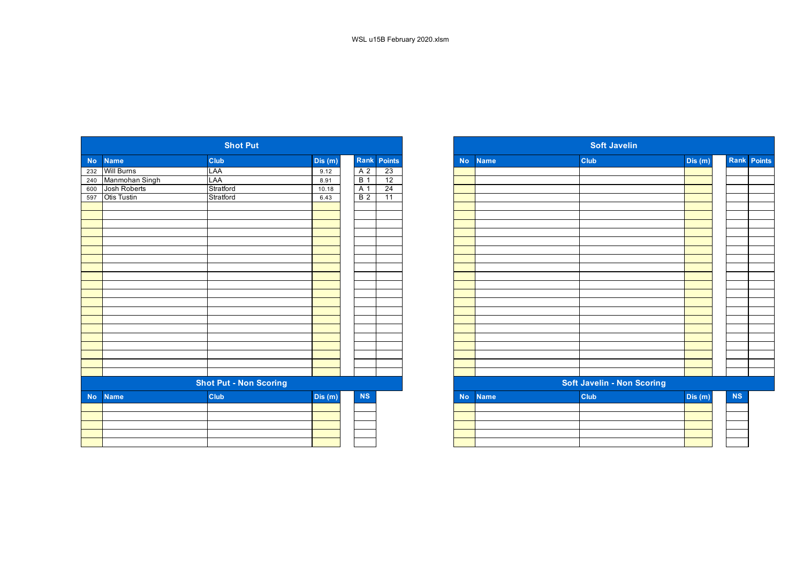|           |                   | <b>Shot Put</b>               |        |                |                    |
|-----------|-------------------|-------------------------------|--------|----------------|--------------------|
| No        | <b>Name</b>       | <b>Club</b>                   | Dis(m) |                | <b>Rank</b> Points |
| 232       | <b>Will Burns</b> | LAA                           | 9.12   | A <sub>2</sub> | $\overline{23}$    |
| 240       | Manmohan Singh    | LAA                           | 8.91   | B <sub>1</sub> | 12                 |
| 600       | Josh Roberts      | Stratford                     | 10.18  | A <sub>1</sub> | 24                 |
| 597       | Otis Tustin       | Stratford                     | 6.43   | B <sub>2</sub> | $\overline{11}$    |
|           |                   |                               |        |                |                    |
|           |                   |                               |        |                |                    |
|           |                   |                               |        |                |                    |
|           |                   |                               |        |                |                    |
|           |                   |                               |        |                |                    |
|           |                   |                               |        |                |                    |
|           |                   |                               |        |                |                    |
|           |                   |                               |        |                |                    |
|           |                   |                               |        |                |                    |
|           |                   |                               |        |                |                    |
|           |                   |                               |        |                |                    |
|           |                   |                               |        |                |                    |
|           |                   |                               |        |                |                    |
|           |                   |                               |        |                |                    |
|           |                   |                               |        |                |                    |
|           |                   |                               |        |                |                    |
|           |                   |                               |        |                |                    |
|           |                   |                               |        |                |                    |
|           |                   |                               |        |                |                    |
|           |                   |                               |        |                |                    |
|           |                   | <b>Shot Put - Non Scoring</b> |        |                |                    |
| <b>No</b> | <b>Name</b>       | Club                          | Dis(m) | <b>NS</b>      |                    |
|           |                   |                               |        |                |                    |
|           |                   |                               |        |                |                    |
|           |                   |                               |        |                |                    |
|           |                   |                               |        |                |                    |
|           |                   |                               |        |                |                    |
|           |                   |                               |        |                |                    |

|           |                                                                             | <b>Shot Put</b>               |        |                |                    |           |             | <b>Soft Javelin</b>        |        |             |  |
|-----------|-----------------------------------------------------------------------------|-------------------------------|--------|----------------|--------------------|-----------|-------------|----------------------------|--------|-------------|--|
| No l      | <b>Name</b>                                                                 | Club                          | Dis(m) |                | <b>Rank Points</b> | <b>No</b> | <b>Name</b> | <b>Club</b>                | Dis(m) | Rank Points |  |
|           | 232 Will Burns<br>240 Manmohan Singh<br>600 Josh Roberts<br>597 Otis Tustin | LAA                           | 9.12   | A 2            | $\overline{23}$    |           |             |                            |        |             |  |
|           |                                                                             | LAA                           | 8.91   | <b>B</b> 1     | 12                 |           |             |                            |        |             |  |
|           |                                                                             | Stratford                     | 10.18  | A 1            | 24                 |           |             |                            |        |             |  |
|           |                                                                             | Stratford                     | 6.43   | B <sub>2</sub> | $\overline{11}$    |           |             |                            |        |             |  |
|           |                                                                             |                               |        |                |                    |           |             |                            |        |             |  |
|           |                                                                             |                               |        |                |                    |           |             |                            |        |             |  |
|           |                                                                             |                               |        |                |                    |           |             |                            |        |             |  |
|           |                                                                             |                               |        |                |                    |           |             |                            |        |             |  |
|           |                                                                             |                               |        |                |                    |           |             |                            |        |             |  |
|           |                                                                             |                               |        |                |                    |           |             |                            |        |             |  |
|           |                                                                             |                               |        |                |                    |           |             |                            |        |             |  |
|           |                                                                             |                               |        |                |                    |           |             |                            |        |             |  |
|           |                                                                             |                               |        |                |                    |           |             |                            |        |             |  |
|           |                                                                             |                               |        |                |                    |           |             |                            |        |             |  |
|           |                                                                             |                               |        |                |                    |           |             |                            |        |             |  |
|           |                                                                             |                               |        |                |                    |           |             |                            |        |             |  |
|           |                                                                             |                               |        |                |                    |           |             |                            |        |             |  |
|           |                                                                             |                               |        |                |                    |           |             |                            |        |             |  |
|           |                                                                             |                               |        |                |                    |           |             |                            |        |             |  |
|           |                                                                             |                               |        |                |                    |           |             |                            |        |             |  |
|           |                                                                             |                               |        |                |                    |           |             |                            |        |             |  |
|           |                                                                             |                               |        |                |                    |           |             |                            |        |             |  |
|           |                                                                             |                               |        |                |                    |           |             |                            |        |             |  |
|           |                                                                             |                               |        |                |                    |           |             |                            |        |             |  |
|           |                                                                             | <b>Shot Put - Non Scoring</b> |        |                |                    |           |             | Soft Javelin - Non Scoring |        |             |  |
| <b>No</b> | <b>Name</b>                                                                 | Club                          | Dis(m) | NS             |                    | <b>No</b> | <b>Name</b> | Club                       | Dis(m) | NS          |  |
|           |                                                                             |                               |        |                |                    |           |             |                            |        |             |  |
|           |                                                                             |                               |        |                |                    |           |             |                            |        |             |  |
|           |                                                                             |                               |        |                |                    |           |             |                            |        |             |  |
|           |                                                                             |                               |        |                |                    |           |             |                            |        |             |  |
|           |                                                                             |                               |        |                |                    |           |             |                            |        |             |  |